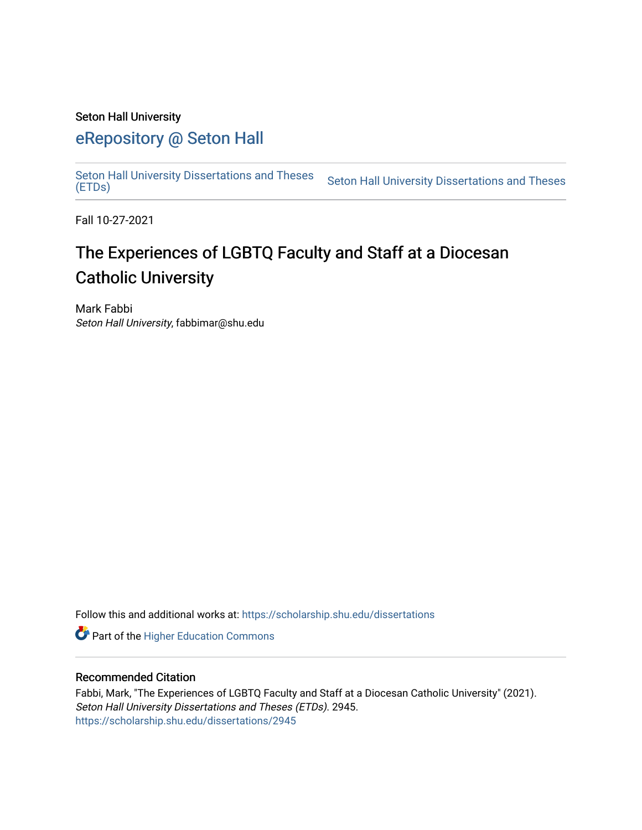#### Seton Hall University

## [eRepository @ Seton Hall](https://scholarship.shu.edu/)

[Seton Hall University Dissertations and Theses](https://scholarship.shu.edu/dissertations)  Seton Hall University Dissertations and Theses Seton Hall University Dissertations and Theses<br>[\(ETDs\)](https://scholarship.shu.edu/dissertations)

Fall 10-27-2021

# The Experiences of LGBTQ Faculty and Staff at a Diocesan Catholic University

Mark Fabbi Seton Hall University, fabbimar@shu.edu

Follow this and additional works at: [https://scholarship.shu.edu/dissertations](https://scholarship.shu.edu/dissertations?utm_source=scholarship.shu.edu%2Fdissertations%2F2945&utm_medium=PDF&utm_campaign=PDFCoverPages) 

**Part of the Higher Education Commons** 

#### Recommended Citation

Fabbi, Mark, "The Experiences of LGBTQ Faculty and Staff at a Diocesan Catholic University" (2021). Seton Hall University Dissertations and Theses (ETDs). 2945. [https://scholarship.shu.edu/dissertations/2945](https://scholarship.shu.edu/dissertations/2945?utm_source=scholarship.shu.edu%2Fdissertations%2F2945&utm_medium=PDF&utm_campaign=PDFCoverPages)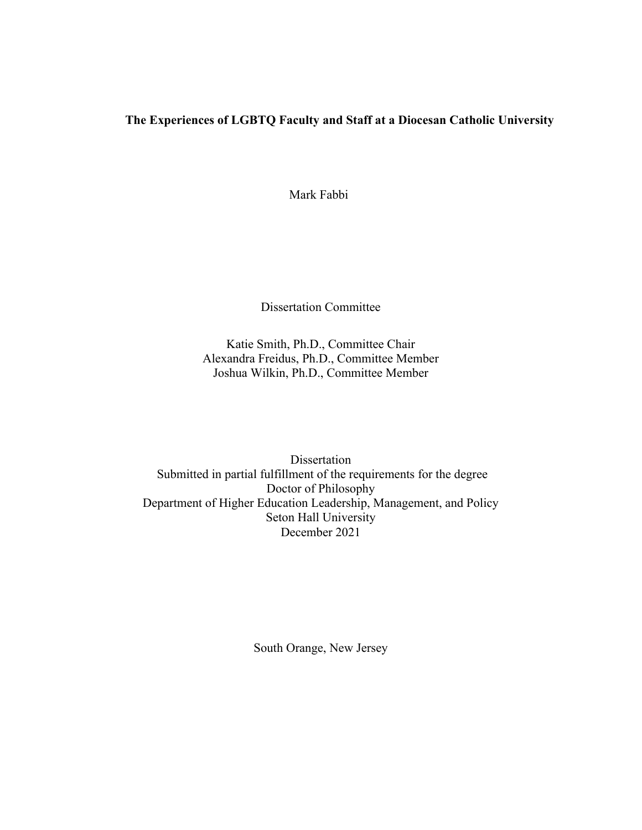### **The Experiences of LGBTQ Faculty and Staff at a Diocesan Catholic University**

Mark Fabbi

Dissertation Committee

Katie Smith, Ph.D., Committee Chair Alexandra Freidus, Ph.D., Committee Member Joshua Wilkin, Ph.D., Committee Member

Dissertation Submitted in partial fulfillment of the requirements for the degree Doctor of Philosophy Department of Higher Education Leadership, Management, and Policy Seton Hall University December 2021

South Orange, New Jersey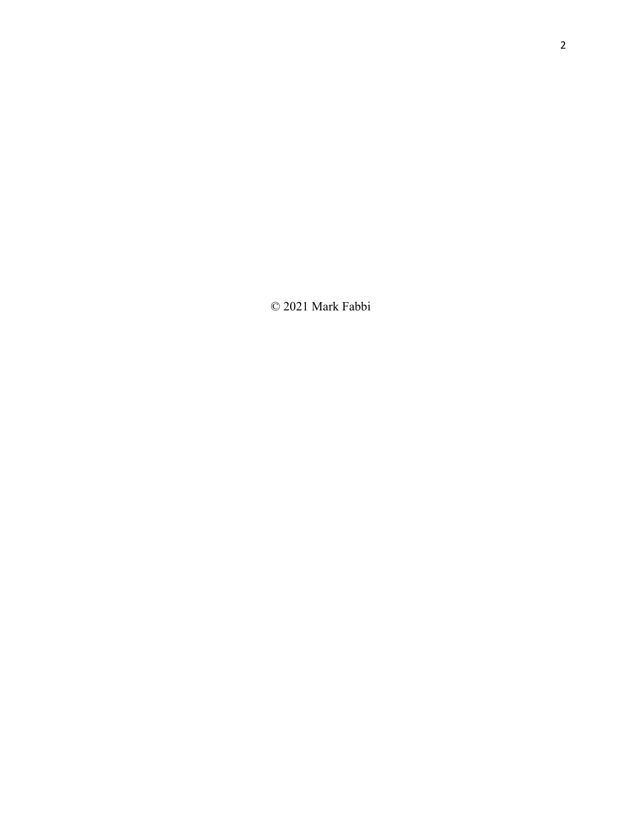© 2021 Mark Fabbi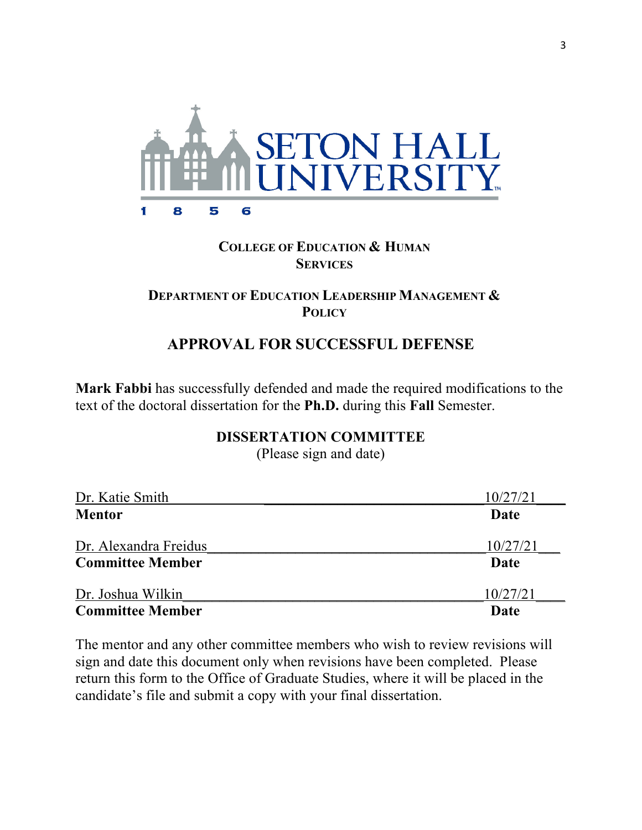

### **COLLEGE OF EDUCATION & HUMAN SERVICES**

### **DEPARTMENT OF EDUCATION LEADERSHIP MANAGEMENT & POLICY**

### **APPROVAL FOR SUCCESSFUL DEFENSE**

**Mark Fabbi** has successfully defended and made the required modifications to the text of the doctoral dissertation for the **Ph.D.** during this **Fall** Semester.

### **DISSERTATION COMMITTEE**

(Please sign and date)

| Dr. Katie Smith         | 10/27/21 |
|-------------------------|----------|
| <b>Mentor</b>           | Date     |
| Dr. Alexandra Freidus   | 10/27/21 |
| <b>Committee Member</b> | Date     |
| Dr. Joshua Wilkin       | 10/27/21 |
| <b>Committee Member</b> | Date     |

The mentor and any other committee members who wish to review revisions will sign and date this document only when revisions have been completed. Please return this form to the Office of Graduate Studies, where it will be placed in the candidate's file and submit a copy with your final dissertation.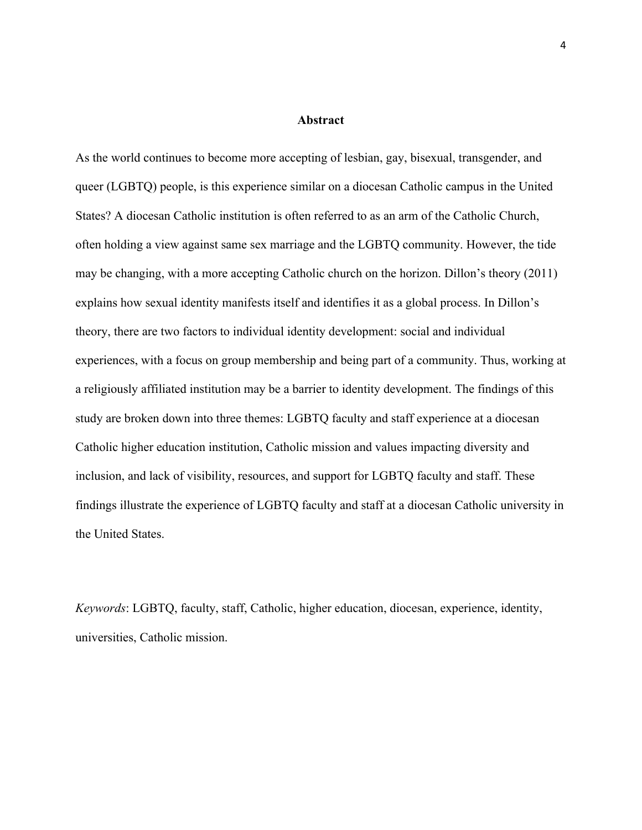#### **Abstract**

As the world continues to become more accepting of lesbian, gay, bisexual, transgender, and queer (LGBTQ) people, is this experience similar on a diocesan Catholic campus in the United States? A diocesan Catholic institution is often referred to as an arm of the Catholic Church, often holding a view against same sex marriage and the LGBTQ community. However, the tide may be changing, with a more accepting Catholic church on the horizon. Dillon's theory (2011) explains how sexual identity manifests itself and identifies it as a global process. In Dillon's theory, there are two factors to individual identity development: social and individual experiences, with a focus on group membership and being part of a community. Thus, working at a religiously affiliated institution may be a barrier to identity development. The findings of this study are broken down into three themes: LGBTQ faculty and staff experience at a diocesan Catholic higher education institution, Catholic mission and values impacting diversity and inclusion, and lack of visibility, resources, and support for LGBTQ faculty and staff. These findings illustrate the experience of LGBTQ faculty and staff at a diocesan Catholic university in the United States.

*Keywords*: LGBTQ, faculty, staff, Catholic, higher education, diocesan, experience, identity, universities, Catholic mission.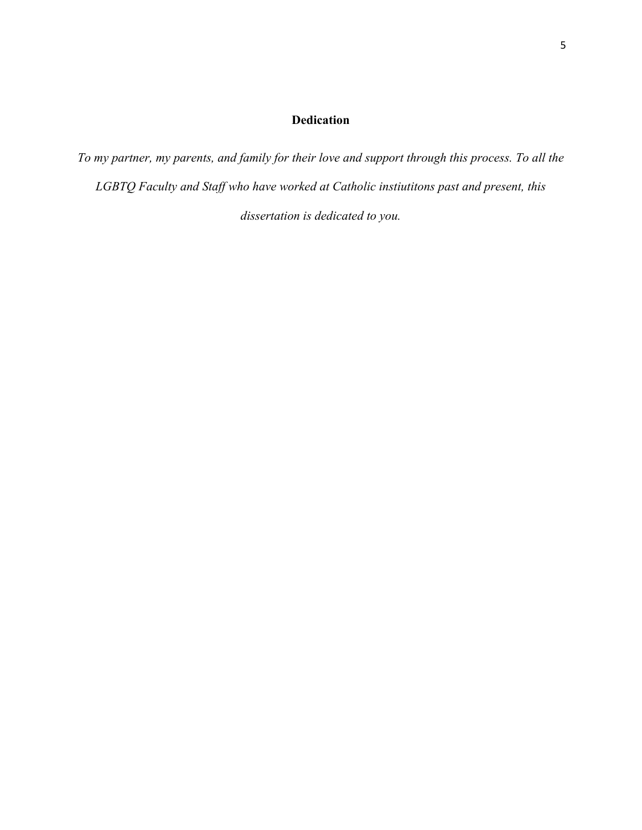### **Dedication**

*To my partner, my parents, and family for their love and support through this process. To all the LGBTQ Faculty and Staff who have worked at Catholic instiutitons past and present, this dissertation is dedicated to you.*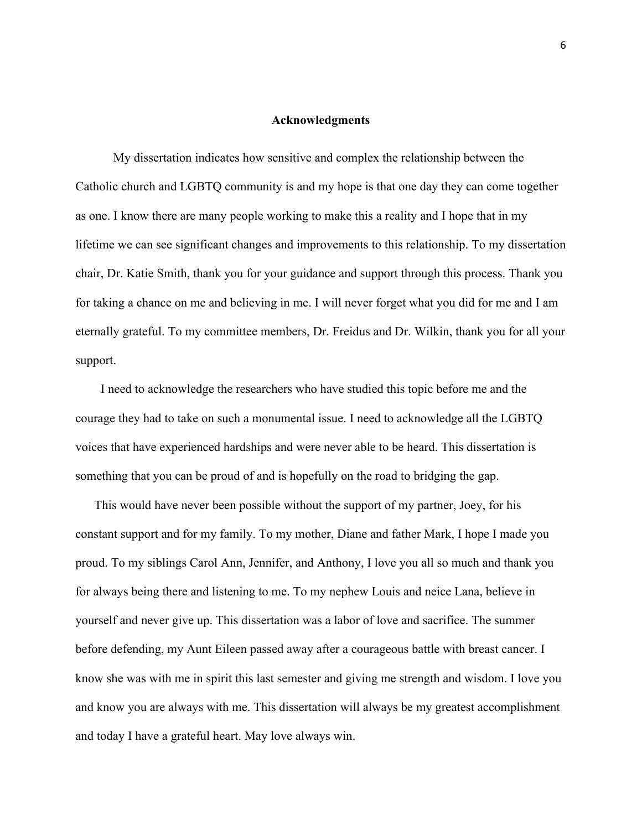#### **Acknowledgments**

 My dissertation indicates how sensitive and complex the relationship between the Catholic church and LGBTQ community is and my hope is that one day they can come together as one. I know there are many people working to make this a reality and I hope that in my lifetime we can see significant changes and improvements to this relationship. To my dissertation chair, Dr. Katie Smith, thank you for your guidance and support through this process. Thank you for taking a chance on me and believing in me. I will never forget what you did for me and I am eternally grateful. To my committee members, Dr. Freidus and Dr. Wilkin, thank you for all your support.

 I need to acknowledge the researchers who have studied this topic before me and the courage they had to take on such a monumental issue. I need to acknowledge all the LGBTQ voices that have experienced hardships and were never able to be heard. This dissertation is something that you can be proud of and is hopefully on the road to bridging the gap.

 This would have never been possible without the support of my partner, Joey, for his constant support and for my family. To my mother, Diane and father Mark, I hope I made you proud. To my siblings Carol Ann, Jennifer, and Anthony, I love you all so much and thank you for always being there and listening to me. To my nephew Louis and neice Lana, believe in yourself and never give up. This dissertation was a labor of love and sacrifice. The summer before defending, my Aunt Eileen passed away after a courageous battle with breast cancer. I know she was with me in spirit this last semester and giving me strength and wisdom. I love you and know you are always with me. This dissertation will always be my greatest accomplishment and today I have a grateful heart. May love always win.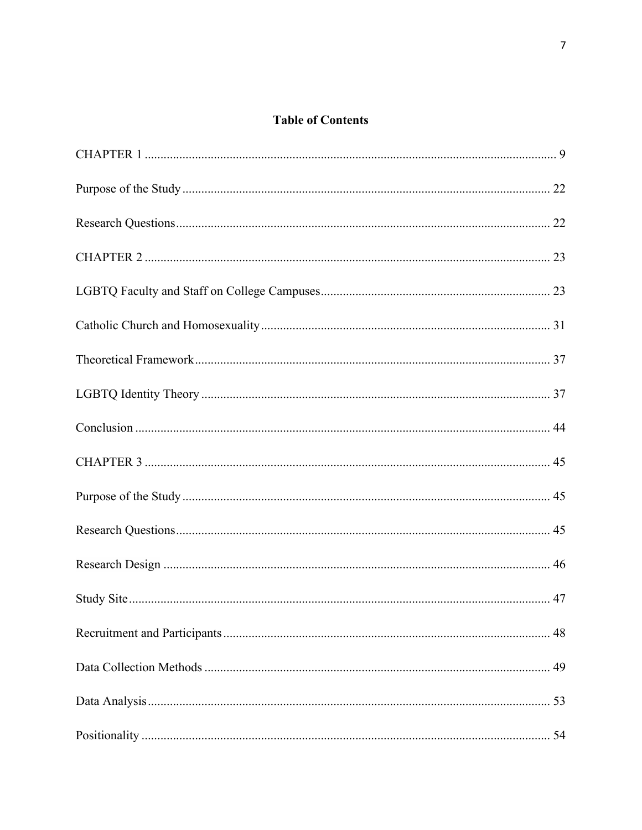### **Table of Contents**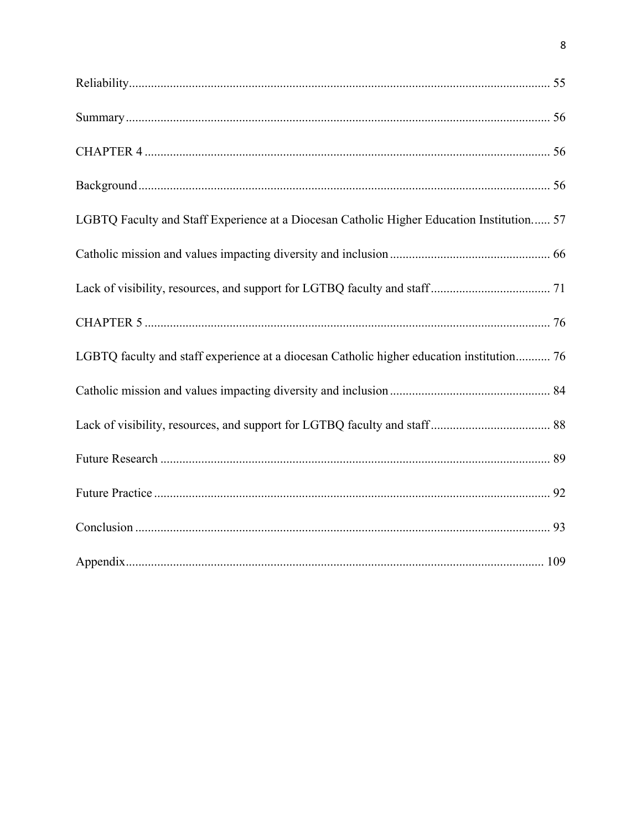| LGBTQ Faculty and Staff Experience at a Diocesan Catholic Higher Education Institution 57 |
|-------------------------------------------------------------------------------------------|
|                                                                                           |
|                                                                                           |
|                                                                                           |
| LGBTQ faculty and staff experience at a diocesan Catholic higher education institution 76 |
|                                                                                           |
|                                                                                           |
|                                                                                           |
|                                                                                           |
|                                                                                           |
|                                                                                           |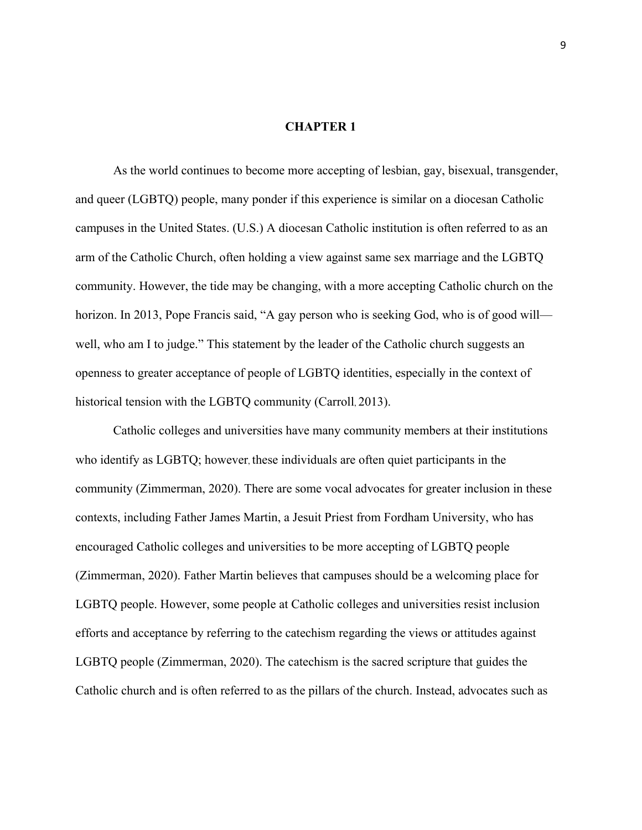#### **CHAPTER 1**

As the world continues to become more accepting of lesbian, gay, bisexual, transgender, and queer (LGBTQ) people, many ponder if this experience is similar on a diocesan Catholic campuses in the United States. (U.S.) A diocesan Catholic institution is often referred to as an arm of the Catholic Church, often holding a view against same sex marriage and the LGBTQ community. However, the tide may be changing, with a more accepting Catholic church on the horizon. In 2013, Pope Francis said, "A gay person who is seeking God, who is of good will well, who am I to judge." This statement by the leader of the Catholic church suggests an openness to greater acceptance of people of LGBTQ identities, especially in the context of historical tension with the LGBTQ community (Carroll, 2013).

Catholic colleges and universities have many community members at their institutions who identify as LGBTQ; however, these individuals are often quiet participants in the community (Zimmerman, 2020). There are some vocal advocates for greater inclusion in these contexts, including Father James Martin, a Jesuit Priest from Fordham University, who has encouraged Catholic colleges and universities to be more accepting of LGBTQ people (Zimmerman, 2020). Father Martin believes that campuses should be a welcoming place for LGBTQ people. However, some people at Catholic colleges and universities resist inclusion efforts and acceptance by referring to the catechism regarding the views or attitudes against LGBTQ people (Zimmerman, 2020). The catechism is the sacred scripture that guides the Catholic church and is often referred to as the pillars of the church. Instead, advocates such as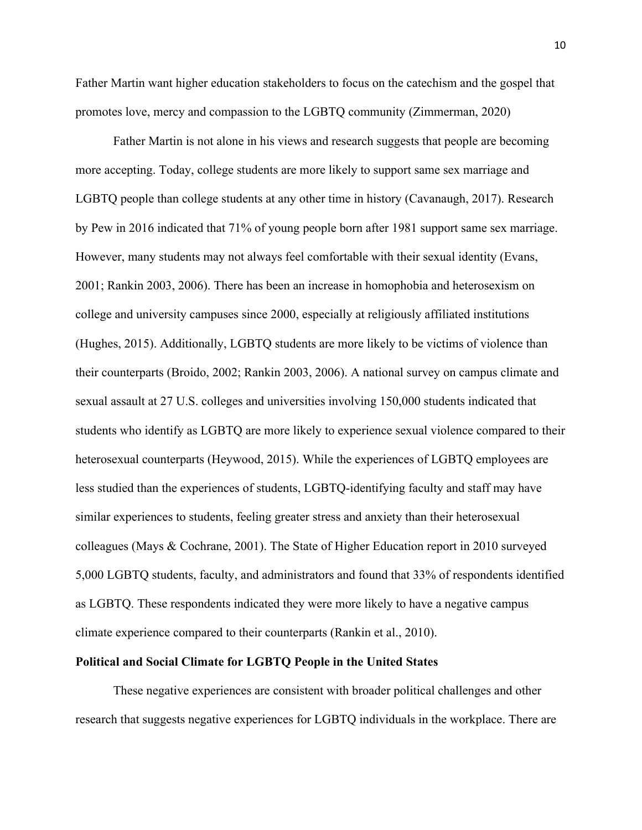Father Martin want higher education stakeholders to focus on the catechism and the gospel that promotes love, mercy and compassion to the LGBTQ community (Zimmerman, 2020)

Father Martin is not alone in his views and research suggests that people are becoming more accepting. Today, college students are more likely to support same sex marriage and LGBTQ people than college students at any other time in history (Cavanaugh, 2017). Research by Pew in 2016 indicated that 71% of young people born after 1981 support same sex marriage. However, many students may not always feel comfortable with their sexual identity (Evans, 2001; Rankin 2003, 2006). There has been an increase in homophobia and heterosexism on college and university campuses since 2000, especially at religiously affiliated institutions (Hughes, 2015). Additionally, LGBTQ students are more likely to be victims of violence than their counterparts (Broido, 2002; Rankin 2003, 2006). A national survey on campus climate and sexual assault at 27 U.S. colleges and universities involving 150,000 students indicated that students who identify as LGBTQ are more likely to experience sexual violence compared to their heterosexual counterparts (Heywood, 2015). While the experiences of LGBTQ employees are less studied than the experiences of students, LGBTQ-identifying faculty and staff may have similar experiences to students, feeling greater stress and anxiety than their heterosexual colleagues (Mays & Cochrane, 2001). The State of Higher Education report in 2010 surveyed 5,000 LGBTQ students, faculty, and administrators and found that 33% of respondents identified as LGBTQ. These respondents indicated they were more likely to have a negative campus climate experience compared to their counterparts (Rankin et al., 2010).

#### **Political and Social Climate for LGBTQ People in the United States**

These negative experiences are consistent with broader political challenges and other research that suggests negative experiences for LGBTQ individuals in the workplace. There are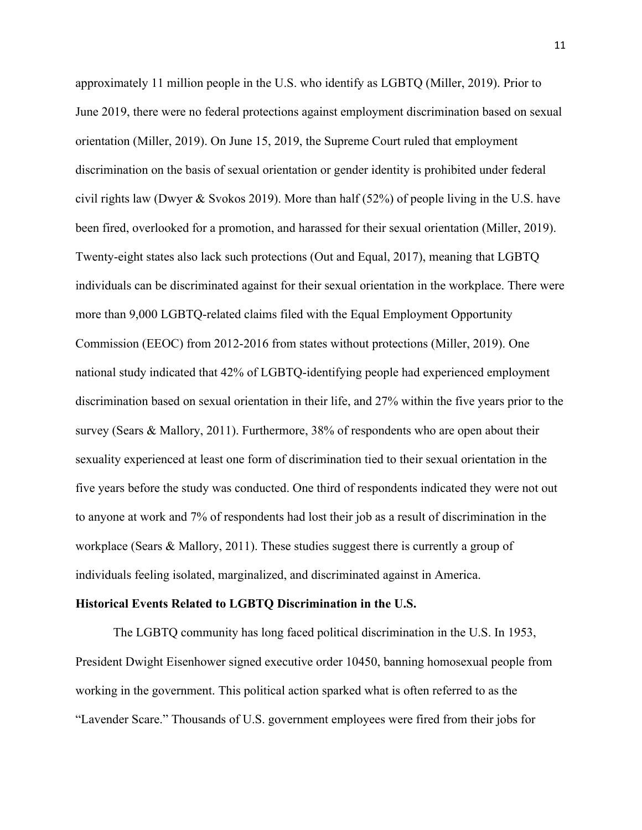approximately 11 million people in the U.S. who identify as LGBTQ (Miller, 2019). Prior to June 2019, there were no federal protections against employment discrimination based on sexual orientation (Miller, 2019). On June 15, 2019, the Supreme Court ruled that employment discrimination on the basis of sexual orientation or gender identity is prohibited under federal civil rights law (Dwyer & Svokos 2019). More than half  $(52%)$  of people living in the U.S. have been fired, overlooked for a promotion, and harassed for their sexual orientation (Miller, 2019). Twenty-eight states also lack such protections (Out and Equal, 2017), meaning that LGBTQ individuals can be discriminated against for their sexual orientation in the workplace. There were more than 9,000 LGBTQ-related claims filed with the Equal Employment Opportunity Commission (EEOC) from 2012-2016 from states without protections (Miller, 2019). One national study indicated that 42% of LGBTQ-identifying people had experienced employment discrimination based on sexual orientation in their life, and 27% within the five years prior to the survey (Sears & Mallory, 2011). Furthermore, 38% of respondents who are open about their sexuality experienced at least one form of discrimination tied to their sexual orientation in the five years before the study was conducted. One third of respondents indicated they were not out to anyone at work and 7% of respondents had lost their job as a result of discrimination in the workplace (Sears & Mallory, 2011). These studies suggest there is currently a group of individuals feeling isolated, marginalized, and discriminated against in America.

#### **Historical Events Related to LGBTQ Discrimination in the U.S.**

The LGBTQ community has long faced political discrimination in the U.S. In 1953, President Dwight Eisenhower signed executive order 10450, banning homosexual people from working in the government. This political action sparked what is often referred to as the "Lavender Scare." Thousands of U.S. government employees were fired from their jobs for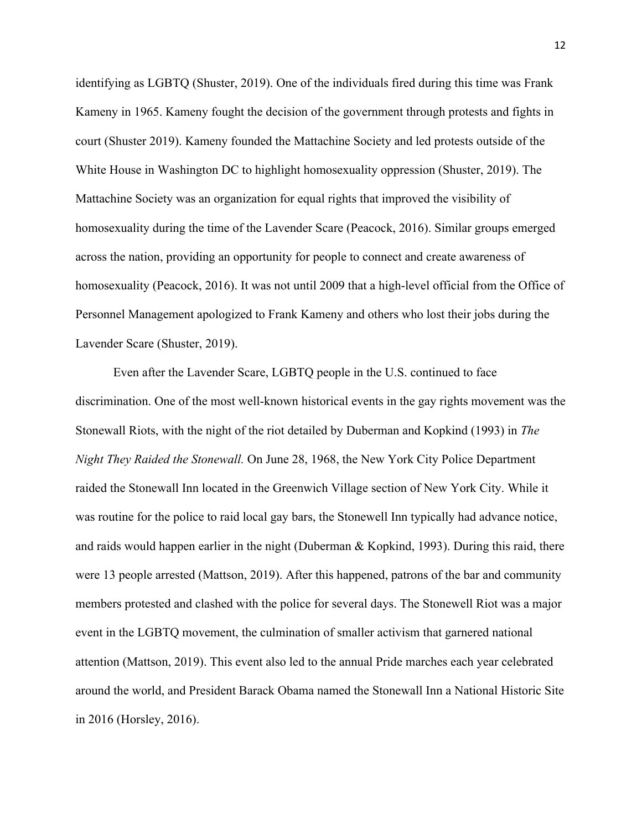identifying as LGBTQ (Shuster, 2019). One of the individuals fired during this time was Frank Kameny in 1965. Kameny fought the decision of the government through protests and fights in court (Shuster 2019). Kameny founded the Mattachine Society and led protests outside of the White House in Washington DC to highlight homosexuality oppression (Shuster, 2019). The Mattachine Society was an organization for equal rights that improved the visibility of homosexuality during the time of the Lavender Scare (Peacock, 2016). Similar groups emerged across the nation, providing an opportunity for people to connect and create awareness of homosexuality (Peacock, 2016). It was not until 2009 that a high-level official from the Office of Personnel Management apologized to Frank Kameny and others who lost their jobs during the Lavender Scare (Shuster, 2019).

Even after the Lavender Scare, LGBTQ people in the U.S. continued to face discrimination. One of the most well-known historical events in the gay rights movement was the Stonewall Riots, with the night of the riot detailed by Duberman and Kopkind (1993) in *The Night They Raided the Stonewall.* On June 28, 1968, the New York City Police Department raided the Stonewall Inn located in the Greenwich Village section of New York City. While it was routine for the police to raid local gay bars, the Stonewell Inn typically had advance notice, and raids would happen earlier in the night (Duberman & Kopkind, 1993). During this raid, there were 13 people arrested (Mattson, 2019). After this happened, patrons of the bar and community members protested and clashed with the police for several days. The Stonewell Riot was a major event in the LGBTQ movement, the culmination of smaller activism that garnered national attention (Mattson, 2019). This event also led to the annual Pride marches each year celebrated around the world, and President Barack Obama named the Stonewall Inn a National Historic Site in 2016 (Horsley, 2016).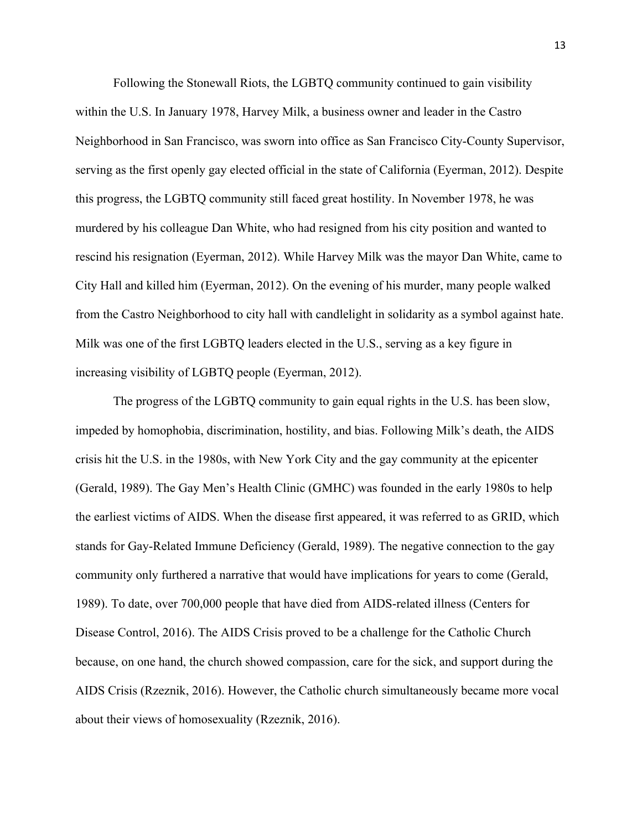Following the Stonewall Riots, the LGBTQ community continued to gain visibility within the U.S. In January 1978, Harvey Milk, a business owner and leader in the Castro Neighborhood in San Francisco, was sworn into office as San Francisco City-County Supervisor, serving as the first openly gay elected official in the state of California (Eyerman, 2012). Despite this progress, the LGBTQ community still faced great hostility. In November 1978, he was murdered by his colleague Dan White, who had resigned from his city position and wanted to rescind his resignation (Eyerman, 2012). While Harvey Milk was the mayor Dan White, came to City Hall and killed him (Eyerman, 2012). On the evening of his murder, many people walked from the Castro Neighborhood to city hall with candlelight in solidarity as a symbol against hate. Milk was one of the first LGBTQ leaders elected in the U.S., serving as a key figure in increasing visibility of LGBTQ people (Eyerman, 2012).

The progress of the LGBTQ community to gain equal rights in the U.S. has been slow, impeded by homophobia, discrimination, hostility, and bias. Following Milk's death, the AIDS crisis hit the U.S. in the 1980s, with New York City and the gay community at the epicenter (Gerald, 1989). The Gay Men's Health Clinic (GMHC) was founded in the early 1980s to help the earliest victims of AIDS. When the disease first appeared, it was referred to as GRID, which stands for Gay-Related Immune Deficiency (Gerald, 1989). The negative connection to the gay community only furthered a narrative that would have implications for years to come (Gerald, 1989). To date, over 700,000 people that have died from AIDS-related illness (Centers for Disease Control, 2016). The AIDS Crisis proved to be a challenge for the Catholic Church because, on one hand, the church showed compassion, care for the sick, and support during the AIDS Crisis (Rzeznik, 2016). However, the Catholic church simultaneously became more vocal about their views of homosexuality (Rzeznik, 2016).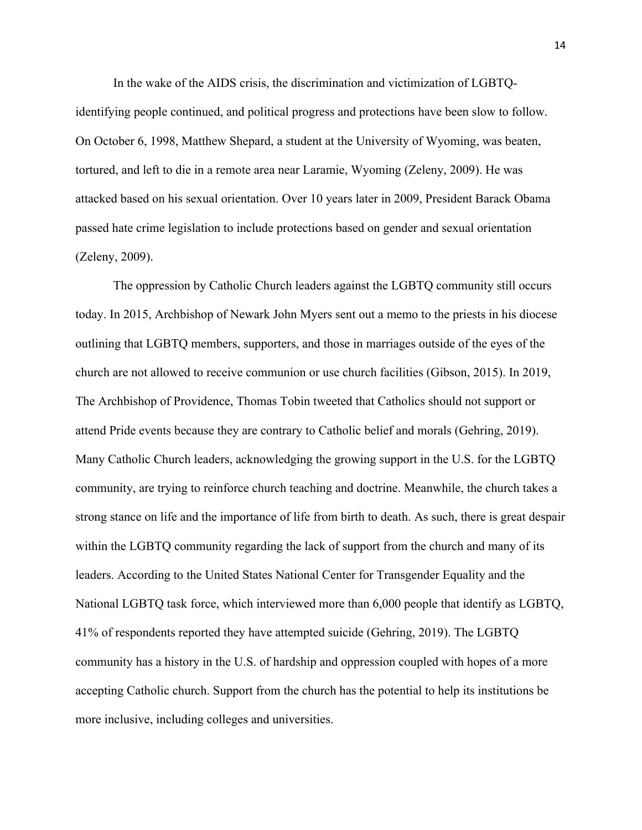In the wake of the AIDS crisis, the discrimination and victimization of LGBTQidentifying people continued, and political progress and protections have been slow to follow. On October 6, 1998, Matthew Shepard, a student at the University of Wyoming, was beaten, tortured, and left to die in a remote area near Laramie, Wyoming (Zeleny, 2009). He was attacked based on his sexual orientation. Over 10 years later in 2009, President Barack Obama passed hate crime legislation to include protections based on gender and sexual orientation (Zeleny, 2009).

The oppression by Catholic Church leaders against the LGBTQ community still occurs today. In 2015, Archbishop of Newark John Myers sent out a memo to the priests in his diocese outlining that LGBTQ members, supporters, and those in marriages outside of the eyes of the church are not allowed to receive communion or use church facilities (Gibson, 2015). In 2019, The Archbishop of Providence, Thomas Tobin tweeted that Catholics should not support or attend Pride events because they are contrary to Catholic belief and morals (Gehring, 2019). Many Catholic Church leaders, acknowledging the growing support in the U.S. for the LGBTQ community, are trying to reinforce church teaching and doctrine. Meanwhile, the church takes a strong stance on life and the importance of life from birth to death. As such, there is great despair within the LGBTQ community regarding the lack of support from the church and many of its leaders. According to the United States National Center for Transgender Equality and the National LGBTQ task force, which interviewed more than 6,000 people that identify as LGBTQ, 41% of respondents reported they have attempted suicide (Gehring, 2019). The LGBTQ community has a history in the U.S. of hardship and oppression coupled with hopes of a more accepting Catholic church. Support from the church has the potential to help its institutions be more inclusive, including colleges and universities.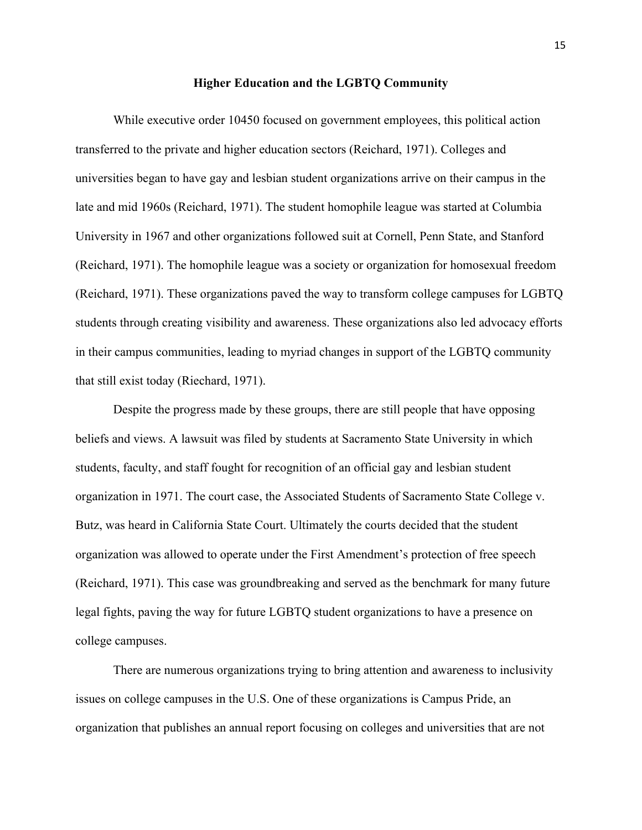#### **Higher Education and the LGBTQ Community**

While executive order 10450 focused on government employees, this political action transferred to the private and higher education sectors (Reichard, 1971). Colleges and universities began to have gay and lesbian student organizations arrive on their campus in the late and mid 1960s (Reichard, 1971). The student homophile league was started at Columbia University in 1967 and other organizations followed suit at Cornell, Penn State, and Stanford (Reichard, 1971). The homophile league was a society or organization for homosexual freedom (Reichard, 1971). These organizations paved the way to transform college campuses for LGBTQ students through creating visibility and awareness. These organizations also led advocacy efforts in their campus communities, leading to myriad changes in support of the LGBTQ community that still exist today (Riechard, 1971).

Despite the progress made by these groups, there are still people that have opposing beliefs and views. A lawsuit was filed by students at Sacramento State University in which students, faculty, and staff fought for recognition of an official gay and lesbian student organization in 1971. The court case, the Associated Students of Sacramento State College v. Butz, was heard in California State Court. Ultimately the courts decided that the student organization was allowed to operate under the First Amendment's protection of free speech (Reichard, 1971). This case was groundbreaking and served as the benchmark for many future legal fights, paving the way for future LGBTQ student organizations to have a presence on college campuses.

There are numerous organizations trying to bring attention and awareness to inclusivity issues on college campuses in the U.S. One of these organizations is Campus Pride, an organization that publishes an annual report focusing on colleges and universities that are not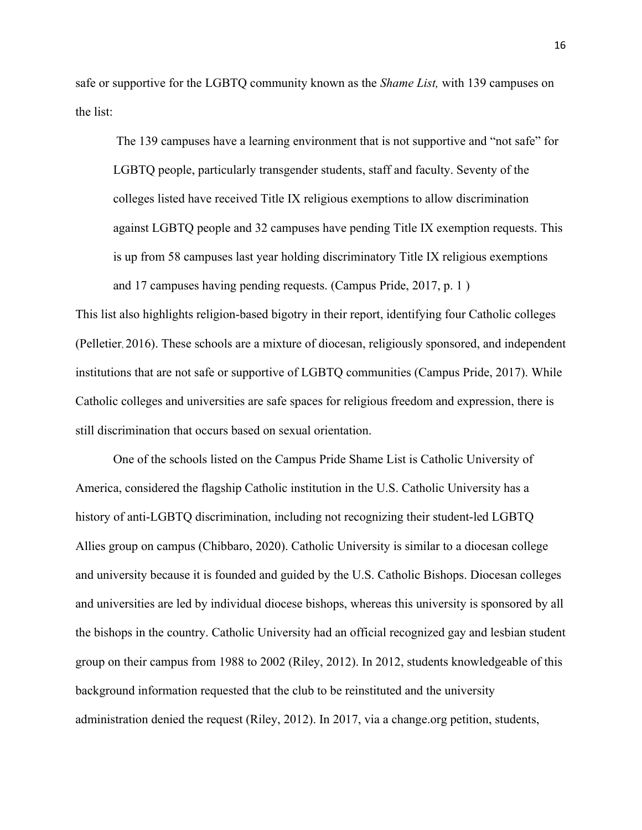safe or supportive for the LGBTQ community known as the *Shame List,* with 139 campuses on the list:

The 139 campuses have a learning environment that is not supportive and "not safe" for LGBTQ people, particularly transgender students, staff and faculty. Seventy of the colleges listed have received Title IX religious exemptions to allow discrimination against LGBTQ people and 32 campuses have pending Title IX exemption requests. This is up from 58 campuses last year holding discriminatory Title IX religious exemptions and 17 campuses having pending requests. (Campus Pride, 2017, p. 1 )

This list also highlights religion-based bigotry in their report, identifying four Catholic colleges (Pelletier, 2016). These schools are a mixture of diocesan, religiously sponsored, and independent institutions that are not safe or supportive of LGBTQ communities (Campus Pride, 2017). While Catholic colleges and universities are safe spaces for religious freedom and expression, there is still discrimination that occurs based on sexual orientation.

One of the schools listed on the Campus Pride Shame List is Catholic University of America, considered the flagship Catholic institution in the U.S. Catholic University has a history of anti-LGBTQ discrimination, including not recognizing their student-led LGBTQ Allies group on campus (Chibbaro, 2020). Catholic University is similar to a diocesan college and university because it is founded and guided by the U.S. Catholic Bishops. Diocesan colleges and universities are led by individual diocese bishops, whereas this university is sponsored by all the bishops in the country. Catholic University had an official recognized gay and lesbian student group on their campus from 1988 to 2002 (Riley, 2012). In 2012, students knowledgeable of this background information requested that the club to be reinstituted and the university administration denied the request (Riley, 2012). In 2017, via a change.org petition, students,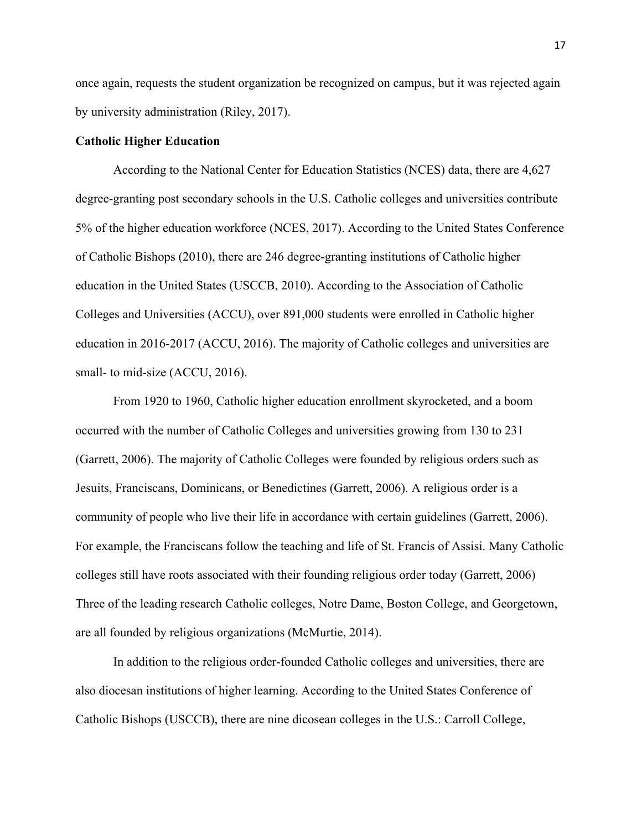once again, requests the student organization be recognized on campus, but it was rejected again by university administration (Riley, 2017).

#### **Catholic Higher Education**

According to the National Center for Education Statistics (NCES) data, there are 4,627 degree-granting post secondary schools in the U.S. Catholic colleges and universities contribute 5% of the higher education workforce (NCES, 2017). According to the United States Conference of Catholic Bishops (2010), there are 246 degree-granting institutions of Catholic higher education in the United States (USCCB, 2010). According to the Association of Catholic Colleges and Universities (ACCU), over 891,000 students were enrolled in Catholic higher education in 2016-2017 (ACCU, 2016). The majority of Catholic colleges and universities are small- to mid-size (ACCU, 2016).

From 1920 to 1960, Catholic higher education enrollment skyrocketed, and a boom occurred with the number of Catholic Colleges and universities growing from 130 to 231 (Garrett, 2006). The majority of Catholic Colleges were founded by religious orders such as Jesuits, Franciscans, Dominicans, or Benedictines (Garrett, 2006). A religious order is a community of people who live their life in accordance with certain guidelines (Garrett, 2006). For example, the Franciscans follow the teaching and life of St. Francis of Assisi. Many Catholic colleges still have roots associated with their founding religious order today (Garrett, 2006) Three of the leading research Catholic colleges, Notre Dame, Boston College, and Georgetown, are all founded by religious organizations (McMurtie, 2014).

In addition to the religious order-founded Catholic colleges and universities, there are also diocesan institutions of higher learning. According to the United States Conference of Catholic Bishops (USCCB), there are nine dicosean colleges in the U.S.: Carroll College,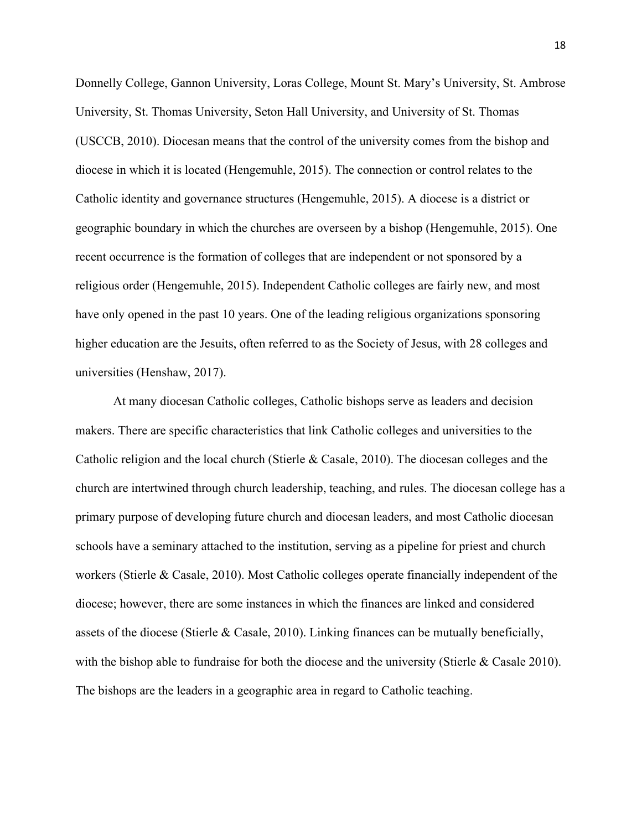Donnelly College, Gannon University, Loras College, Mount St. Mary's University, St. Ambrose University, St. Thomas University, Seton Hall University, and University of St. Thomas (USCCB, 2010). Diocesan means that the control of the university comes from the bishop and diocese in which it is located (Hengemuhle, 2015). The connection or control relates to the Catholic identity and governance structures (Hengemuhle, 2015). A diocese is a district or geographic boundary in which the churches are overseen by a bishop (Hengemuhle, 2015). One recent occurrence is the formation of colleges that are independent or not sponsored by a religious order (Hengemuhle, 2015). Independent Catholic colleges are fairly new, and most have only opened in the past 10 years. One of the leading religious organizations sponsoring higher education are the Jesuits, often referred to as the Society of Jesus, with 28 colleges and universities (Henshaw, 2017).

At many diocesan Catholic colleges, Catholic bishops serve as leaders and decision makers. There are specific characteristics that link Catholic colleges and universities to the Catholic religion and the local church (Stierle & Casale, 2010). The diocesan colleges and the church are intertwined through church leadership, teaching, and rules. The diocesan college has a primary purpose of developing future church and diocesan leaders, and most Catholic diocesan schools have a seminary attached to the institution, serving as a pipeline for priest and church workers (Stierle & Casale, 2010). Most Catholic colleges operate financially independent of the diocese; however, there are some instances in which the finances are linked and considered assets of the diocese (Stierle & Casale, 2010). Linking finances can be mutually beneficially, with the bishop able to fundraise for both the diocese and the university (Stierle & Casale 2010). The bishops are the leaders in a geographic area in regard to Catholic teaching.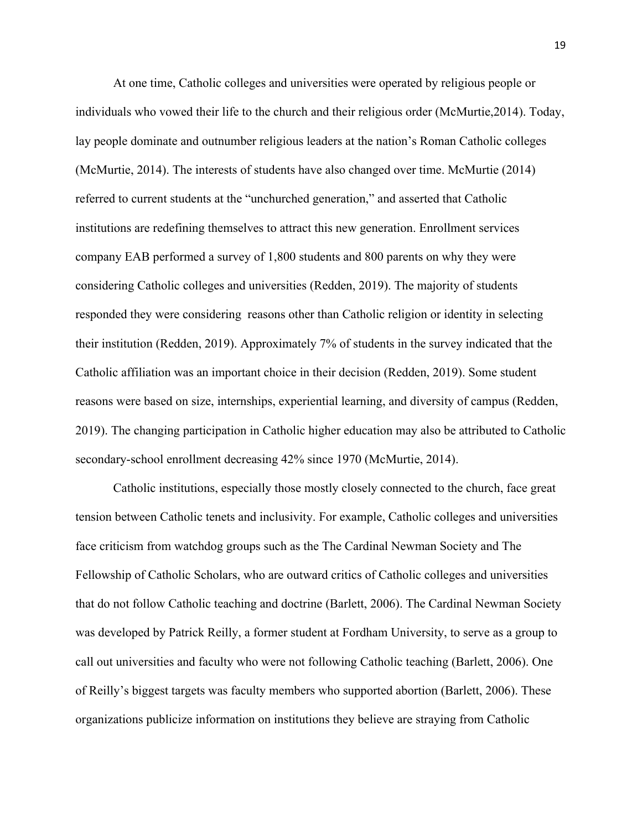At one time, Catholic colleges and universities were operated by religious people or individuals who vowed their life to the church and their religious order (McMurtie,2014). Today, lay people dominate and outnumber religious leaders at the nation's Roman Catholic colleges (McMurtie, 2014). The interests of students have also changed over time. McMurtie (2014) referred to current students at the "unchurched generation," and asserted that Catholic institutions are redefining themselves to attract this new generation. Enrollment services company EAB performed a survey of 1,800 students and 800 parents on why they were considering Catholic colleges and universities (Redden, 2019). The majority of students responded they were considering reasons other than Catholic religion or identity in selecting their institution (Redden, 2019). Approximately 7% of students in the survey indicated that the Catholic affiliation was an important choice in their decision (Redden, 2019). Some student reasons were based on size, internships, experiential learning, and diversity of campus (Redden, 2019). The changing participation in Catholic higher education may also be attributed to Catholic secondary-school enrollment decreasing 42% since 1970 (McMurtie, 2014).

Catholic institutions, especially those mostly closely connected to the church, face great tension between Catholic tenets and inclusivity. For example, Catholic colleges and universities face criticism from watchdog groups such as the The Cardinal Newman Society and The Fellowship of Catholic Scholars, who are outward critics of Catholic colleges and universities that do not follow Catholic teaching and doctrine (Barlett, 2006). The Cardinal Newman Society was developed by Patrick Reilly, a former student at Fordham University, to serve as a group to call out universities and faculty who were not following Catholic teaching (Barlett, 2006). One of Reilly's biggest targets was faculty members who supported abortion (Barlett, 2006). These organizations publicize information on institutions they believe are straying from Catholic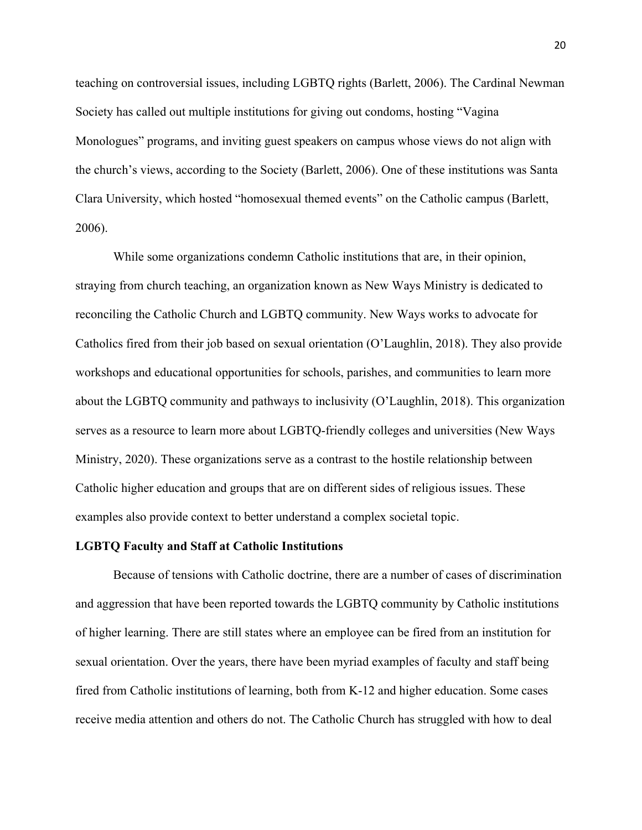teaching on controversial issues, including LGBTQ rights (Barlett, 2006). The Cardinal Newman Society has called out multiple institutions for giving out condoms, hosting "Vagina Monologues" programs, and inviting guest speakers on campus whose views do not align with the church's views, according to the Society (Barlett, 2006). One of these institutions was Santa Clara University, which hosted "homosexual themed events" on the Catholic campus (Barlett, 2006).

While some organizations condemn Catholic institutions that are, in their opinion, straying from church teaching, an organization known as New Ways Ministry is dedicated to reconciling the Catholic Church and LGBTQ community. New Ways works to advocate for Catholics fired from their job based on sexual orientation (O'Laughlin, 2018). They also provide workshops and educational opportunities for schools, parishes, and communities to learn more about the LGBTQ community and pathways to inclusivity (O'Laughlin, 2018). This organization serves as a resource to learn more about LGBTQ-friendly colleges and universities (New Ways Ministry, 2020). These organizations serve as a contrast to the hostile relationship between Catholic higher education and groups that are on different sides of religious issues. These examples also provide context to better understand a complex societal topic.

#### **LGBTQ Faculty and Staff at Catholic Institutions**

Because of tensions with Catholic doctrine, there are a number of cases of discrimination and aggression that have been reported towards the LGBTQ community by Catholic institutions of higher learning. There are still states where an employee can be fired from an institution for sexual orientation. Over the years, there have been myriad examples of faculty and staff being fired from Catholic institutions of learning, both from K-12 and higher education. Some cases receive media attention and others do not. The Catholic Church has struggled with how to deal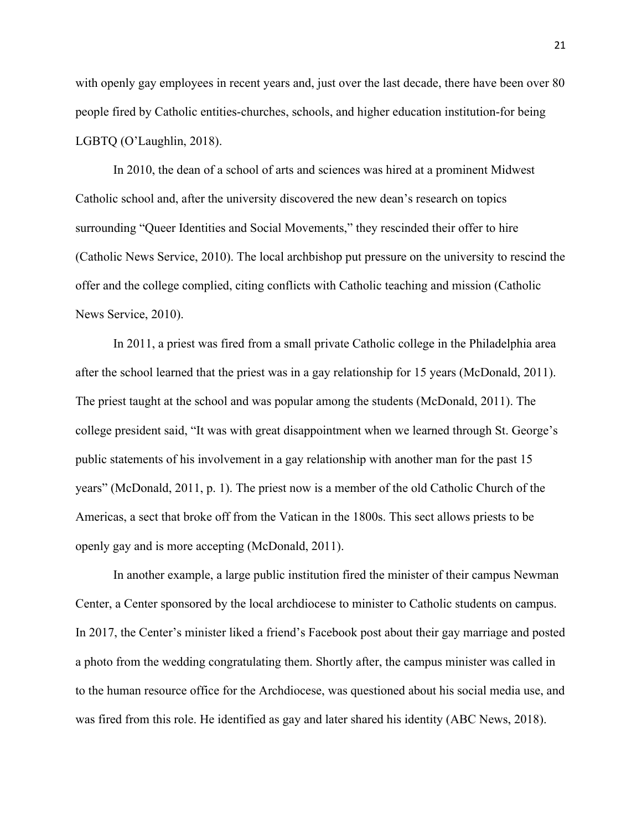with openly gay employees in recent years and, just over the last decade, there have been over 80 people fired by Catholic entities-churches, schools, and higher education institution-for being LGBTQ (O'Laughlin, 2018).

In 2010, the dean of a school of arts and sciences was hired at a prominent Midwest Catholic school and, after the university discovered the new dean's research on topics surrounding "Queer Identities and Social Movements," they rescinded their offer to hire (Catholic News Service, 2010). The local archbishop put pressure on the university to rescind the offer and the college complied, citing conflicts with Catholic teaching and mission (Catholic News Service, 2010).

In 2011, a priest was fired from a small private Catholic college in the Philadelphia area after the school learned that the priest was in a gay relationship for 15 years (McDonald, 2011). The priest taught at the school and was popular among the students (McDonald, 2011). The college president said, "It was with great disappointment when we learned through St. George's public statements of his involvement in a gay relationship with another man for the past 15 years" (McDonald, 2011, p. 1). The priest now is a member of the old Catholic Church of the Americas, a sect that broke off from the Vatican in the 1800s. This sect allows priests to be openly gay and is more accepting (McDonald, 2011).

In another example, a large public institution fired the minister of their campus Newman Center, a Center sponsored by the local archdiocese to minister to Catholic students on campus. In 2017, the Center's minister liked a friend's Facebook post about their gay marriage and posted a photo from the wedding congratulating them. Shortly after, the campus minister was called in to the human resource office for the Archdiocese, was questioned about his social media use, and was fired from this role. He identified as gay and later shared his identity (ABC News, 2018).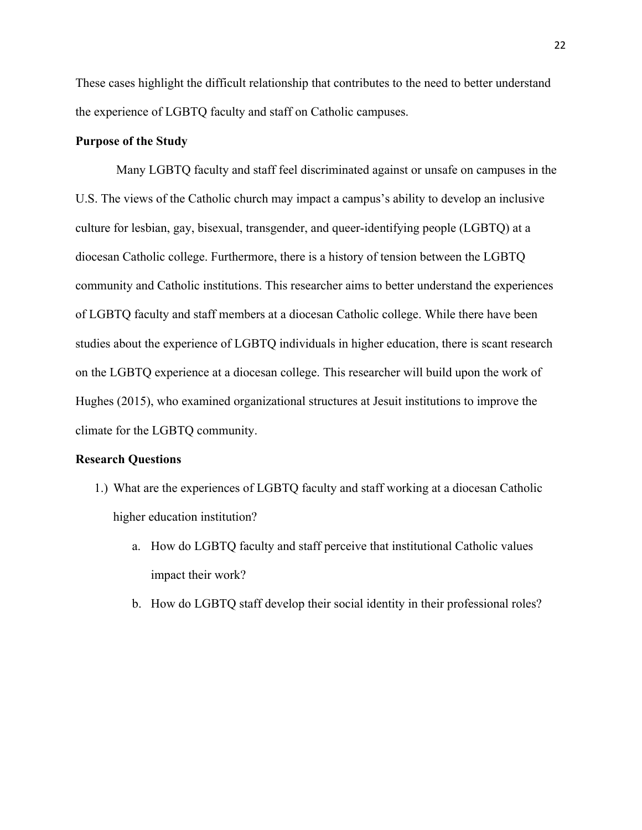These cases highlight the difficult relationship that contributes to the need to better understand the experience of LGBTQ faculty and staff on Catholic campuses.

#### **Purpose of the Study**

 Many LGBTQ faculty and staff feel discriminated against or unsafe on campuses in the U.S. The views of the Catholic church may impact a campus's ability to develop an inclusive culture for lesbian, gay, bisexual, transgender, and queer-identifying people (LGBTQ) at a diocesan Catholic college. Furthermore, there is a history of tension between the LGBTQ community and Catholic institutions. This researcher aims to better understand the experiences of LGBTQ faculty and staff members at a diocesan Catholic college. While there have been studies about the experience of LGBTQ individuals in higher education, there is scant research on the LGBTQ experience at a diocesan college. This researcher will build upon the work of Hughes (2015), who examined organizational structures at Jesuit institutions to improve the climate for the LGBTQ community.

#### **Research Questions**

- 1.) What are the experiences of LGBTQ faculty and staff working at a diocesan Catholic higher education institution?
	- a. How do LGBTQ faculty and staff perceive that institutional Catholic values impact their work?
	- b. How do LGBTQ staff develop their social identity in their professional roles?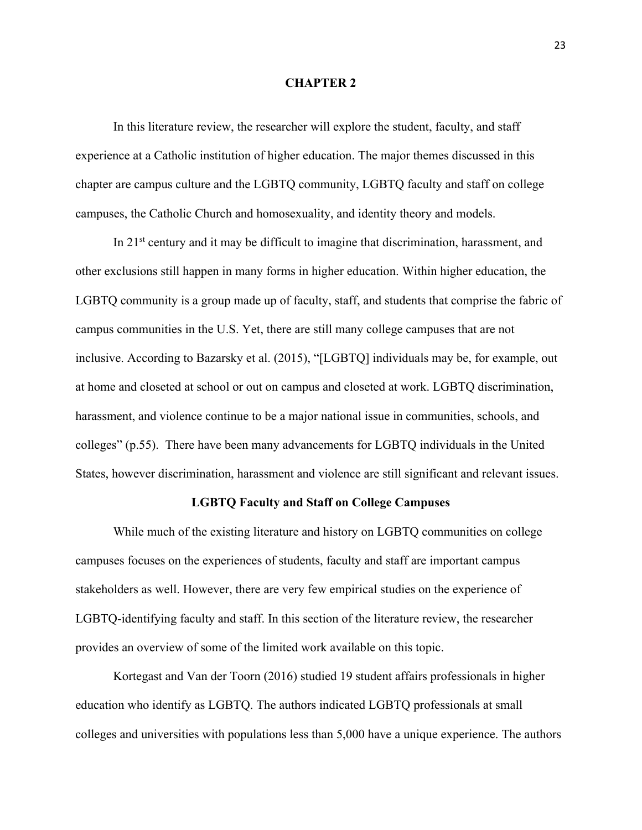#### **CHAPTER 2**

In this literature review, the researcher will explore the student, faculty, and staff experience at a Catholic institution of higher education. The major themes discussed in this chapter are campus culture and the LGBTQ community, LGBTQ faculty and staff on college campuses, the Catholic Church and homosexuality, and identity theory and models.

In 21st century and it may be difficult to imagine that discrimination, harassment, and other exclusions still happen in many forms in higher education. Within higher education, the LGBTQ community is a group made up of faculty, staff, and students that comprise the fabric of campus communities in the U.S. Yet, there are still many college campuses that are not inclusive. According to Bazarsky et al. (2015), "[LGBTQ] individuals may be, for example, out at home and closeted at school or out on campus and closeted at work. LGBTQ discrimination, harassment, and violence continue to be a major national issue in communities, schools, and colleges" (p.55). There have been many advancements for LGBTQ individuals in the United States, however discrimination, harassment and violence are still significant and relevant issues.

#### **LGBTQ Faculty and Staff on College Campuses**

While much of the existing literature and history on LGBTQ communities on college campuses focuses on the experiences of students, faculty and staff are important campus stakeholders as well. However, there are very few empirical studies on the experience of LGBTQ-identifying faculty and staff. In this section of the literature review, the researcher provides an overview of some of the limited work available on this topic.

Kortegast and Van der Toorn (2016) studied 19 student affairs professionals in higher education who identify as LGBTQ. The authors indicated LGBTQ professionals at small colleges and universities with populations less than 5,000 have a unique experience. The authors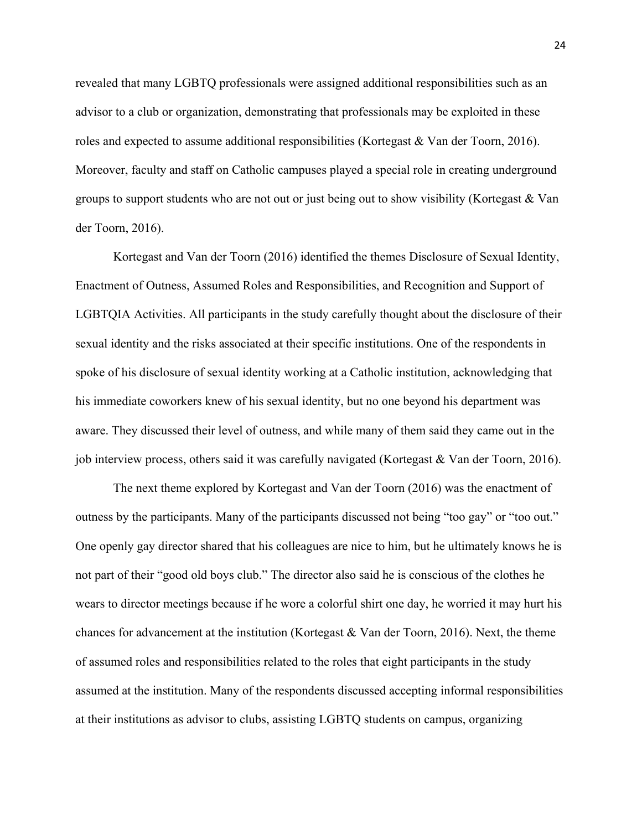revealed that many LGBTQ professionals were assigned additional responsibilities such as an advisor to a club or organization, demonstrating that professionals may be exploited in these roles and expected to assume additional responsibilities (Kortegast & Van der Toorn, 2016). Moreover, faculty and staff on Catholic campuses played a special role in creating underground groups to support students who are not out or just being out to show visibility (Kortegast & Van der Toorn, 2016).

Kortegast and Van der Toorn (2016) identified the themes Disclosure of Sexual Identity, Enactment of Outness, Assumed Roles and Responsibilities, and Recognition and Support of LGBTQIA Activities. All participants in the study carefully thought about the disclosure of their sexual identity and the risks associated at their specific institutions. One of the respondents in spoke of his disclosure of sexual identity working at a Catholic institution, acknowledging that his immediate coworkers knew of his sexual identity, but no one beyond his department was aware. They discussed their level of outness, and while many of them said they came out in the job interview process, others said it was carefully navigated (Kortegast & Van der Toorn, 2016).

The next theme explored by Kortegast and Van der Toorn (2016) was the enactment of outness by the participants. Many of the participants discussed not being "too gay" or "too out." One openly gay director shared that his colleagues are nice to him, but he ultimately knows he is not part of their "good old boys club." The director also said he is conscious of the clothes he wears to director meetings because if he wore a colorful shirt one day, he worried it may hurt his chances for advancement at the institution (Kortegast & Van der Toorn, 2016). Next, the theme of assumed roles and responsibilities related to the roles that eight participants in the study assumed at the institution. Many of the respondents discussed accepting informal responsibilities at their institutions as advisor to clubs, assisting LGBTQ students on campus, organizing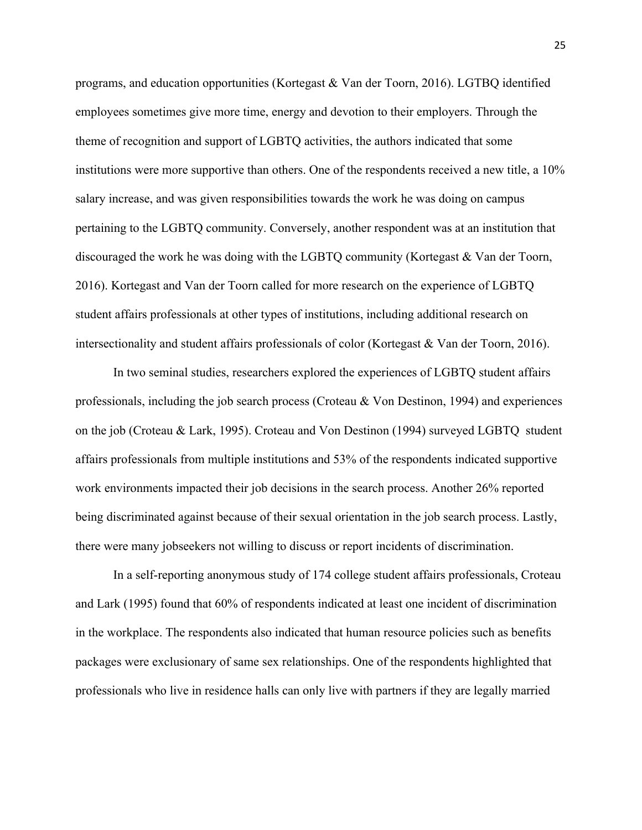programs, and education opportunities (Kortegast & Van der Toorn, 2016). LGTBQ identified employees sometimes give more time, energy and devotion to their employers. Through the theme of recognition and support of LGBTQ activities, the authors indicated that some institutions were more supportive than others. One of the respondents received a new title, a 10% salary increase, and was given responsibilities towards the work he was doing on campus pertaining to the LGBTQ community. Conversely, another respondent was at an institution that discouraged the work he was doing with the LGBTQ community (Kortegast & Van der Toorn, 2016). Kortegast and Van der Toorn called for more research on the experience of LGBTQ student affairs professionals at other types of institutions, including additional research on intersectionality and student affairs professionals of color (Kortegast & Van der Toorn, 2016).

In two seminal studies, researchers explored the experiences of LGBTQ student affairs professionals, including the job search process (Croteau & Von Destinon, 1994) and experiences on the job (Croteau & Lark, 1995). Croteau and Von Destinon (1994) surveyed LGBTQ student affairs professionals from multiple institutions and 53% of the respondents indicated supportive work environments impacted their job decisions in the search process. Another 26% reported being discriminated against because of their sexual orientation in the job search process. Lastly, there were many jobseekers not willing to discuss or report incidents of discrimination.

In a self-reporting anonymous study of 174 college student affairs professionals, Croteau and Lark (1995) found that 60% of respondents indicated at least one incident of discrimination in the workplace. The respondents also indicated that human resource policies such as benefits packages were exclusionary of same sex relationships. One of the respondents highlighted that professionals who live in residence halls can only live with partners if they are legally married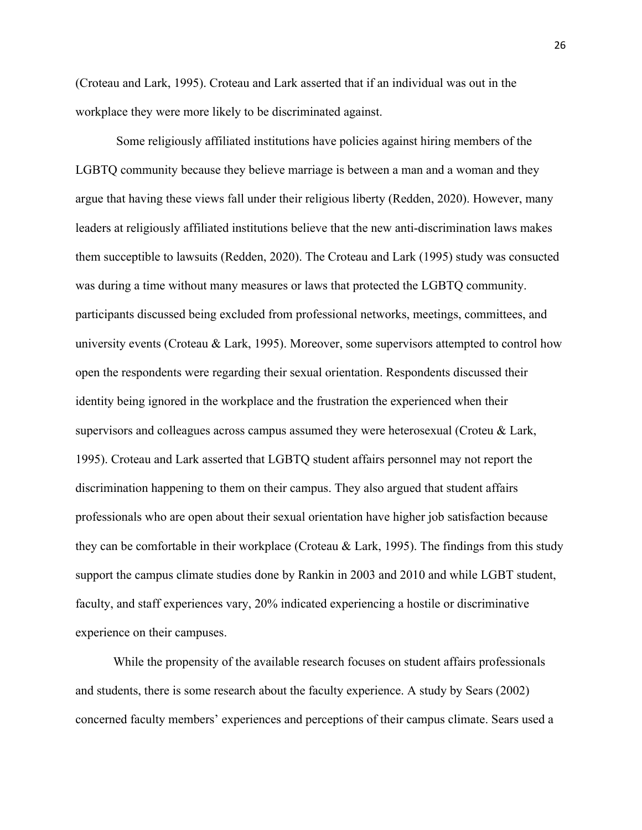(Croteau and Lark, 1995). Croteau and Lark asserted that if an individual was out in the workplace they were more likely to be discriminated against.

Some religiously affiliated institutions have policies against hiring members of the LGBTQ community because they believe marriage is between a man and a woman and they argue that having these views fall under their religious liberty (Redden, 2020). However, many leaders at religiously affiliated institutions believe that the new anti-discrimination laws makes them succeptible to lawsuits (Redden, 2020). The Croteau and Lark (1995) study was consucted was during a time without many measures or laws that protected the LGBTQ community. participants discussed being excluded from professional networks, meetings, committees, and university events (Croteau & Lark, 1995). Moreover, some supervisors attempted to control how open the respondents were regarding their sexual orientation. Respondents discussed their identity being ignored in the workplace and the frustration the experienced when their supervisors and colleagues across campus assumed they were heterosexual (Croteu & Lark, 1995). Croteau and Lark asserted that LGBTQ student affairs personnel may not report the discrimination happening to them on their campus. They also argued that student affairs professionals who are open about their sexual orientation have higher job satisfaction because they can be comfortable in their workplace (Croteau & Lark, 1995). The findings from this study support the campus climate studies done by Rankin in 2003 and 2010 and while LGBT student, faculty, and staff experiences vary, 20% indicated experiencing a hostile or discriminative experience on their campuses.

While the propensity of the available research focuses on student affairs professionals and students, there is some research about the faculty experience. A study by Sears (2002) concerned faculty members' experiences and perceptions of their campus climate. Sears used a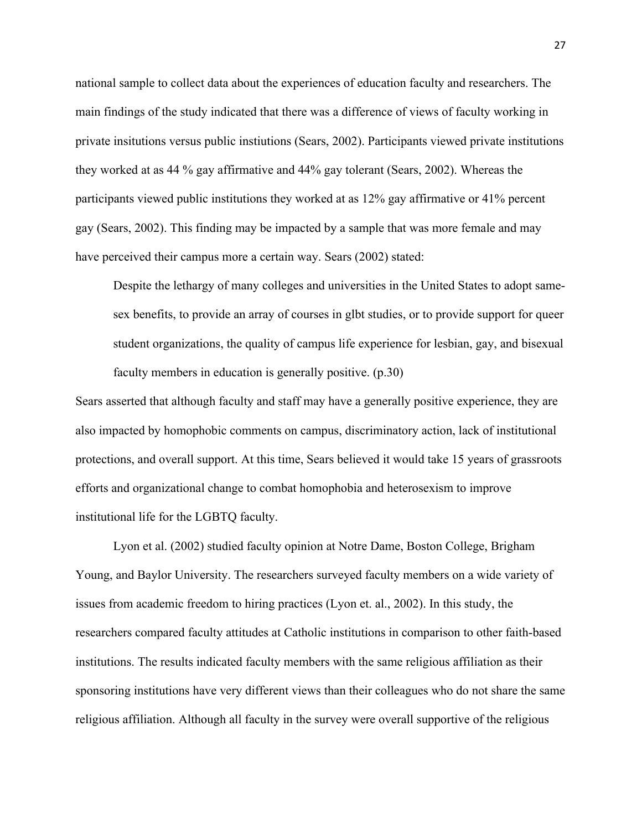national sample to collect data about the experiences of education faculty and researchers. The main findings of the study indicated that there was a difference of views of faculty working in private insitutions versus public instiutions (Sears, 2002). Participants viewed private institutions they worked at as 44 % gay affirmative and 44% gay tolerant (Sears, 2002). Whereas the participants viewed public institutions they worked at as 12% gay affirmative or 41% percent gay (Sears, 2002). This finding may be impacted by a sample that was more female and may have perceived their campus more a certain way. Sears (2002) stated:

Despite the lethargy of many colleges and universities in the United States to adopt samesex benefits, to provide an array of courses in glbt studies, or to provide support for queer student organizations, the quality of campus life experience for lesbian, gay, and bisexual faculty members in education is generally positive. (p.30)

Sears asserted that although faculty and staff may have a generally positive experience, they are also impacted by homophobic comments on campus, discriminatory action, lack of institutional protections, and overall support. At this time, Sears believed it would take 15 years of grassroots efforts and organizational change to combat homophobia and heterosexism to improve institutional life for the LGBTQ faculty.

Lyon et al. (2002) studied faculty opinion at Notre Dame, Boston College, Brigham Young, and Baylor University. The researchers surveyed faculty members on a wide variety of issues from academic freedom to hiring practices (Lyon et. al., 2002). In this study, the researchers compared faculty attitudes at Catholic institutions in comparison to other faith-based institutions. The results indicated faculty members with the same religious affiliation as their sponsoring institutions have very different views than their colleagues who do not share the same religious affiliation. Although all faculty in the survey were overall supportive of the religious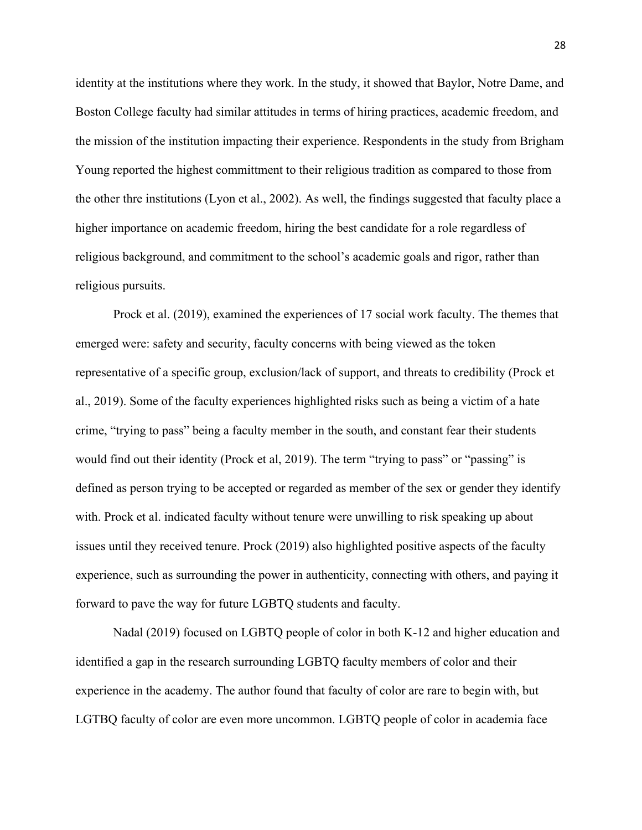identity at the institutions where they work. In the study, it showed that Baylor, Notre Dame, and Boston College faculty had similar attitudes in terms of hiring practices, academic freedom, and the mission of the institution impacting their experience. Respondents in the study from Brigham Young reported the highest committment to their religious tradition as compared to those from the other thre institutions (Lyon et al., 2002). As well, the findings suggested that faculty place a higher importance on academic freedom, hiring the best candidate for a role regardless of religious background, and commitment to the school's academic goals and rigor, rather than religious pursuits.

Prock et al. (2019), examined the experiences of 17 social work faculty. The themes that emerged were: safety and security, faculty concerns with being viewed as the token representative of a specific group, exclusion/lack of support, and threats to credibility (Prock et al., 2019). Some of the faculty experiences highlighted risks such as being a victim of a hate crime, "trying to pass" being a faculty member in the south, and constant fear their students would find out their identity (Prock et al, 2019). The term "trying to pass" or "passing" is defined as person trying to be accepted or regarded as member of the sex or gender they identify with. Prock et al. indicated faculty without tenure were unwilling to risk speaking up about issues until they received tenure. Prock (2019) also highlighted positive aspects of the faculty experience, such as surrounding the power in authenticity, connecting with others, and paying it forward to pave the way for future LGBTQ students and faculty.

Nadal (2019) focused on LGBTQ people of color in both K-12 and higher education and identified a gap in the research surrounding LGBTQ faculty members of color and their experience in the academy. The author found that faculty of color are rare to begin with, but LGTBQ faculty of color are even more uncommon. LGBTQ people of color in academia face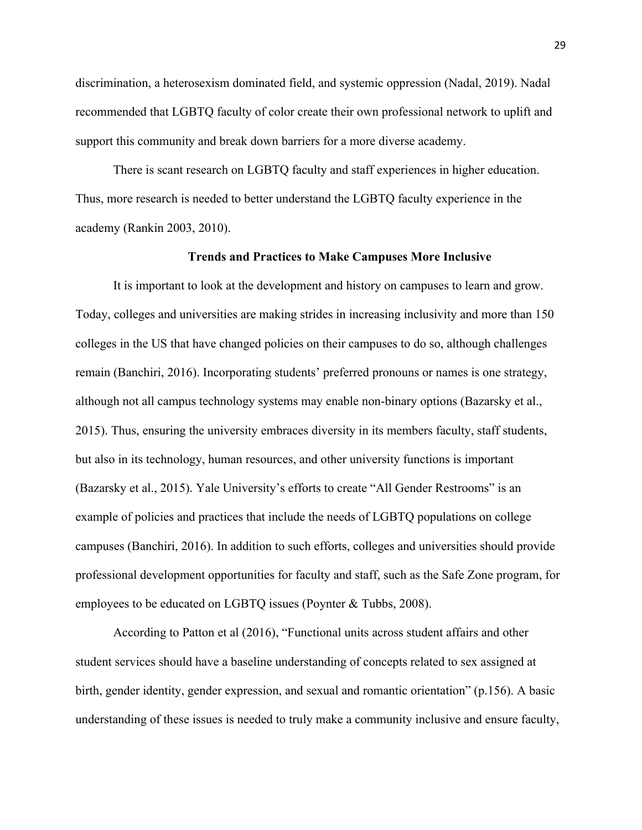discrimination, a heterosexism dominated field, and systemic oppression (Nadal, 2019). Nadal recommended that LGBTQ faculty of color create their own professional network to uplift and support this community and break down barriers for a more diverse academy.

There is scant research on LGBTQ faculty and staff experiences in higher education. Thus, more research is needed to better understand the LGBTQ faculty experience in the academy (Rankin 2003, 2010).

#### **Trends and Practices to Make Campuses More Inclusive**

It is important to look at the development and history on campuses to learn and grow. Today, colleges and universities are making strides in increasing inclusivity and more than 150 colleges in the US that have changed policies on their campuses to do so, although challenges remain (Banchiri, 2016). Incorporating students' preferred pronouns or names is one strategy, although not all campus technology systems may enable non-binary options (Bazarsky et al., 2015). Thus, ensuring the university embraces diversity in its members faculty, staff students, but also in its technology, human resources, and other university functions is important (Bazarsky et al., 2015). Yale University's efforts to create "All Gender Restrooms" is an example of policies and practices that include the needs of LGBTQ populations on college campuses (Banchiri, 2016). In addition to such efforts, colleges and universities should provide professional development opportunities for faculty and staff, such as the Safe Zone program, for employees to be educated on LGBTQ issues (Poynter & Tubbs, 2008).

According to Patton et al (2016), "Functional units across student affairs and other student services should have a baseline understanding of concepts related to sex assigned at birth, gender identity, gender expression, and sexual and romantic orientation" (p.156). A basic understanding of these issues is needed to truly make a community inclusive and ensure faculty,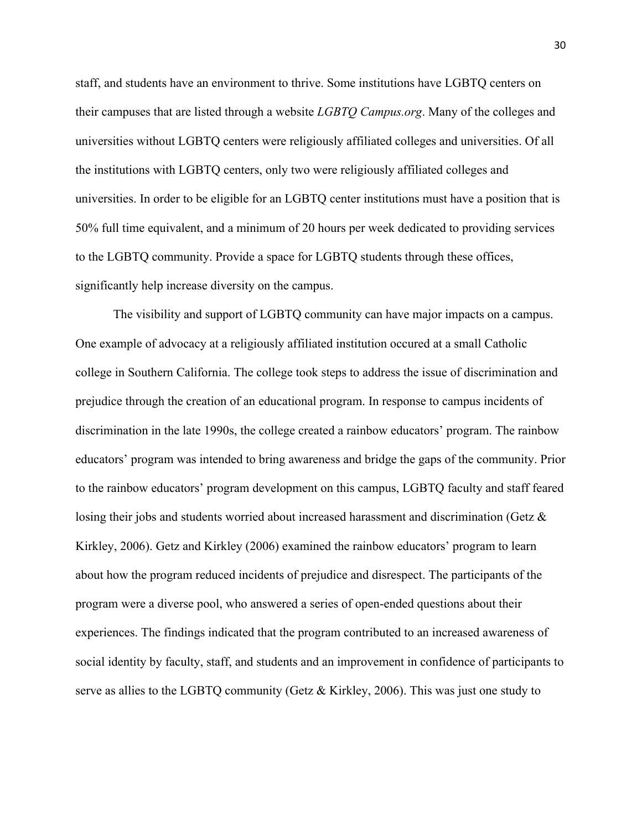staff, and students have an environment to thrive. Some institutions have LGBTQ centers on their campuses that are listed through a website *LGBTQ Campus.org*. Many of the colleges and universities without LGBTQ centers were religiously affiliated colleges and universities. Of all the institutions with LGBTQ centers, only two were religiously affiliated colleges and universities. In order to be eligible for an LGBTQ center institutions must have a position that is 50% full time equivalent, and a minimum of 20 hours per week dedicated to providing services to the LGBTQ community. Provide a space for LGBTQ students through these offices, significantly help increase diversity on the campus.

The visibility and support of LGBTQ community can have major impacts on a campus. One example of advocacy at a religiously affiliated institution occured at a small Catholic college in Southern California. The college took steps to address the issue of discrimination and prejudice through the creation of an educational program. In response to campus incidents of discrimination in the late 1990s, the college created a rainbow educators' program. The rainbow educators' program was intended to bring awareness and bridge the gaps of the community. Prior to the rainbow educators' program development on this campus, LGBTQ faculty and staff feared losing their jobs and students worried about increased harassment and discrimination (Getz & Kirkley, 2006). Getz and Kirkley (2006) examined the rainbow educators' program to learn about how the program reduced incidents of prejudice and disrespect. The participants of the program were a diverse pool, who answered a series of open-ended questions about their experiences. The findings indicated that the program contributed to an increased awareness of social identity by faculty, staff, and students and an improvement in confidence of participants to serve as allies to the LGBTQ community (Getz & Kirkley, 2006). This was just one study to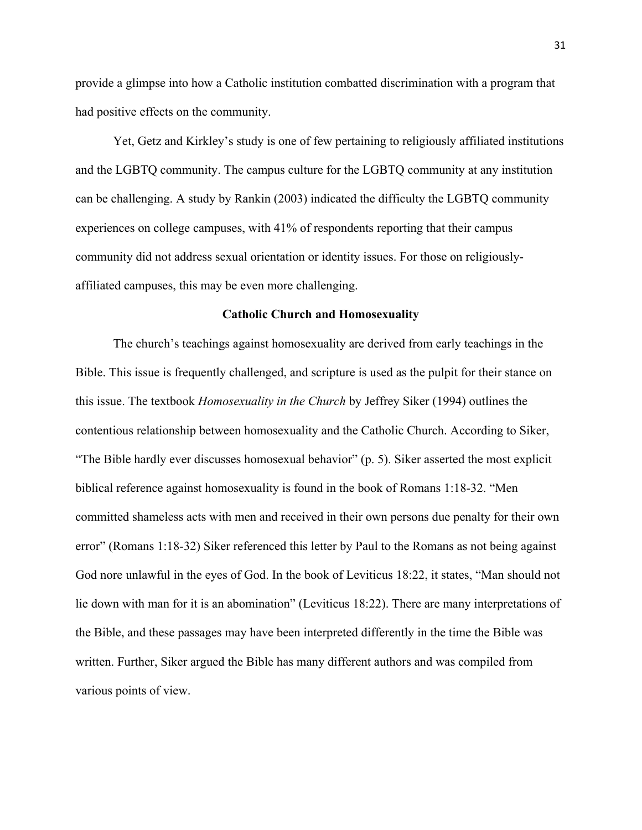provide a glimpse into how a Catholic institution combatted discrimination with a program that had positive effects on the community.

Yet, Getz and Kirkley's study is one of few pertaining to religiously affiliated institutions and the LGBTQ community. The campus culture for the LGBTQ community at any institution can be challenging. A study by Rankin (2003) indicated the difficulty the LGBTQ community experiences on college campuses, with 41% of respondents reporting that their campus community did not address sexual orientation or identity issues. For those on religiouslyaffiliated campuses, this may be even more challenging.

#### **Catholic Church and Homosexuality**

The church's teachings against homosexuality are derived from early teachings in the Bible. This issue is frequently challenged, and scripture is used as the pulpit for their stance on this issue. The textbook *Homosexuality in the Church* by Jeffrey Siker (1994) outlines the contentious relationship between homosexuality and the Catholic Church. According to Siker, "The Bible hardly ever discusses homosexual behavior" (p. 5). Siker asserted the most explicit biblical reference against homosexuality is found in the book of Romans 1:18-32. "Men committed shameless acts with men and received in their own persons due penalty for their own error" (Romans 1:18-32) Siker referenced this letter by Paul to the Romans as not being against God nore unlawful in the eyes of God. In the book of Leviticus 18:22, it states, "Man should not lie down with man for it is an abomination" (Leviticus 18:22). There are many interpretations of the Bible, and these passages may have been interpreted differently in the time the Bible was written. Further, Siker argued the Bible has many different authors and was compiled from various points of view.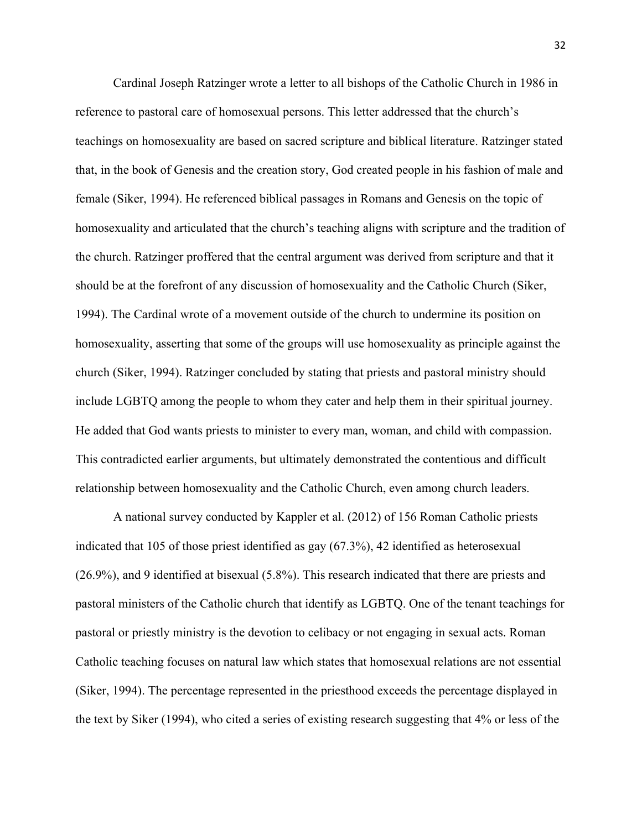Cardinal Joseph Ratzinger wrote a letter to all bishops of the Catholic Church in 1986 in reference to pastoral care of homosexual persons. This letter addressed that the church's teachings on homosexuality are based on sacred scripture and biblical literature. Ratzinger stated that, in the book of Genesis and the creation story, God created people in his fashion of male and female (Siker, 1994). He referenced biblical passages in Romans and Genesis on the topic of homosexuality and articulated that the church's teaching aligns with scripture and the tradition of the church. Ratzinger proffered that the central argument was derived from scripture and that it should be at the forefront of any discussion of homosexuality and the Catholic Church (Siker, 1994). The Cardinal wrote of a movement outside of the church to undermine its position on homosexuality, asserting that some of the groups will use homosexuality as principle against the church (Siker, 1994). Ratzinger concluded by stating that priests and pastoral ministry should include LGBTQ among the people to whom they cater and help them in their spiritual journey. He added that God wants priests to minister to every man, woman, and child with compassion. This contradicted earlier arguments, but ultimately demonstrated the contentious and difficult relationship between homosexuality and the Catholic Church, even among church leaders.

A national survey conducted by Kappler et al. (2012) of 156 Roman Catholic priests indicated that 105 of those priest identified as gay (67.3%), 42 identified as heterosexual (26.9%), and 9 identified at bisexual (5.8%). This research indicated that there are priests and pastoral ministers of the Catholic church that identify as LGBTQ. One of the tenant teachings for pastoral or priestly ministry is the devotion to celibacy or not engaging in sexual acts. Roman Catholic teaching focuses on natural law which states that homosexual relations are not essential (Siker, 1994). The percentage represented in the priesthood exceeds the percentage displayed in the text by Siker (1994), who cited a series of existing research suggesting that 4% or less of the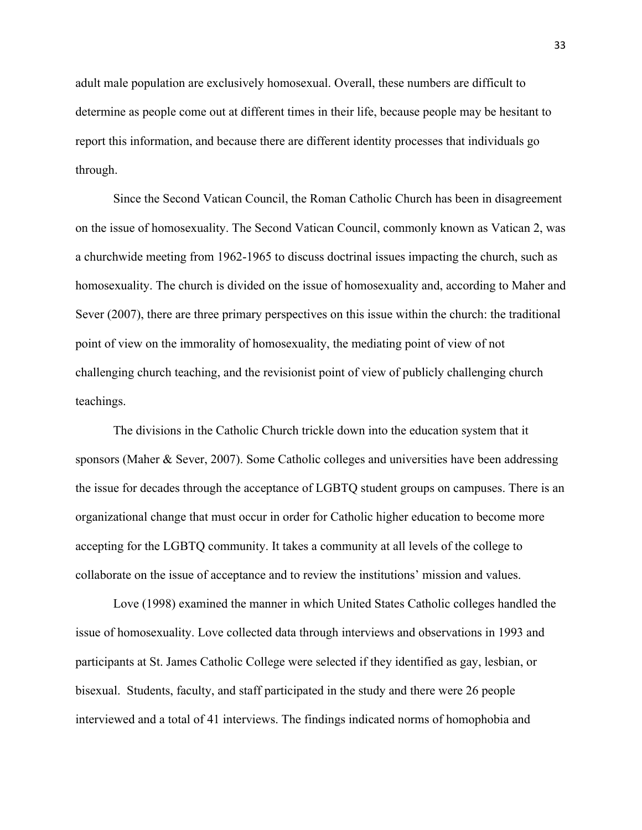adult male population are exclusively homosexual. Overall, these numbers are difficult to determine as people come out at different times in their life, because people may be hesitant to report this information, and because there are different identity processes that individuals go through.

Since the Second Vatican Council, the Roman Catholic Church has been in disagreement on the issue of homosexuality. The Second Vatican Council, commonly known as Vatican 2, was a churchwide meeting from 1962-1965 to discuss doctrinal issues impacting the church, such as homosexuality. The church is divided on the issue of homosexuality and, according to Maher and Sever (2007), there are three primary perspectives on this issue within the church: the traditional point of view on the immorality of homosexuality, the mediating point of view of not challenging church teaching, and the revisionist point of view of publicly challenging church teachings.

The divisions in the Catholic Church trickle down into the education system that it sponsors (Maher & Sever, 2007). Some Catholic colleges and universities have been addressing the issue for decades through the acceptance of LGBTQ student groups on campuses. There is an organizational change that must occur in order for Catholic higher education to become more accepting for the LGBTQ community. It takes a community at all levels of the college to collaborate on the issue of acceptance and to review the institutions' mission and values.

Love (1998) examined the manner in which United States Catholic colleges handled the issue of homosexuality. Love collected data through interviews and observations in 1993 and participants at St. James Catholic College were selected if they identified as gay, lesbian, or bisexual. Students, faculty, and staff participated in the study and there were 26 people interviewed and a total of 41 interviews. The findings indicated norms of homophobia and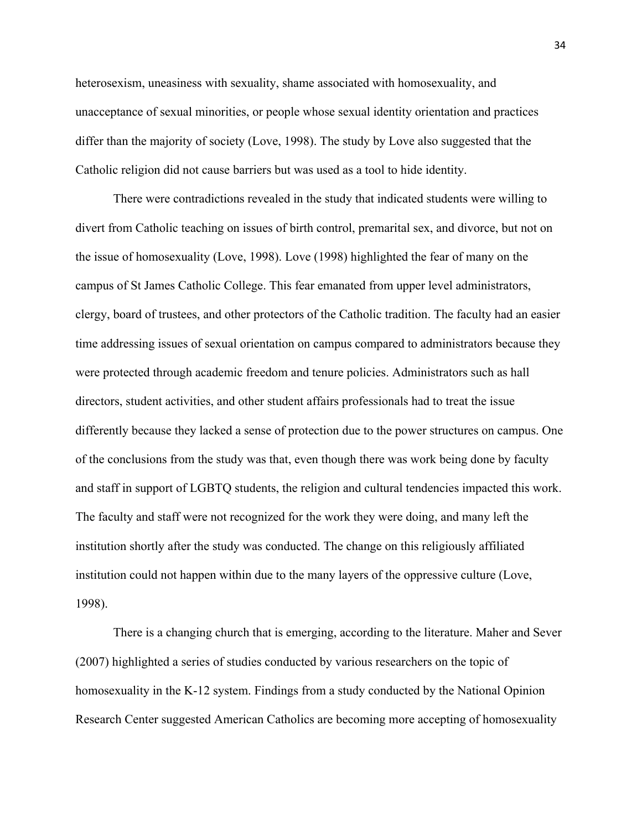heterosexism, uneasiness with sexuality, shame associated with homosexuality, and unacceptance of sexual minorities, or people whose sexual identity orientation and practices differ than the majority of society (Love, 1998). The study by Love also suggested that the Catholic religion did not cause barriers but was used as a tool to hide identity.

There were contradictions revealed in the study that indicated students were willing to divert from Catholic teaching on issues of birth control, premarital sex, and divorce, but not on the issue of homosexuality (Love, 1998). Love (1998) highlighted the fear of many on the campus of St James Catholic College. This fear emanated from upper level administrators, clergy, board of trustees, and other protectors of the Catholic tradition. The faculty had an easier time addressing issues of sexual orientation on campus compared to administrators because they were protected through academic freedom and tenure policies. Administrators such as hall directors, student activities, and other student affairs professionals had to treat the issue differently because they lacked a sense of protection due to the power structures on campus. One of the conclusions from the study was that, even though there was work being done by faculty and staff in support of LGBTQ students, the religion and cultural tendencies impacted this work. The faculty and staff were not recognized for the work they were doing, and many left the institution shortly after the study was conducted. The change on this religiously affiliated institution could not happen within due to the many layers of the oppressive culture (Love, 1998).

There is a changing church that is emerging, according to the literature. Maher and Sever (2007) highlighted a series of studies conducted by various researchers on the topic of homosexuality in the K-12 system. Findings from a study conducted by the National Opinion Research Center suggested American Catholics are becoming more accepting of homosexuality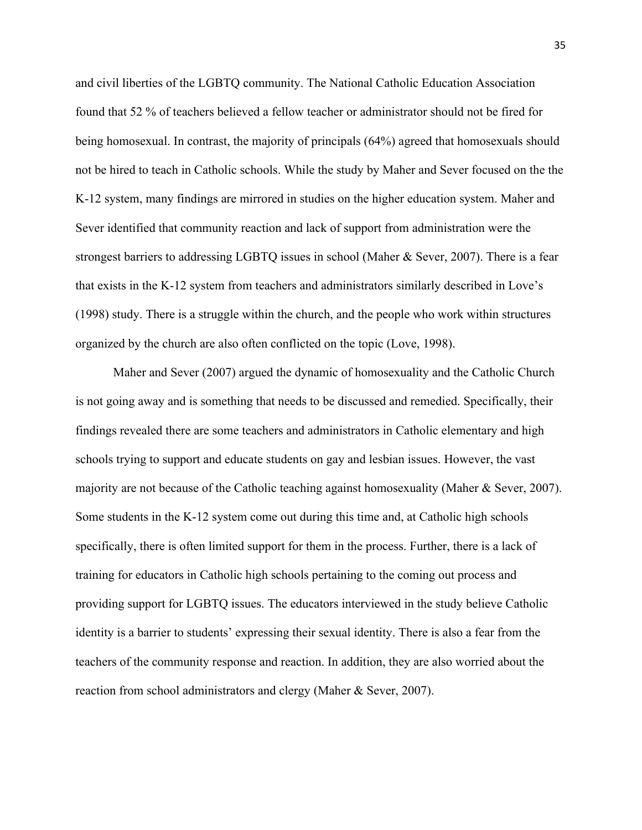and civil liberties of the LGBTQ community. The National Catholic Education Association found that 52 % of teachers believed a fellow teacher or administrator should not be fired for being homosexual. In contrast, the majority of principals (64%) agreed that homosexuals should not be hired to teach in Catholic schools. While the study by Maher and Sever focused on the the K-12 system, many findings are mirrored in studies on the higher education system. Maher and Sever identified that community reaction and lack of support from administration were the strongest barriers to addressing LGBTQ issues in school (Maher & Sever, 2007). There is a fear that exists in the K-12 system from teachers and administrators similarly described in Love's (1998) study. There is a struggle within the church, and the people who work within structures organized by the church are also often conflicted on the topic (Love, 1998).

Maher and Sever (2007) argued the dynamic of homosexuality and the Catholic Church is not going away and is something that needs to be discussed and remedied. Specifically, their findings revealed there are some teachers and administrators in Catholic elementary and high schools trying to support and educate students on gay and lesbian issues. However, the vast majority are not because of the Catholic teaching against homosexuality (Maher & Sever, 2007). Some students in the K-12 system come out during this time and, at Catholic high schools specifically, there is often limited support for them in the process. Further, there is a lack of training for educators in Catholic high schools pertaining to the coming out process and providing support for LGBTQ issues. The educators interviewed in the study believe Catholic identity is a barrier to students' expressing their sexual identity. There is also a fear from the teachers of the community response and reaction. In addition, they are also worried about the reaction from school administrators and clergy (Maher & Sever, 2007).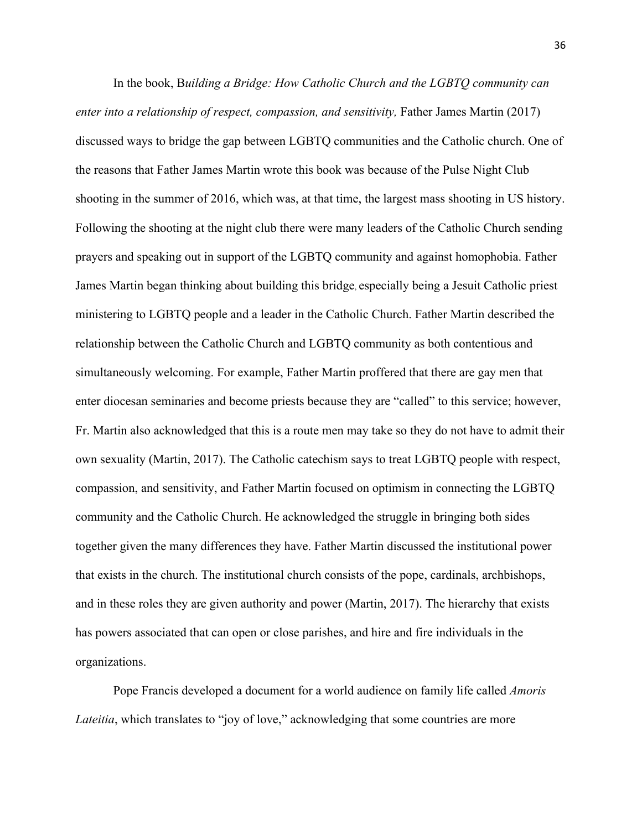In the book, B*uilding a Bridge: How Catholic Church and the LGBTQ community can enter into a relationship of respect, compassion, and sensitivity, Father James Martin (2017)* discussed ways to bridge the gap between LGBTQ communities and the Catholic church. One of the reasons that Father James Martin wrote this book was because of the Pulse Night Club shooting in the summer of 2016, which was, at that time, the largest mass shooting in US history. Following the shooting at the night club there were many leaders of the Catholic Church sending prayers and speaking out in support of the LGBTQ community and against homophobia. Father James Martin began thinking about building this bridge, especially being a Jesuit Catholic priest ministering to LGBTQ people and a leader in the Catholic Church. Father Martin described the relationship between the Catholic Church and LGBTQ community as both contentious and simultaneously welcoming. For example, Father Martin proffered that there are gay men that enter diocesan seminaries and become priests because they are "called" to this service; however, Fr. Martin also acknowledged that this is a route men may take so they do not have to admit their own sexuality (Martin, 2017). The Catholic catechism says to treat LGBTQ people with respect, compassion, and sensitivity, and Father Martin focused on optimism in connecting the LGBTQ community and the Catholic Church. He acknowledged the struggle in bringing both sides together given the many differences they have. Father Martin discussed the institutional power that exists in the church. The institutional church consists of the pope, cardinals, archbishops, and in these roles they are given authority and power (Martin, 2017). The hierarchy that exists has powers associated that can open or close parishes, and hire and fire individuals in the organizations.

Pope Francis developed a document for a world audience on family life called *Amoris Lateitia*, which translates to "joy of love," acknowledging that some countries are more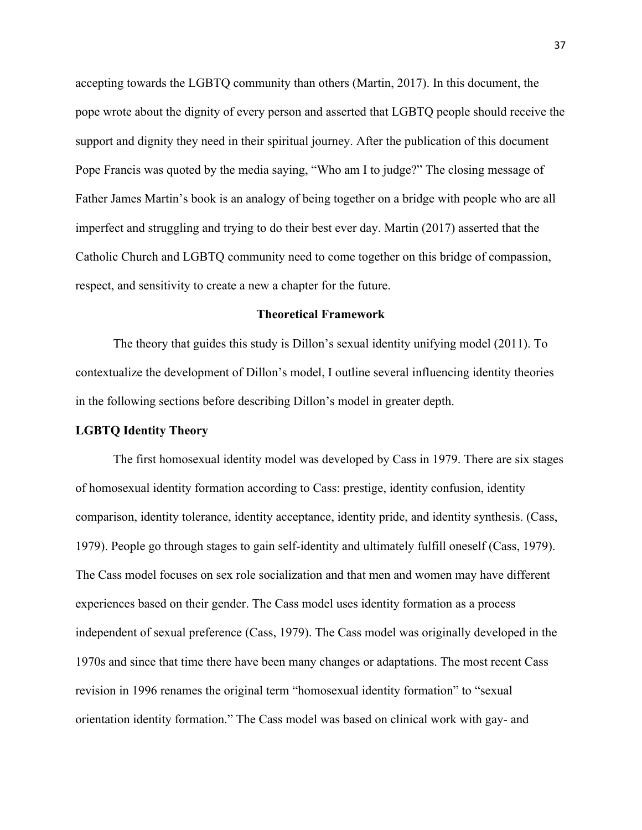accepting towards the LGBTQ community than others (Martin, 2017). In this document, the pope wrote about the dignity of every person and asserted that LGBTQ people should receive the support and dignity they need in their spiritual journey. After the publication of this document Pope Francis was quoted by the media saying, "Who am I to judge?" The closing message of Father James Martin's book is an analogy of being together on a bridge with people who are all imperfect and struggling and trying to do their best ever day. Martin (2017) asserted that the Catholic Church and LGBTQ community need to come together on this bridge of compassion, respect, and sensitivity to create a new a chapter for the future.

### **Theoretical Framework**

The theory that guides this study is Dillon's sexual identity unifying model (2011). To contextualize the development of Dillon's model, I outline several influencing identity theories in the following sections before describing Dillon's model in greater depth.

## **LGBTQ Identity Theory**

The first homosexual identity model was developed by Cass in 1979. There are six stages of homosexual identity formation according to Cass: prestige, identity confusion, identity comparison, identity tolerance, identity acceptance, identity pride, and identity synthesis. (Cass, 1979). People go through stages to gain self-identity and ultimately fulfill oneself (Cass, 1979). The Cass model focuses on sex role socialization and that men and women may have different experiences based on their gender. The Cass model uses identity formation as a process independent of sexual preference (Cass, 1979). The Cass model was originally developed in the 1970s and since that time there have been many changes or adaptations. The most recent Cass revision in 1996 renames the original term "homosexual identity formation" to "sexual orientation identity formation." The Cass model was based on clinical work with gay- and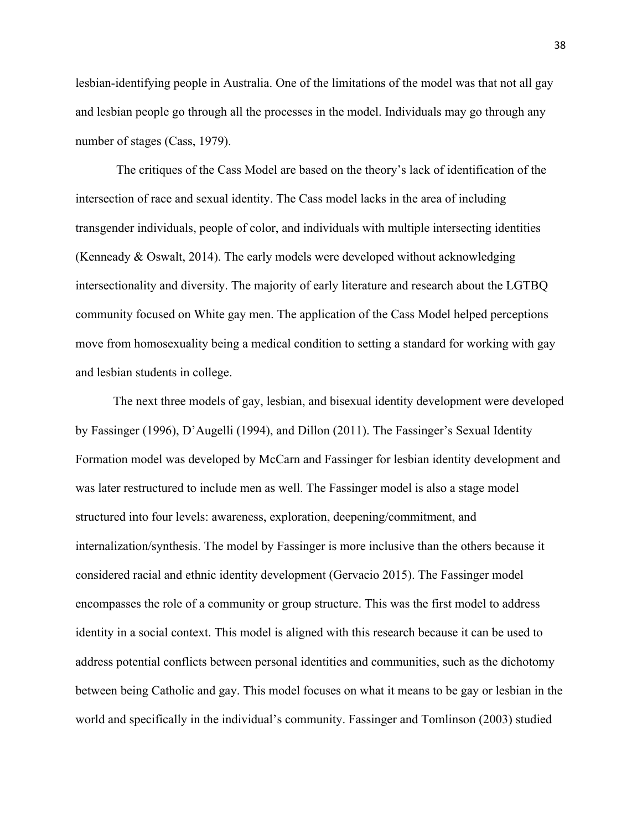lesbian-identifying people in Australia. One of the limitations of the model was that not all gay and lesbian people go through all the processes in the model. Individuals may go through any number of stages (Cass, 1979).

The critiques of the Cass Model are based on the theory's lack of identification of the intersection of race and sexual identity. The Cass model lacks in the area of including transgender individuals, people of color, and individuals with multiple intersecting identities (Kenneady & Oswalt, 2014). The early models were developed without acknowledging intersectionality and diversity. The majority of early literature and research about the LGTBQ community focused on White gay men. The application of the Cass Model helped perceptions move from homosexuality being a medical condition to setting a standard for working with gay and lesbian students in college.

The next three models of gay, lesbian, and bisexual identity development were developed by Fassinger (1996), D'Augelli (1994), and Dillon (2011). The Fassinger's Sexual Identity Formation model was developed by McCarn and Fassinger for lesbian identity development and was later restructured to include men as well. The Fassinger model is also a stage model structured into four levels: awareness, exploration, deepening/commitment, and internalization/synthesis. The model by Fassinger is more inclusive than the others because it considered racial and ethnic identity development (Gervacio 2015). The Fassinger model encompasses the role of a community or group structure. This was the first model to address identity in a social context. This model is aligned with this research because it can be used to address potential conflicts between personal identities and communities, such as the dichotomy between being Catholic and gay. This model focuses on what it means to be gay or lesbian in the world and specifically in the individual's community. Fassinger and Tomlinson (2003) studied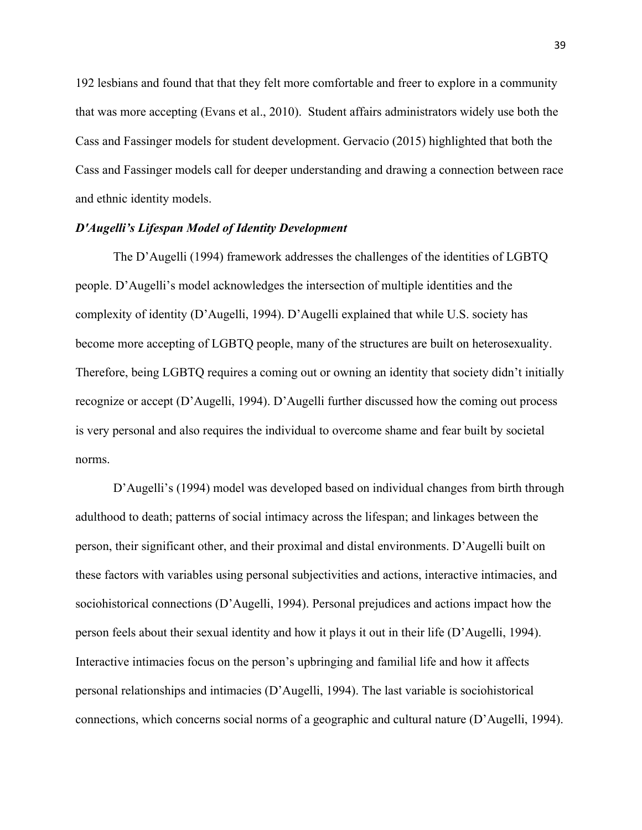192 lesbians and found that that they felt more comfortable and freer to explore in a community that was more accepting (Evans et al., 2010). Student affairs administrators widely use both the Cass and Fassinger models for student development. Gervacio (2015) highlighted that both the Cass and Fassinger models call for deeper understanding and drawing a connection between race and ethnic identity models.

# *D'Augelli's Lifespan Model of Identity Development*

The D'Augelli (1994) framework addresses the challenges of the identities of LGBTQ people. D'Augelli's model acknowledges the intersection of multiple identities and the complexity of identity (D'Augelli, 1994). D'Augelli explained that while U.S. society has become more accepting of LGBTQ people, many of the structures are built on heterosexuality. Therefore, being LGBTQ requires a coming out or owning an identity that society didn't initially recognize or accept (D'Augelli, 1994). D'Augelli further discussed how the coming out process is very personal and also requires the individual to overcome shame and fear built by societal norms.

D'Augelli's (1994) model was developed based on individual changes from birth through adulthood to death; patterns of social intimacy across the lifespan; and linkages between the person, their significant other, and their proximal and distal environments. D'Augelli built on these factors with variables using personal subjectivities and actions, interactive intimacies, and sociohistorical connections (D'Augelli, 1994). Personal prejudices and actions impact how the person feels about their sexual identity and how it plays it out in their life (D'Augelli, 1994). Interactive intimacies focus on the person's upbringing and familial life and how it affects personal relationships and intimacies (D'Augelli, 1994). The last variable is sociohistorical connections, which concerns social norms of a geographic and cultural nature (D'Augelli, 1994).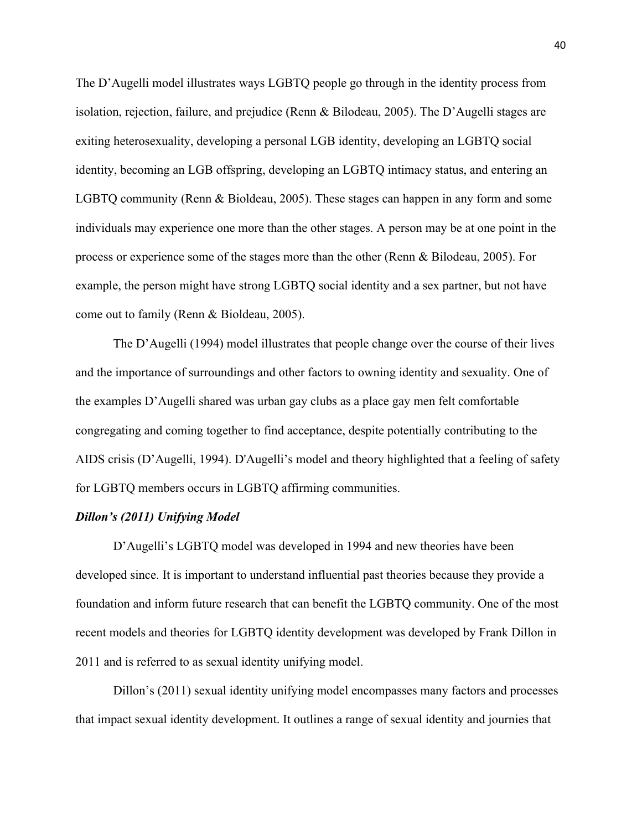The D'Augelli model illustrates ways LGBTQ people go through in the identity process from isolation, rejection, failure, and prejudice (Renn & Bilodeau, 2005). The D'Augelli stages are exiting heterosexuality, developing a personal LGB identity, developing an LGBTQ social identity, becoming an LGB offspring, developing an LGBTQ intimacy status, and entering an LGBTQ community (Renn & Bioldeau, 2005). These stages can happen in any form and some individuals may experience one more than the other stages. A person may be at one point in the process or experience some of the stages more than the other (Renn & Bilodeau, 2005). For example, the person might have strong LGBTQ social identity and a sex partner, but not have come out to family (Renn & Bioldeau, 2005).

The D'Augelli (1994) model illustrates that people change over the course of their lives and the importance of surroundings and other factors to owning identity and sexuality. One of the examples D'Augelli shared was urban gay clubs as a place gay men felt comfortable congregating and coming together to find acceptance, despite potentially contributing to the AIDS crisis (D'Augelli, 1994). D'Augelli's model and theory highlighted that a feeling of safety for LGBTQ members occurs in LGBTQ affirming communities.

# *Dillon's (2011) Unifying Model*

D'Augelli's LGBTQ model was developed in 1994 and new theories have been developed since. It is important to understand influential past theories because they provide a foundation and inform future research that can benefit the LGBTQ community. One of the most recent models and theories for LGBTQ identity development was developed by Frank Dillon in 2011 and is referred to as sexual identity unifying model.

Dillon's (2011) sexual identity unifying model encompasses many factors and processes that impact sexual identity development. It outlines a range of sexual identity and journies that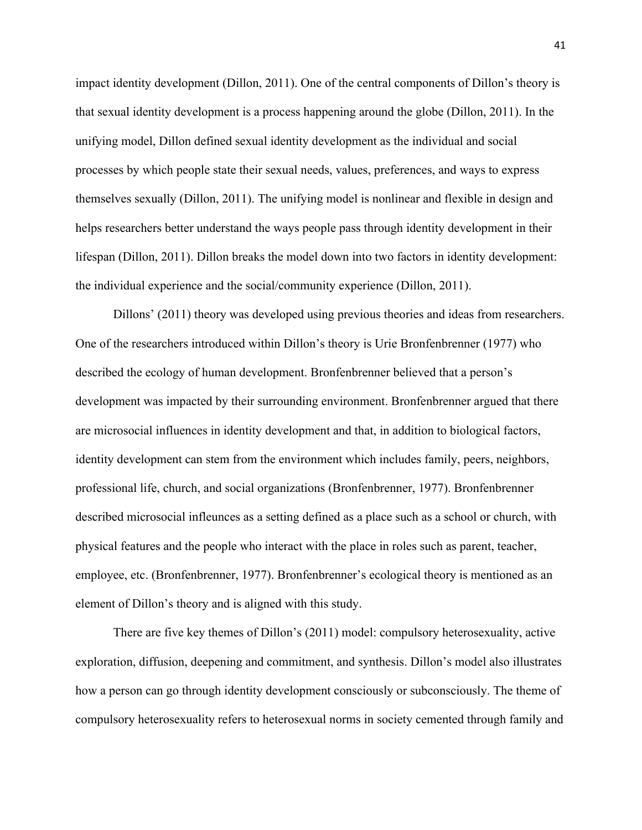impact identity development (Dillon, 2011). One of the central components of Dillon's theory is that sexual identity development is a process happening around the globe (Dillon, 2011). In the unifying model, Dillon defined sexual identity development as the individual and social processes by which people state their sexual needs, values, preferences, and ways to express themselves sexually (Dillon, 2011). The unifying model is nonlinear and flexible in design and helps researchers better understand the ways people pass through identity development in their lifespan (Dillon, 2011). Dillon breaks the model down into two factors in identity development: the individual experience and the social/community experience (Dillon, 2011).

Dillons' (2011) theory was developed using previous theories and ideas from researchers. One of the researchers introduced within Dillon's theory is Urie Bronfenbrenner (1977) who described the ecology of human development. Bronfenbrenner believed that a person's development was impacted by their surrounding environment. Bronfenbrenner argued that there are microsocial influences in identity development and that, in addition to biological factors, identity development can stem from the environment which includes family, peers, neighbors, professional life, church, and social organizations (Bronfenbrenner, 1977). Bronfenbrenner described microsocial infleunces as a setting defined as a place such as a school or church, with physical features and the people who interact with the place in roles such as parent, teacher, employee, etc. (Bronfenbrenner, 1977). Bronfenbrenner's ecological theory is mentioned as an element of Dillon's theory and is aligned with this study.

There are five key themes of Dillon's (2011) model: compulsory heterosexuality, active exploration, diffusion, deepening and commitment, and synthesis. Dillon's model also illustrates how a person can go through identity development consciously or subconsciously. The theme of compulsory heterosexuality refers to heterosexual norms in society cemented through family and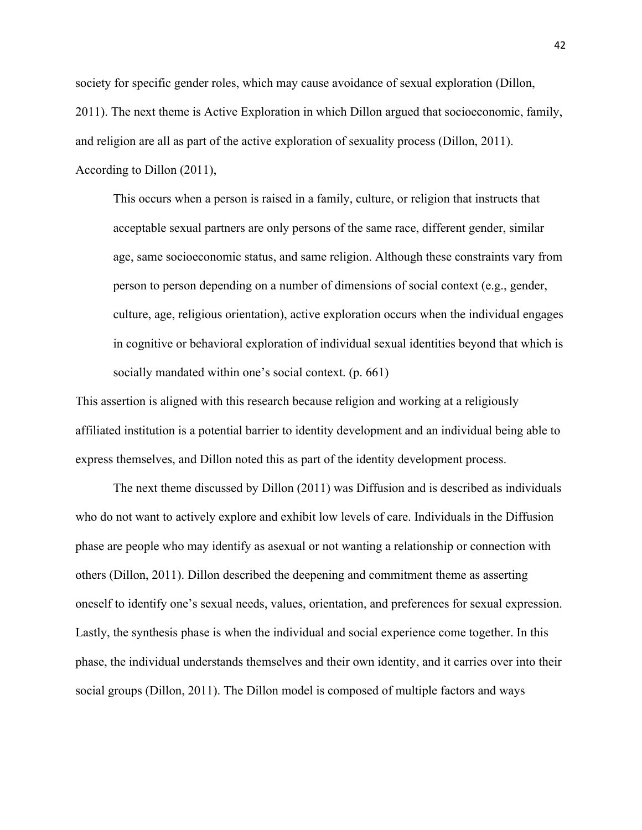society for specific gender roles, which may cause avoidance of sexual exploration (Dillon, 2011). The next theme is Active Exploration in which Dillon argued that socioeconomic, family, and religion are all as part of the active exploration of sexuality process (Dillon, 2011). According to Dillon (2011),

This occurs when a person is raised in a family, culture, or religion that instructs that acceptable sexual partners are only persons of the same race, different gender, similar age, same socioeconomic status, and same religion. Although these constraints vary from person to person depending on a number of dimensions of social context (e.g., gender, culture, age, religious orientation), active exploration occurs when the individual engages in cognitive or behavioral exploration of individual sexual identities beyond that which is socially mandated within one's social context. (p. 661)

This assertion is aligned with this research because religion and working at a religiously affiliated institution is a potential barrier to identity development and an individual being able to express themselves, and Dillon noted this as part of the identity development process.

The next theme discussed by Dillon (2011) was Diffusion and is described as individuals who do not want to actively explore and exhibit low levels of care. Individuals in the Diffusion phase are people who may identify as asexual or not wanting a relationship or connection with others (Dillon, 2011). Dillon described the deepening and commitment theme as asserting oneself to identify one's sexual needs, values, orientation, and preferences for sexual expression. Lastly, the synthesis phase is when the individual and social experience come together. In this phase, the individual understands themselves and their own identity, and it carries over into their social groups (Dillon, 2011). The Dillon model is composed of multiple factors and ways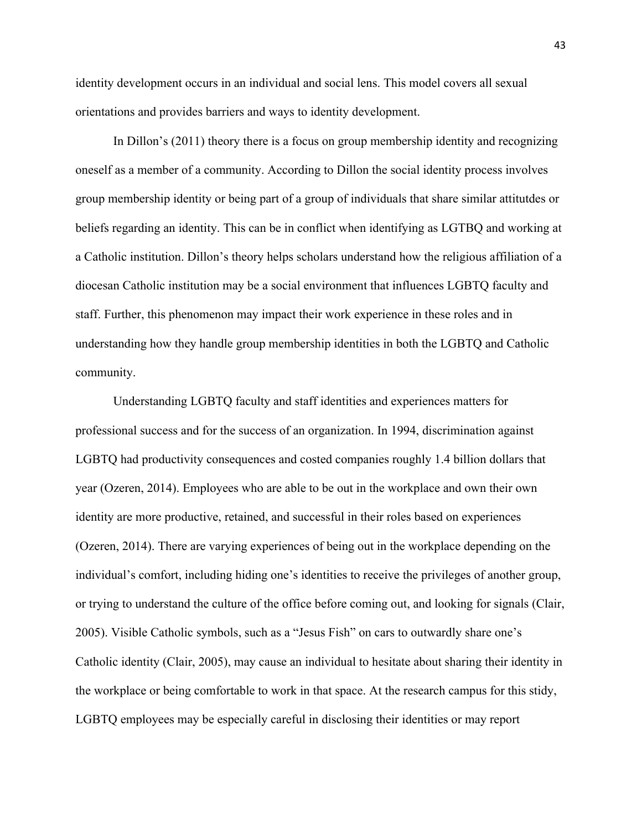identity development occurs in an individual and social lens. This model covers all sexual orientations and provides barriers and ways to identity development.

In Dillon's (2011) theory there is a focus on group membership identity and recognizing oneself as a member of a community. According to Dillon the social identity process involves group membership identity or being part of a group of individuals that share similar attitutdes or beliefs regarding an identity. This can be in conflict when identifying as LGTBQ and working at a Catholic institution. Dillon's theory helps scholars understand how the religious affiliation of a diocesan Catholic institution may be a social environment that influences LGBTQ faculty and staff. Further, this phenomenon may impact their work experience in these roles and in understanding how they handle group membership identities in both the LGBTQ and Catholic community.

Understanding LGBTQ faculty and staff identities and experiences matters for professional success and for the success of an organization. In 1994, discrimination against LGBTQ had productivity consequences and costed companies roughly 1.4 billion dollars that year (Ozeren, 2014). Employees who are able to be out in the workplace and own their own identity are more productive, retained, and successful in their roles based on experiences (Ozeren, 2014). There are varying experiences of being out in the workplace depending on the individual's comfort, including hiding one's identities to receive the privileges of another group, or trying to understand the culture of the office before coming out, and looking for signals (Clair, 2005). Visible Catholic symbols, such as a "Jesus Fish" on cars to outwardly share one's Catholic identity (Clair, 2005), may cause an individual to hesitate about sharing their identity in the workplace or being comfortable to work in that space. At the research campus for this stidy, LGBTQ employees may be especially careful in disclosing their identities or may report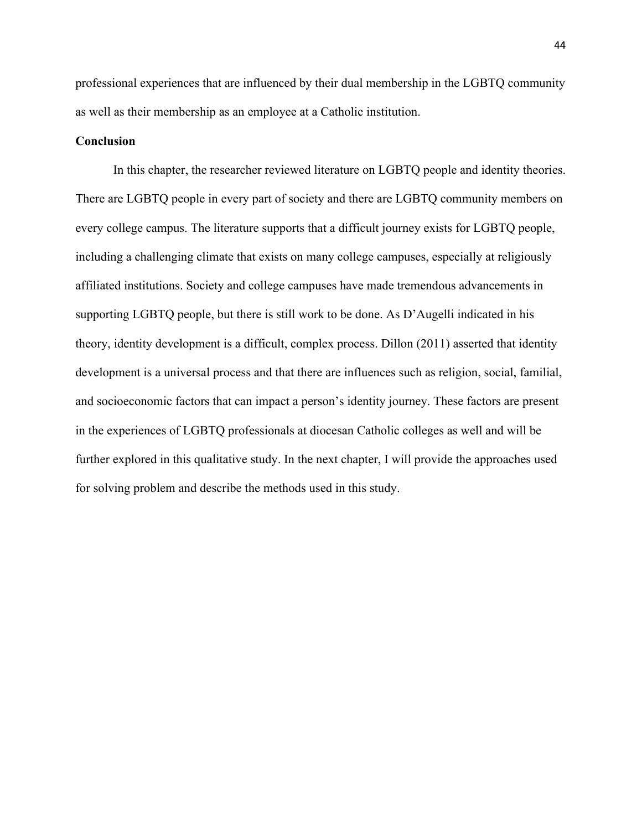professional experiences that are influenced by their dual membership in the LGBTQ community as well as their membership as an employee at a Catholic institution.

# **Conclusion**

In this chapter, the researcher reviewed literature on LGBTQ people and identity theories. There are LGBTQ people in every part of society and there are LGBTQ community members on every college campus. The literature supports that a difficult journey exists for LGBTQ people, including a challenging climate that exists on many college campuses, especially at religiously affiliated institutions. Society and college campuses have made tremendous advancements in supporting LGBTQ people, but there is still work to be done. As D'Augelli indicated in his theory, identity development is a difficult, complex process. Dillon (2011) asserted that identity development is a universal process and that there are influences such as religion, social, familial, and socioeconomic factors that can impact a person's identity journey. These factors are present in the experiences of LGBTQ professionals at diocesan Catholic colleges as well and will be further explored in this qualitative study. In the next chapter, I will provide the approaches used for solving problem and describe the methods used in this study.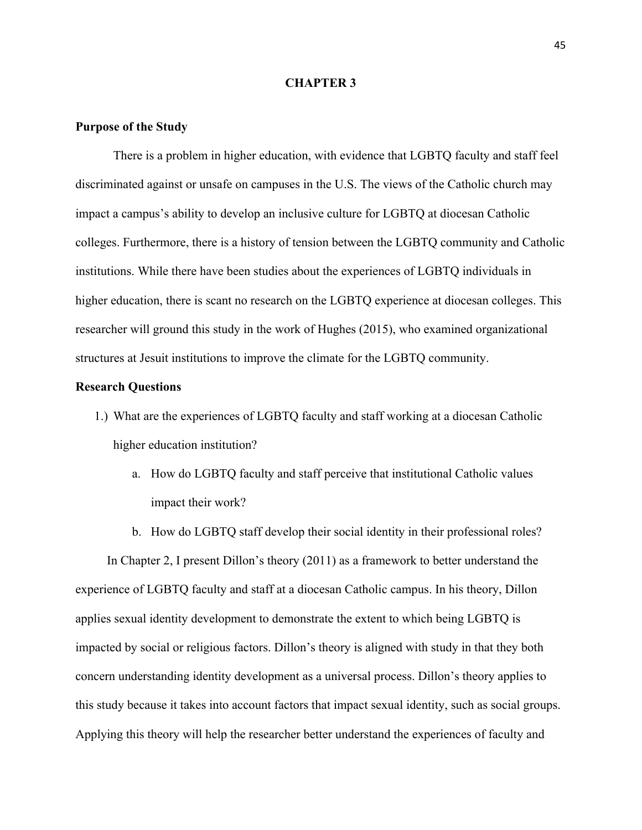### **CHAPTER 3**

## **Purpose of the Study**

There is a problem in higher education, with evidence that LGBTQ faculty and staff feel discriminated against or unsafe on campuses in the U.S. The views of the Catholic church may impact a campus's ability to develop an inclusive culture for LGBTQ at diocesan Catholic colleges. Furthermore, there is a history of tension between the LGBTQ community and Catholic institutions. While there have been studies about the experiences of LGBTQ individuals in higher education, there is scant no research on the LGBTQ experience at diocesan colleges. This researcher will ground this study in the work of Hughes (2015), who examined organizational structures at Jesuit institutions to improve the climate for the LGBTQ community.

# **Research Questions**

- 1.) What are the experiences of LGBTQ faculty and staff working at a diocesan Catholic higher education institution?
	- a. How do LGBTQ faculty and staff perceive that institutional Catholic values impact their work?
	- b. How do LGBTQ staff develop their social identity in their professional roles?

 In Chapter 2, I present Dillon's theory (2011) as a framework to better understand the experience of LGBTQ faculty and staff at a diocesan Catholic campus. In his theory, Dillon applies sexual identity development to demonstrate the extent to which being LGBTQ is impacted by social or religious factors. Dillon's theory is aligned with study in that they both concern understanding identity development as a universal process. Dillon's theory applies to this study because it takes into account factors that impact sexual identity, such as social groups. Applying this theory will help the researcher better understand the experiences of faculty and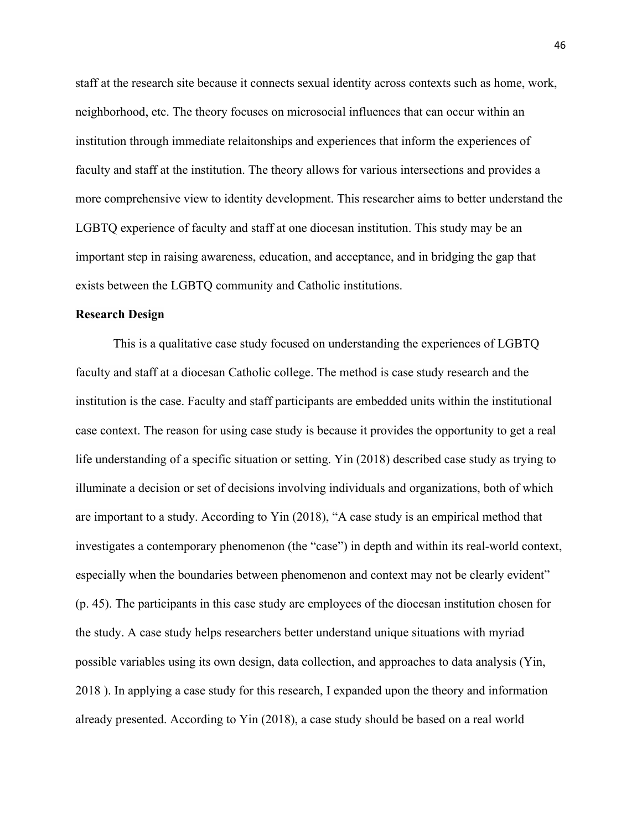staff at the research site because it connects sexual identity across contexts such as home, work, neighborhood, etc. The theory focuses on microsocial influences that can occur within an institution through immediate relaitonships and experiences that inform the experiences of faculty and staff at the institution. The theory allows for various intersections and provides a more comprehensive view to identity development. This researcher aims to better understand the LGBTQ experience of faculty and staff at one diocesan institution. This study may be an important step in raising awareness, education, and acceptance, and in bridging the gap that exists between the LGBTQ community and Catholic institutions.

#### **Research Design**

This is a qualitative case study focused on understanding the experiences of LGBTQ faculty and staff at a diocesan Catholic college. The method is case study research and the institution is the case. Faculty and staff participants are embedded units within the institutional case context. The reason for using case study is because it provides the opportunity to get a real life understanding of a specific situation or setting. Yin (2018) described case study as trying to illuminate a decision or set of decisions involving individuals and organizations, both of which are important to a study. According to Yin (2018), "A case study is an empirical method that investigates a contemporary phenomenon (the "case") in depth and within its real-world context, especially when the boundaries between phenomenon and context may not be clearly evident" (p. 45). The participants in this case study are employees of the diocesan institution chosen for the study. A case study helps researchers better understand unique situations with myriad possible variables using its own design, data collection, and approaches to data analysis (Yin, 2018 ). In applying a case study for this research, I expanded upon the theory and information already presented. According to Yin (2018), a case study should be based on a real world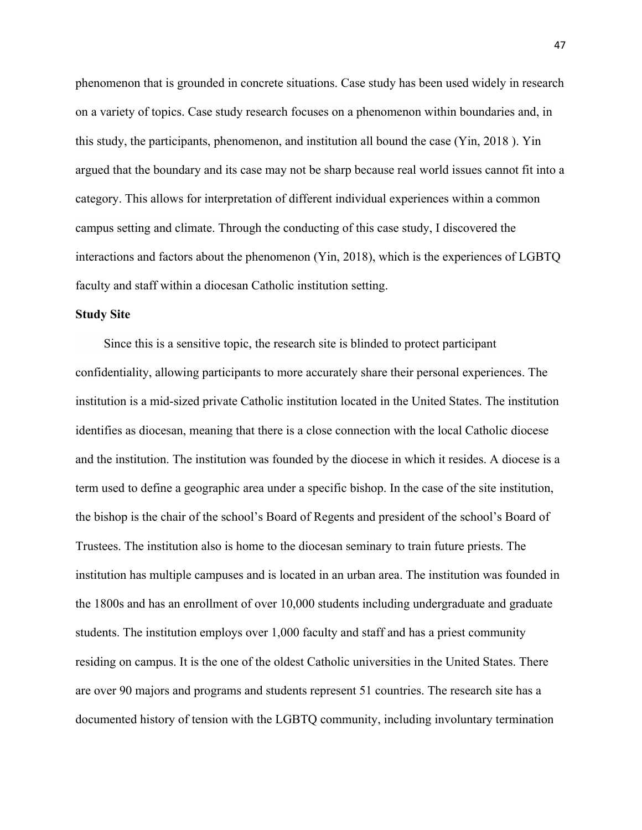phenomenon that is grounded in concrete situations. Case study has been used widely in research on a variety of topics. Case study research focuses on a phenomenon within boundaries and, in this study, the participants, phenomenon, and institution all bound the case (Yin, 2018 ). Yin argued that the boundary and its case may not be sharp because real world issues cannot fit into a category. This allows for interpretation of different individual experiences within a common campus setting and climate. Through the conducting of this case study, I discovered the interactions and factors about the phenomenon (Yin, 2018), which is the experiences of LGBTQ faculty and staff within a diocesan Catholic institution setting.

### **Study Site**

 Since this is a sensitive topic, the research site is blinded to protect participant confidentiality, allowing participants to more accurately share their personal experiences. The institution is a mid-sized private Catholic institution located in the United States. The institution identifies as diocesan, meaning that there is a close connection with the local Catholic diocese and the institution. The institution was founded by the diocese in which it resides. A diocese is a term used to define a geographic area under a specific bishop. In the case of the site institution, the bishop is the chair of the school's Board of Regents and president of the school's Board of Trustees. The institution also is home to the diocesan seminary to train future priests. The institution has multiple campuses and is located in an urban area. The institution was founded in the 1800s and has an enrollment of over 10,000 students including undergraduate and graduate students. The institution employs over 1,000 faculty and staff and has a priest community residing on campus. It is the one of the oldest Catholic universities in the United States. There are over 90 majors and programs and students represent 51 countries. The research site has a documented history of tension with the LGBTQ community, including involuntary termination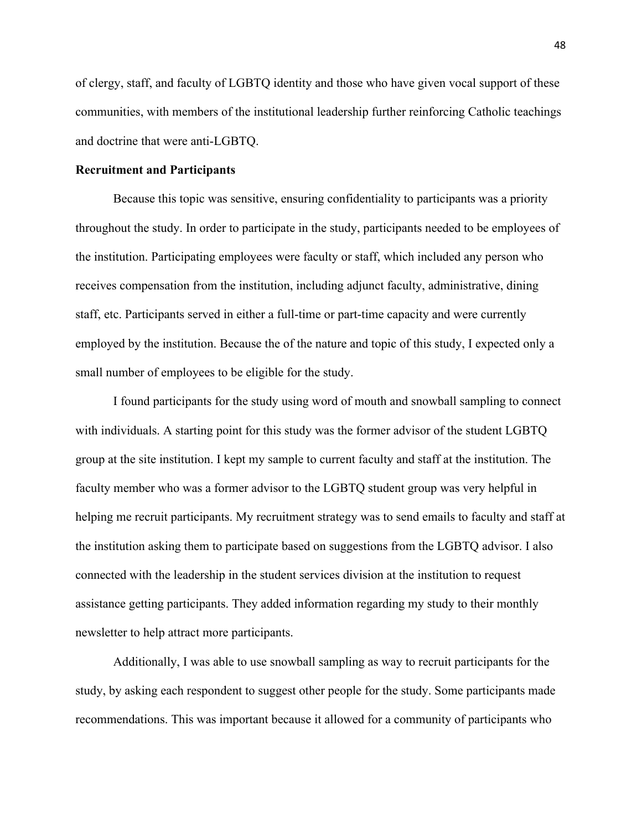of clergy, staff, and faculty of LGBTQ identity and those who have given vocal support of these communities, with members of the institutional leadership further reinforcing Catholic teachings and doctrine that were anti-LGBTQ.

## **Recruitment and Participants**

Because this topic was sensitive, ensuring confidentiality to participants was a priority throughout the study. In order to participate in the study, participants needed to be employees of the institution. Participating employees were faculty or staff, which included any person who receives compensation from the institution, including adjunct faculty, administrative, dining staff, etc. Participants served in either a full-time or part-time capacity and were currently employed by the institution. Because the of the nature and topic of this study, I expected only a small number of employees to be eligible for the study.

I found participants for the study using word of mouth and snowball sampling to connect with individuals. A starting point for this study was the former advisor of the student LGBTQ group at the site institution. I kept my sample to current faculty and staff at the institution. The faculty member who was a former advisor to the LGBTQ student group was very helpful in helping me recruit participants. My recruitment strategy was to send emails to faculty and staff at the institution asking them to participate based on suggestions from the LGBTQ advisor. I also connected with the leadership in the student services division at the institution to request assistance getting participants. They added information regarding my study to their monthly newsletter to help attract more participants.

Additionally, I was able to use snowball sampling as way to recruit participants for the study, by asking each respondent to suggest other people for the study. Some participants made recommendations. This was important because it allowed for a community of participants who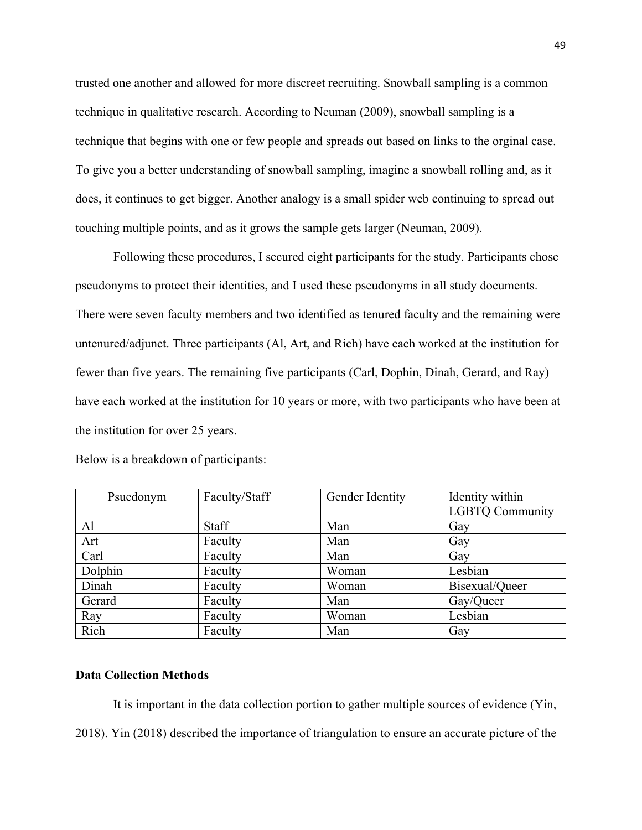trusted one another and allowed for more discreet recruiting. Snowball sampling is a common technique in qualitative research. According to Neuman (2009), snowball sampling is a technique that begins with one or few people and spreads out based on links to the orginal case. To give you a better understanding of snowball sampling, imagine a snowball rolling and, as it does, it continues to get bigger. Another analogy is a small spider web continuing to spread out touching multiple points, and as it grows the sample gets larger (Neuman, 2009).

Following these procedures, I secured eight participants for the study. Participants chose pseudonyms to protect their identities, and I used these pseudonyms in all study documents. There were seven faculty members and two identified as tenured faculty and the remaining were untenured/adjunct. Three participants (Al, Art, and Rich) have each worked at the institution for fewer than five years. The remaining five participants (Carl, Dophin, Dinah, Gerard, and Ray) have each worked at the institution for 10 years or more, with two participants who have been at the institution for over 25 years.

| Psuedonym | Faculty/Staff | Gender Identity | Identity within<br><b>LGBTQ Community</b> |
|-----------|---------------|-----------------|-------------------------------------------|
| Al        | Staff         | Man             | Gay                                       |
| Art       | Faculty       | Man             | Gay                                       |
| Carl      | Faculty       | Man             | Gay                                       |
| Dolphin   | Faculty       | Woman           | Lesbian                                   |
| Dinah     | Faculty       | Woman           | Bisexual/Queer                            |
| Gerard    | Faculty       | Man             | Gay/Queer                                 |
| Ray       | Faculty       | Woman           | Lesbian                                   |
| Rich      | Faculty       | Man             | Gay                                       |

Below is a breakdown of participants:

# **Data Collection Methods**

It is important in the data collection portion to gather multiple sources of evidence (Yin, 2018). Yin (2018) described the importance of triangulation to ensure an accurate picture of the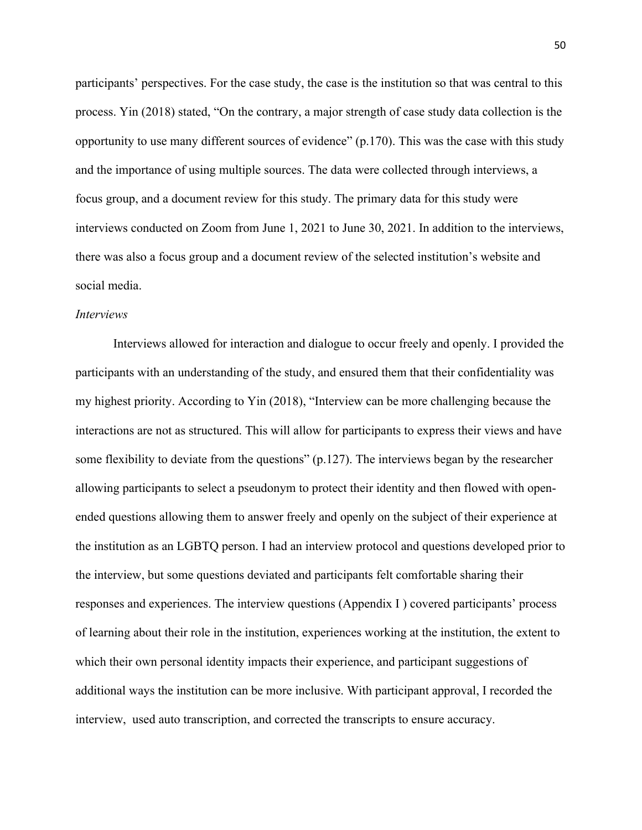participants' perspectives. For the case study, the case is the institution so that was central to this process. Yin (2018) stated, "On the contrary, a major strength of case study data collection is the opportunity to use many different sources of evidence" (p.170). This was the case with this study and the importance of using multiple sources. The data were collected through interviews, a focus group, and a document review for this study. The primary data for this study were interviews conducted on Zoom from June 1, 2021 to June 30, 2021. In addition to the interviews, there was also a focus group and a document review of the selected institution's website and social media.

# *Interviews*

Interviews allowed for interaction and dialogue to occur freely and openly. I provided the participants with an understanding of the study, and ensured them that their confidentiality was my highest priority. According to Yin (2018), "Interview can be more challenging because the interactions are not as structured. This will allow for participants to express their views and have some flexibility to deviate from the questions" (p.127). The interviews began by the researcher allowing participants to select a pseudonym to protect their identity and then flowed with openended questions allowing them to answer freely and openly on the subject of their experience at the institution as an LGBTQ person. I had an interview protocol and questions developed prior to the interview, but some questions deviated and participants felt comfortable sharing their responses and experiences. The interview questions (Appendix I ) covered participants' process of learning about their role in the institution, experiences working at the institution, the extent to which their own personal identity impacts their experience, and participant suggestions of additional ways the institution can be more inclusive. With participant approval, I recorded the interview, used auto transcription, and corrected the transcripts to ensure accuracy.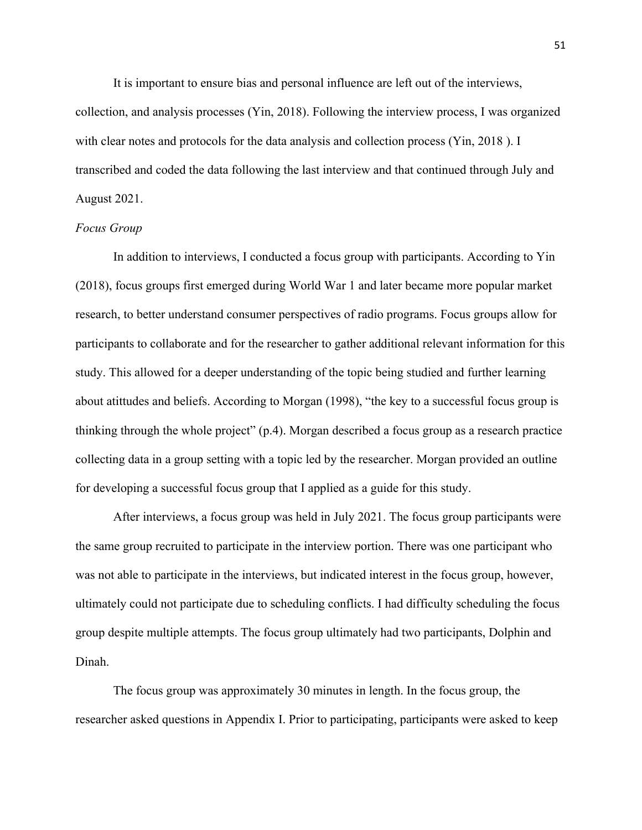It is important to ensure bias and personal influence are left out of the interviews, collection, and analysis processes (Yin, 2018). Following the interview process, I was organized with clear notes and protocols for the data analysis and collection process (Yin, 2018). I transcribed and coded the data following the last interview and that continued through July and August 2021.

# *Focus Group*

In addition to interviews, I conducted a focus group with participants. According to Yin (2018), focus groups first emerged during World War 1 and later became more popular market research, to better understand consumer perspectives of radio programs. Focus groups allow for participants to collaborate and for the researcher to gather additional relevant information for this study. This allowed for a deeper understanding of the topic being studied and further learning about atittudes and beliefs. According to Morgan (1998), "the key to a successful focus group is thinking through the whole project" (p.4). Morgan described a focus group as a research practice collecting data in a group setting with a topic led by the researcher. Morgan provided an outline for developing a successful focus group that I applied as a guide for this study.

After interviews, a focus group was held in July 2021. The focus group participants were the same group recruited to participate in the interview portion. There was one participant who was not able to participate in the interviews, but indicated interest in the focus group, however, ultimately could not participate due to scheduling conflicts. I had difficulty scheduling the focus group despite multiple attempts. The focus group ultimately had two participants, Dolphin and Dinah.

The focus group was approximately 30 minutes in length. In the focus group, the researcher asked questions in Appendix I. Prior to participating, participants were asked to keep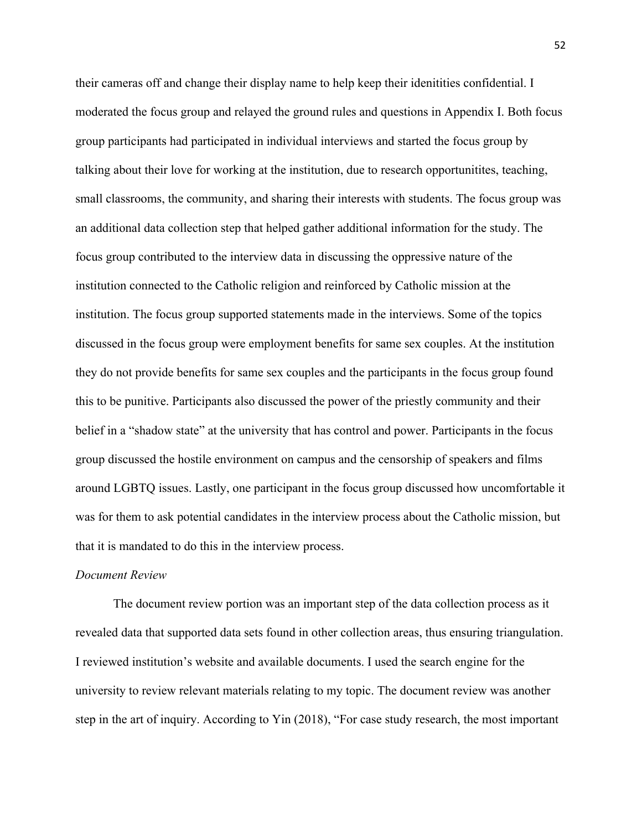their cameras off and change their display name to help keep their idenitities confidential. I moderated the focus group and relayed the ground rules and questions in Appendix I. Both focus group participants had participated in individual interviews and started the focus group by talking about their love for working at the institution, due to research opportunitites, teaching, small classrooms, the community, and sharing their interests with students. The focus group was an additional data collection step that helped gather additional information for the study. The focus group contributed to the interview data in discussing the oppressive nature of the institution connected to the Catholic religion and reinforced by Catholic mission at the institution. The focus group supported statements made in the interviews. Some of the topics discussed in the focus group were employment benefits for same sex couples. At the institution they do not provide benefits for same sex couples and the participants in the focus group found this to be punitive. Participants also discussed the power of the priestly community and their belief in a "shadow state" at the university that has control and power. Participants in the focus group discussed the hostile environment on campus and the censorship of speakers and films around LGBTQ issues. Lastly, one participant in the focus group discussed how uncomfortable it was for them to ask potential candidates in the interview process about the Catholic mission, but that it is mandated to do this in the interview process.

### *Document Review*

The document review portion was an important step of the data collection process as it revealed data that supported data sets found in other collection areas, thus ensuring triangulation. I reviewed institution's website and available documents. I used the search engine for the university to review relevant materials relating to my topic. The document review was another step in the art of inquiry. According to Yin (2018), "For case study research, the most important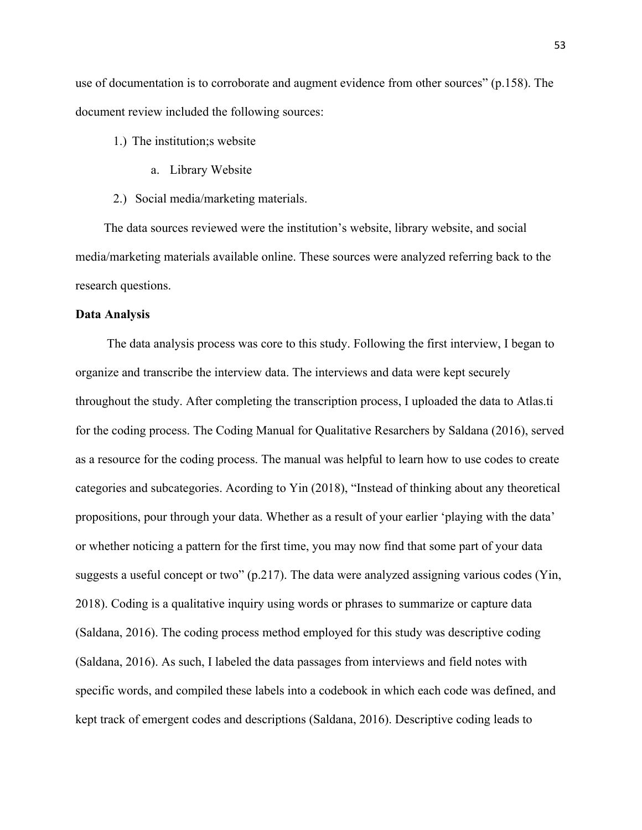use of documentation is to corroborate and augment evidence from other sources" (p.158). The document review included the following sources:

- 1.) The institution;s website
	- a. Library Website
- 2.) Social media/marketing materials.

 The data sources reviewed were the institution's website, library website, and social media/marketing materials available online. These sources were analyzed referring back to the research questions.

### **Data Analysis**

The data analysis process was core to this study. Following the first interview, I began to organize and transcribe the interview data. The interviews and data were kept securely throughout the study. After completing the transcription process, I uploaded the data to Atlas.ti for the coding process. The Coding Manual for Qualitative Resarchers by Saldana (2016), served as a resource for the coding process. The manual was helpful to learn how to use codes to create categories and subcategories. Acording to Yin (2018), "Instead of thinking about any theoretical propositions, pour through your data. Whether as a result of your earlier 'playing with the data' or whether noticing a pattern for the first time, you may now find that some part of your data suggests a useful concept or two" (p.217). The data were analyzed assigning various codes (Yin, 2018). Coding is a qualitative inquiry using words or phrases to summarize or capture data (Saldana, 2016). The coding process method employed for this study was descriptive coding (Saldana, 2016). As such, I labeled the data passages from interviews and field notes with specific words, and compiled these labels into a codebook in which each code was defined, and kept track of emergent codes and descriptions (Saldana, 2016). Descriptive coding leads to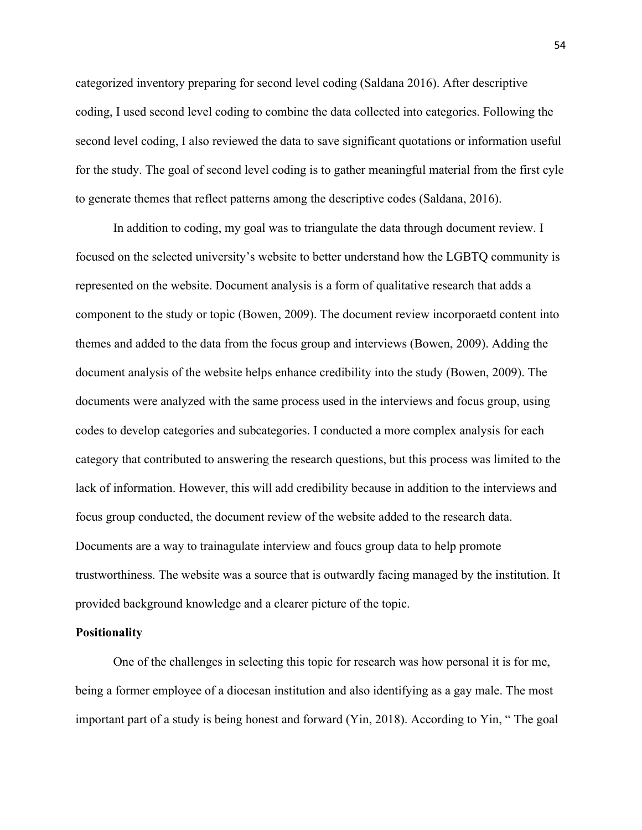categorized inventory preparing for second level coding (Saldana 2016). After descriptive coding, I used second level coding to combine the data collected into categories. Following the second level coding, I also reviewed the data to save significant quotations or information useful for the study. The goal of second level coding is to gather meaningful material from the first cyle to generate themes that reflect patterns among the descriptive codes (Saldana, 2016).

In addition to coding, my goal was to triangulate the data through document review. I focused on the selected university's website to better understand how the LGBTQ community is represented on the website. Document analysis is a form of qualitative research that adds a component to the study or topic (Bowen, 2009). The document review incorporaetd content into themes and added to the data from the focus group and interviews (Bowen, 2009). Adding the document analysis of the website helps enhance credibility into the study (Bowen, 2009). The documents were analyzed with the same process used in the interviews and focus group, using codes to develop categories and subcategories. I conducted a more complex analysis for each category that contributed to answering the research questions, but this process was limited to the lack of information. However, this will add credibility because in addition to the interviews and focus group conducted, the document review of the website added to the research data. Documents are a way to trainagulate interview and foucs group data to help promote trustworthiness. The website was a source that is outwardly facing managed by the institution. It provided background knowledge and a clearer picture of the topic.

#### **Positionality**

One of the challenges in selecting this topic for research was how personal it is for me, being a former employee of a diocesan institution and also identifying as a gay male. The most important part of a study is being honest and forward (Yin, 2018). According to Yin, " The goal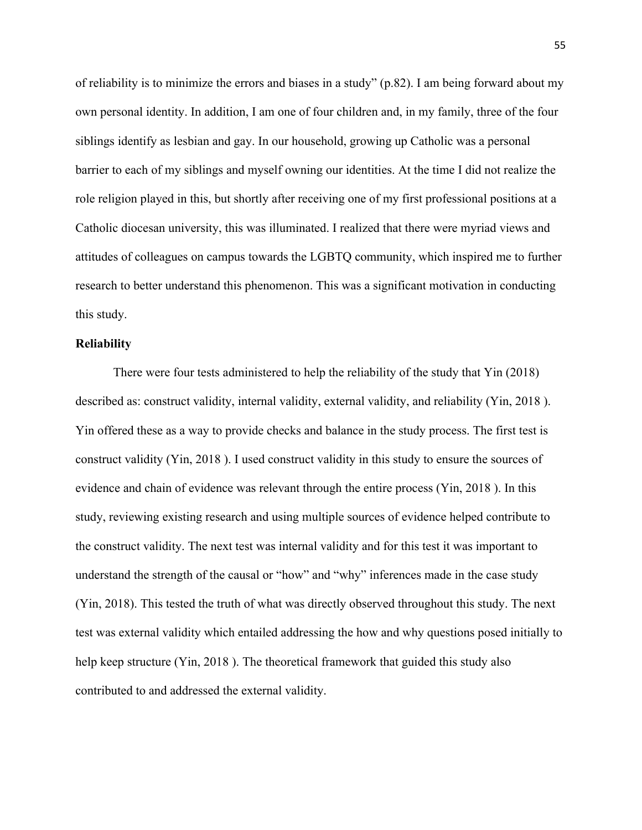of reliability is to minimize the errors and biases in a study" (p.82). I am being forward about my own personal identity. In addition, I am one of four children and, in my family, three of the four siblings identify as lesbian and gay. In our household, growing up Catholic was a personal barrier to each of my siblings and myself owning our identities. At the time I did not realize the role religion played in this, but shortly after receiving one of my first professional positions at a Catholic diocesan university, this was illuminated. I realized that there were myriad views and attitudes of colleagues on campus towards the LGBTQ community, which inspired me to further research to better understand this phenomenon. This was a significant motivation in conducting this study.

#### **Reliability**

There were four tests administered to help the reliability of the study that Yin (2018) described as: construct validity, internal validity, external validity, and reliability (Yin, 2018 ). Yin offered these as a way to provide checks and balance in the study process. The first test is construct validity (Yin, 2018 ). I used construct validity in this study to ensure the sources of evidence and chain of evidence was relevant through the entire process (Yin, 2018 ). In this study, reviewing existing research and using multiple sources of evidence helped contribute to the construct validity. The next test was internal validity and for this test it was important to understand the strength of the causal or "how" and "why" inferences made in the case study (Yin, 2018). This tested the truth of what was directly observed throughout this study. The next test was external validity which entailed addressing the how and why questions posed initially to help keep structure (Yin, 2018). The theoretical framework that guided this study also contributed to and addressed the external validity.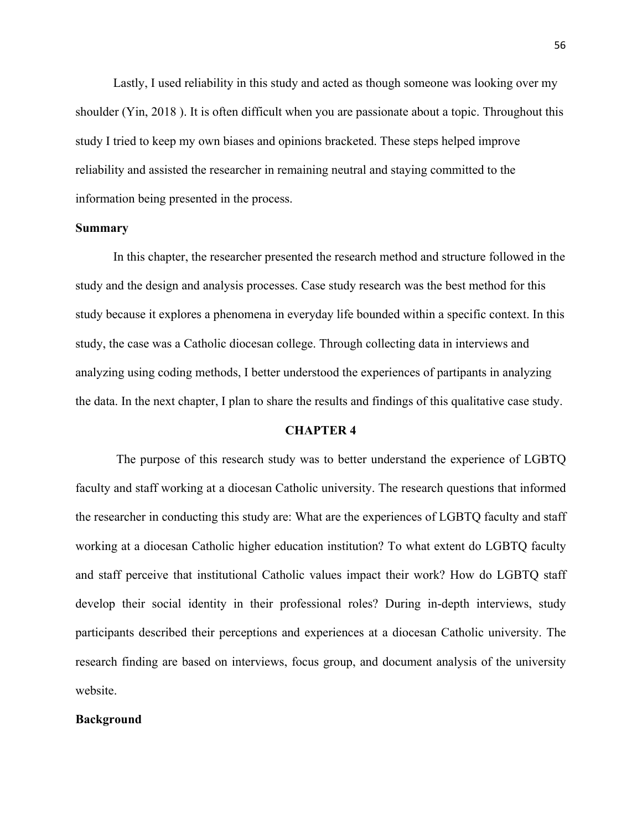Lastly, I used reliability in this study and acted as though someone was looking over my shoulder (Yin, 2018 ). It is often difficult when you are passionate about a topic. Throughout this study I tried to keep my own biases and opinions bracketed. These steps helped improve reliability and assisted the researcher in remaining neutral and staying committed to the information being presented in the process.

# **Summary**

In this chapter, the researcher presented the research method and structure followed in the study and the design and analysis processes. Case study research was the best method for this study because it explores a phenomena in everyday life bounded within a specific context. In this study, the case was a Catholic diocesan college. Through collecting data in interviews and analyzing using coding methods, I better understood the experiences of partipants in analyzing the data. In the next chapter, I plan to share the results and findings of this qualitative case study.

### **CHAPTER 4**

 The purpose of this research study was to better understand the experience of LGBTQ faculty and staff working at a diocesan Catholic university. The research questions that informed the researcher in conducting this study are: What are the experiences of LGBTQ faculty and staff working at a diocesan Catholic higher education institution? To what extent do LGBTQ faculty and staff perceive that institutional Catholic values impact their work? How do LGBTQ staff develop their social identity in their professional roles? During in-depth interviews, study participants described their perceptions and experiences at a diocesan Catholic university. The research finding are based on interviews, focus group, and document analysis of the university website.

# **Background**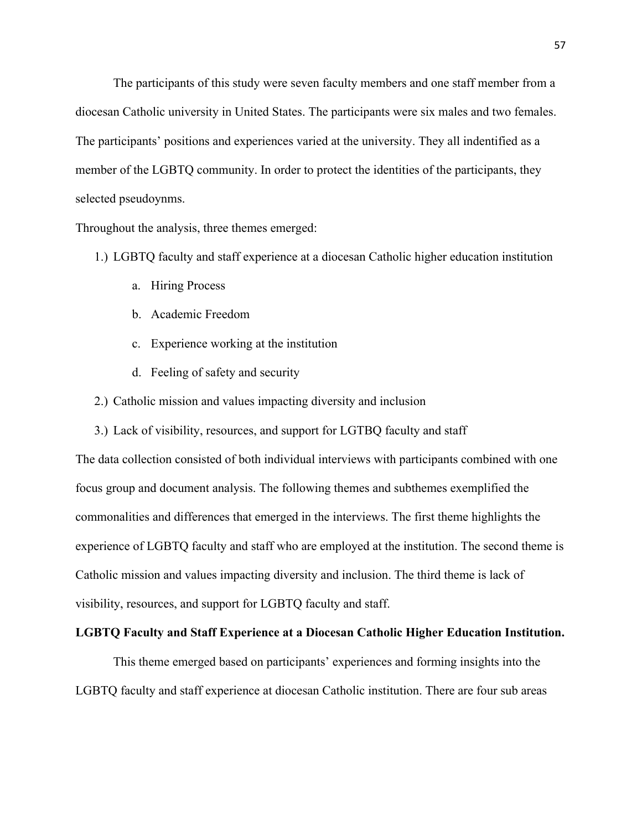The participants of this study were seven faculty members and one staff member from a diocesan Catholic university in United States. The participants were six males and two females. The participants' positions and experiences varied at the university. They all indentified as a member of the LGBTQ community. In order to protect the identities of the participants, they selected pseudoynms.

Throughout the analysis, three themes emerged:

- 1.) LGBTQ faculty and staff experience at a diocesan Catholic higher education institution
	- a. Hiring Process
	- b. Academic Freedom
	- c. Experience working at the institution
	- d. Feeling of safety and security
- 2.) Catholic mission and values impacting diversity and inclusion
- 3.) Lack of visibility, resources, and support for LGTBQ faculty and staff

The data collection consisted of both individual interviews with participants combined with one focus group and document analysis. The following themes and subthemes exemplified the commonalities and differences that emerged in the interviews. The first theme highlights the experience of LGBTQ faculty and staff who are employed at the institution. The second theme is Catholic mission and values impacting diversity and inclusion. The third theme is lack of visibility, resources, and support for LGBTQ faculty and staff.

#### **LGBTQ Faculty and Staff Experience at a Diocesan Catholic Higher Education Institution.**

This theme emerged based on participants' experiences and forming insights into the LGBTQ faculty and staff experience at diocesan Catholic institution. There are four sub areas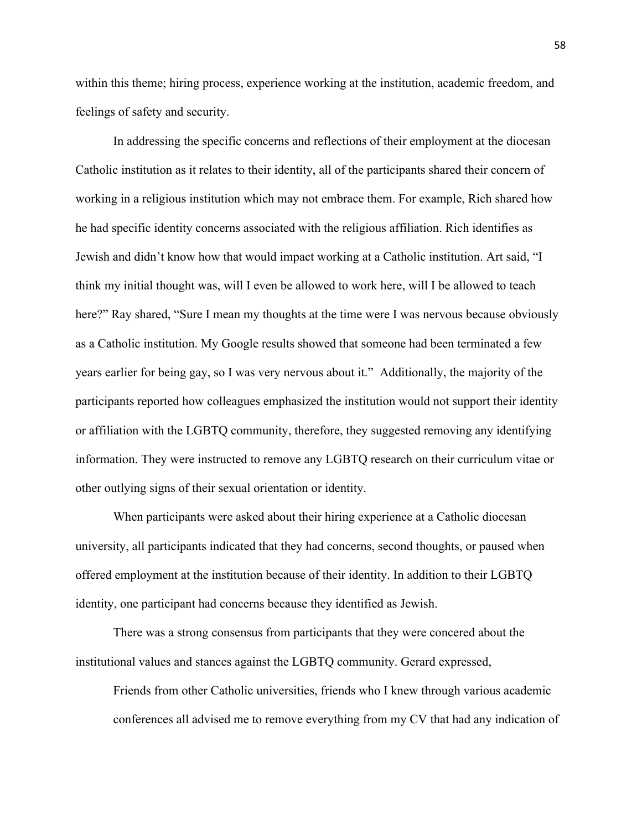within this theme; hiring process, experience working at the institution, academic freedom, and feelings of safety and security.

In addressing the specific concerns and reflections of their employment at the diocesan Catholic institution as it relates to their identity, all of the participants shared their concern of working in a religious institution which may not embrace them. For example, Rich shared how he had specific identity concerns associated with the religious affiliation. Rich identifies as Jewish and didn't know how that would impact working at a Catholic institution. Art said, "I think my initial thought was, will I even be allowed to work here, will I be allowed to teach here?" Ray shared, "Sure I mean my thoughts at the time were I was nervous because obviously as a Catholic institution. My Google results showed that someone had been terminated a few years earlier for being gay, so I was very nervous about it." Additionally, the majority of the participants reported how colleagues emphasized the institution would not support their identity or affiliation with the LGBTQ community, therefore, they suggested removing any identifying information. They were instructed to remove any LGBTQ research on their curriculum vitae or other outlying signs of their sexual orientation or identity.

When participants were asked about their hiring experience at a Catholic diocesan university, all participants indicated that they had concerns, second thoughts, or paused when offered employment at the institution because of their identity. In addition to their LGBTQ identity, one participant had concerns because they identified as Jewish.

There was a strong consensus from participants that they were concered about the institutional values and stances against the LGBTQ community. Gerard expressed,

Friends from other Catholic universities, friends who I knew through various academic conferences all advised me to remove everything from my CV that had any indication of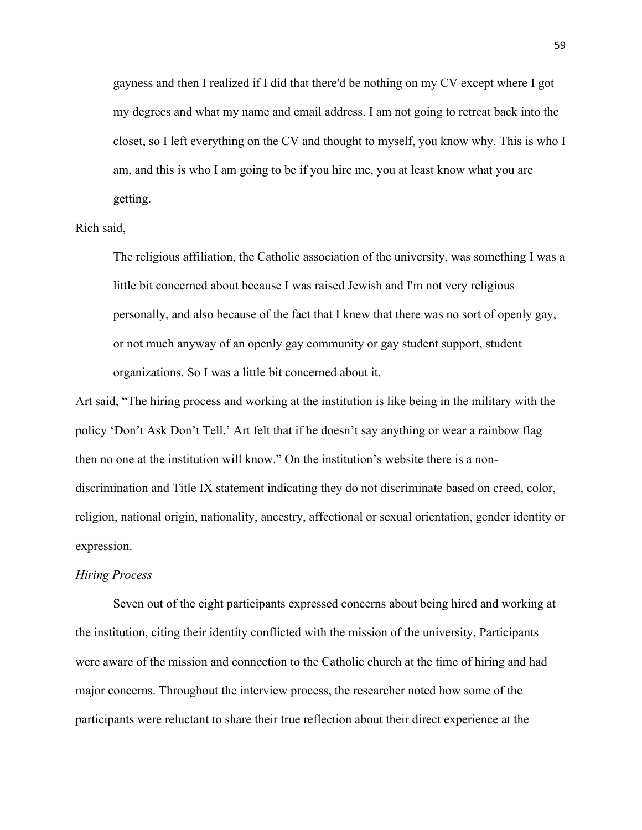gayness and then I realized if I did that there'd be nothing on my CV except where I got my degrees and what my name and email address. I am not going to retreat back into the closet, so I left everything on the CV and thought to myself, you know why. This is who I am, and this is who I am going to be if you hire me, you at least know what you are getting.

# Rich said,

The religious affiliation, the Catholic association of the university, was something I was a little bit concerned about because I was raised Jewish and I'm not very religious personally, and also because of the fact that I knew that there was no sort of openly gay, or not much anyway of an openly gay community or gay student support, student organizations. So I was a little bit concerned about it.

Art said, "The hiring process and working at the institution is like being in the military with the policy 'Don't Ask Don't Tell.' Art felt that if he doesn't say anything or wear a rainbow flag then no one at the institution will know." On the institution's website there is a nondiscrimination and Title IX statement indicating they do not discriminate based on creed, color, religion, national origin, nationality, ancestry, affectional or sexual orientation, gender identity or expression.

### *Hiring Process*

Seven out of the eight participants expressed concerns about being hired and working at the institution, citing their identity conflicted with the mission of the university. Participants were aware of the mission and connection to the Catholic church at the time of hiring and had major concerns. Throughout the interview process, the researcher noted how some of the participants were reluctant to share their true reflection about their direct experience at the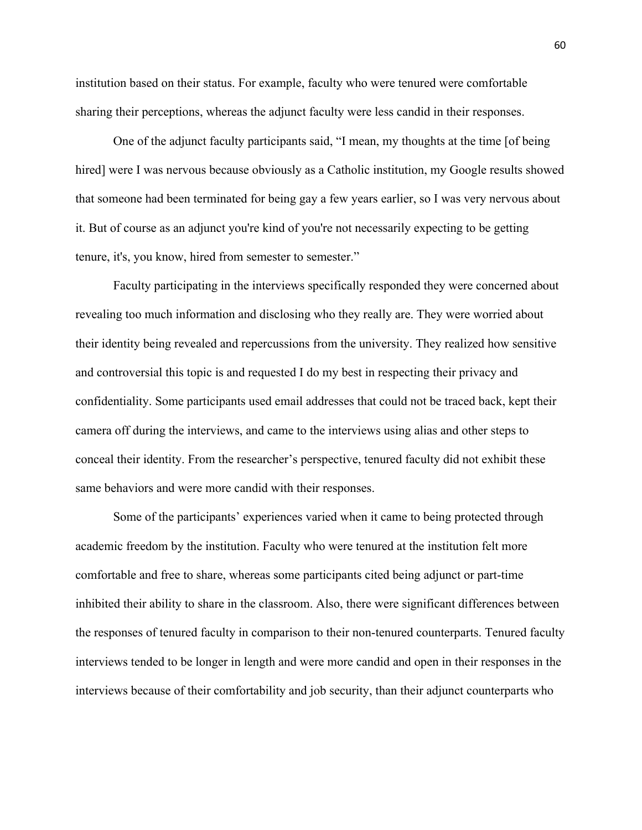institution based on their status. For example, faculty who were tenured were comfortable sharing their perceptions, whereas the adjunct faculty were less candid in their responses.

One of the adjunct faculty participants said, "I mean, my thoughts at the time [of being hired] were I was nervous because obviously as a Catholic institution, my Google results showed that someone had been terminated for being gay a few years earlier, so I was very nervous about it. But of course as an adjunct you're kind of you're not necessarily expecting to be getting tenure, it's, you know, hired from semester to semester."

Faculty participating in the interviews specifically responded they were concerned about revealing too much information and disclosing who they really are. They were worried about their identity being revealed and repercussions from the university. They realized how sensitive and controversial this topic is and requested I do my best in respecting their privacy and confidentiality. Some participants used email addresses that could not be traced back, kept their camera off during the interviews, and came to the interviews using alias and other steps to conceal their identity. From the researcher's perspective, tenured faculty did not exhibit these same behaviors and were more candid with their responses.

Some of the participants' experiences varied when it came to being protected through academic freedom by the institution. Faculty who were tenured at the institution felt more comfortable and free to share, whereas some participants cited being adjunct or part-time inhibited their ability to share in the classroom. Also, there were significant differences between the responses of tenured faculty in comparison to their non-tenured counterparts. Tenured faculty interviews tended to be longer in length and were more candid and open in their responses in the interviews because of their comfortability and job security, than their adjunct counterparts who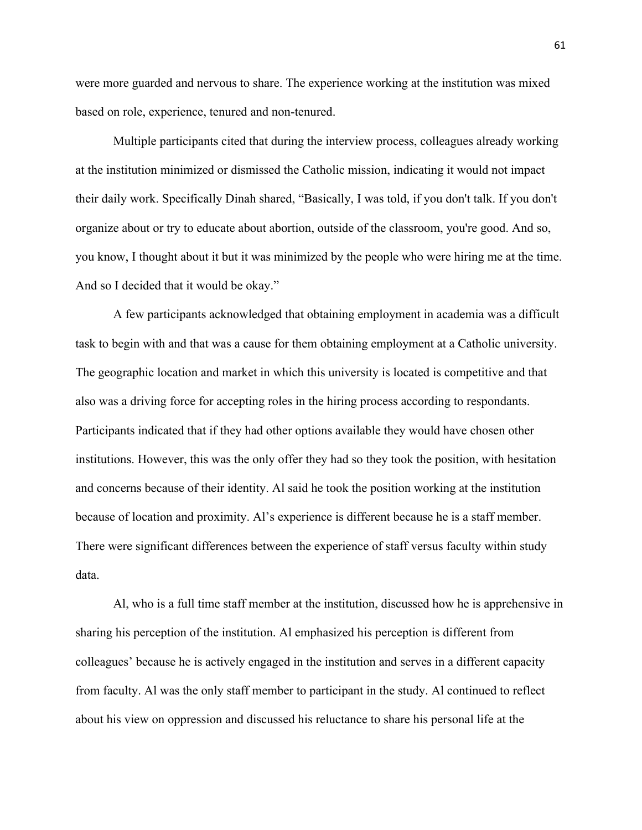were more guarded and nervous to share. The experience working at the institution was mixed based on role, experience, tenured and non-tenured.

Multiple participants cited that during the interview process, colleagues already working at the institution minimized or dismissed the Catholic mission, indicating it would not impact their daily work. Specifically Dinah shared, "Basically, I was told, if you don't talk. If you don't organize about or try to educate about abortion, outside of the classroom, you're good. And so, you know, I thought about it but it was minimized by the people who were hiring me at the time. And so I decided that it would be okay."

A few participants acknowledged that obtaining employment in academia was a difficult task to begin with and that was a cause for them obtaining employment at a Catholic university. The geographic location and market in which this university is located is competitive and that also was a driving force for accepting roles in the hiring process according to respondants. Participants indicated that if they had other options available they would have chosen other institutions. However, this was the only offer they had so they took the position, with hesitation and concerns because of their identity. Al said he took the position working at the institution because of location and proximity. Al's experience is different because he is a staff member. There were significant differences between the experience of staff versus faculty within study data.

Al, who is a full time staff member at the institution, discussed how he is apprehensive in sharing his perception of the institution. Al emphasized his perception is different from colleagues' because he is actively engaged in the institution and serves in a different capacity from faculty. Al was the only staff member to participant in the study. Al continued to reflect about his view on oppression and discussed his reluctance to share his personal life at the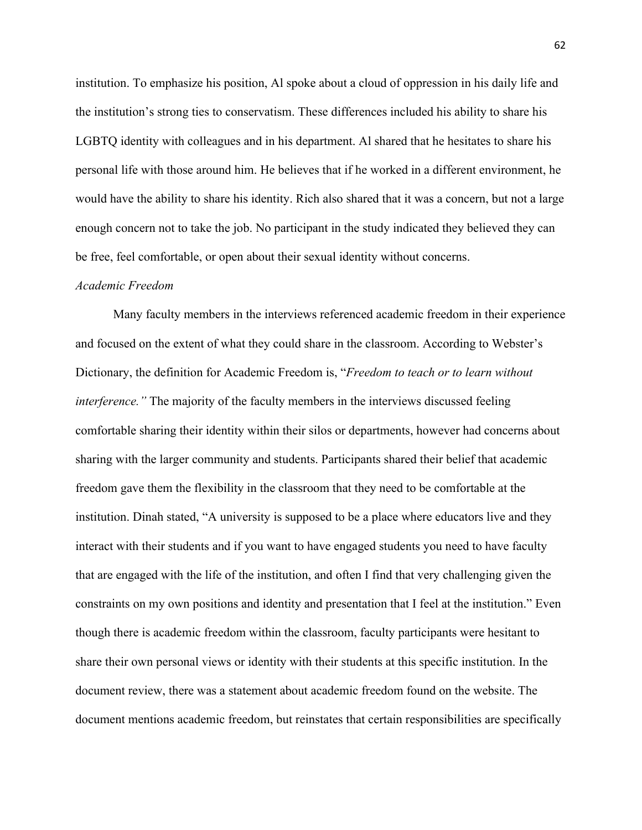institution. To emphasize his position, Al spoke about a cloud of oppression in his daily life and the institution's strong ties to conservatism. These differences included his ability to share his LGBTQ identity with colleagues and in his department. Al shared that he hesitates to share his personal life with those around him. He believes that if he worked in a different environment, he would have the ability to share his identity. Rich also shared that it was a concern, but not a large enough concern not to take the job. No participant in the study indicated they believed they can be free, feel comfortable, or open about their sexual identity without concerns.

### *Academic Freedom*

Many faculty members in the interviews referenced academic freedom in their experience and focused on the extent of what they could share in the classroom. According to Webster's Dictionary, the definition for Academic Freedom is, "*Freedom to teach or to learn without interference.*" The majority of the faculty members in the interviews discussed feeling comfortable sharing their identity within their silos or departments, however had concerns about sharing with the larger community and students. Participants shared their belief that academic freedom gave them the flexibility in the classroom that they need to be comfortable at the institution. Dinah stated, "A university is supposed to be a place where educators live and they interact with their students and if you want to have engaged students you need to have faculty that are engaged with the life of the institution, and often I find that very challenging given the constraints on my own positions and identity and presentation that I feel at the institution." Even though there is academic freedom within the classroom, faculty participants were hesitant to share their own personal views or identity with their students at this specific institution. In the document review, there was a statement about academic freedom found on the website. The document mentions academic freedom, but reinstates that certain responsibilities are specifically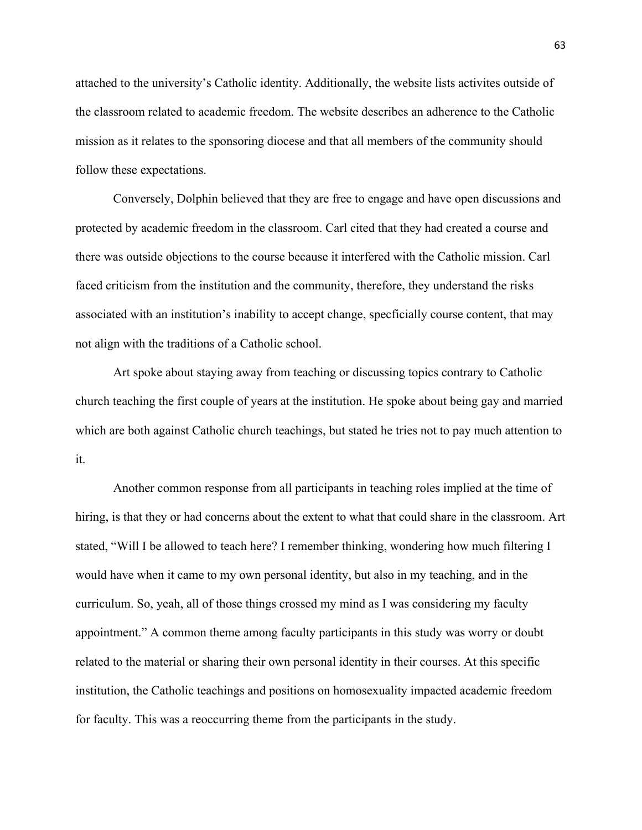attached to the university's Catholic identity. Additionally, the website lists activites outside of the classroom related to academic freedom. The website describes an adherence to the Catholic mission as it relates to the sponsoring diocese and that all members of the community should follow these expectations.

Conversely, Dolphin believed that they are free to engage and have open discussions and protected by academic freedom in the classroom. Carl cited that they had created a course and there was outside objections to the course because it interfered with the Catholic mission. Carl faced criticism from the institution and the community, therefore, they understand the risks associated with an institution's inability to accept change, specficially course content, that may not align with the traditions of a Catholic school.

Art spoke about staying away from teaching or discussing topics contrary to Catholic church teaching the first couple of years at the institution. He spoke about being gay and married which are both against Catholic church teachings, but stated he tries not to pay much attention to it.

Another common response from all participants in teaching roles implied at the time of hiring, is that they or had concerns about the extent to what that could share in the classroom. Art stated, "Will I be allowed to teach here? I remember thinking, wondering how much filtering I would have when it came to my own personal identity, but also in my teaching, and in the curriculum. So, yeah, all of those things crossed my mind as I was considering my faculty appointment." A common theme among faculty participants in this study was worry or doubt related to the material or sharing their own personal identity in their courses. At this specific institution, the Catholic teachings and positions on homosexuality impacted academic freedom for faculty. This was a reoccurring theme from the participants in the study.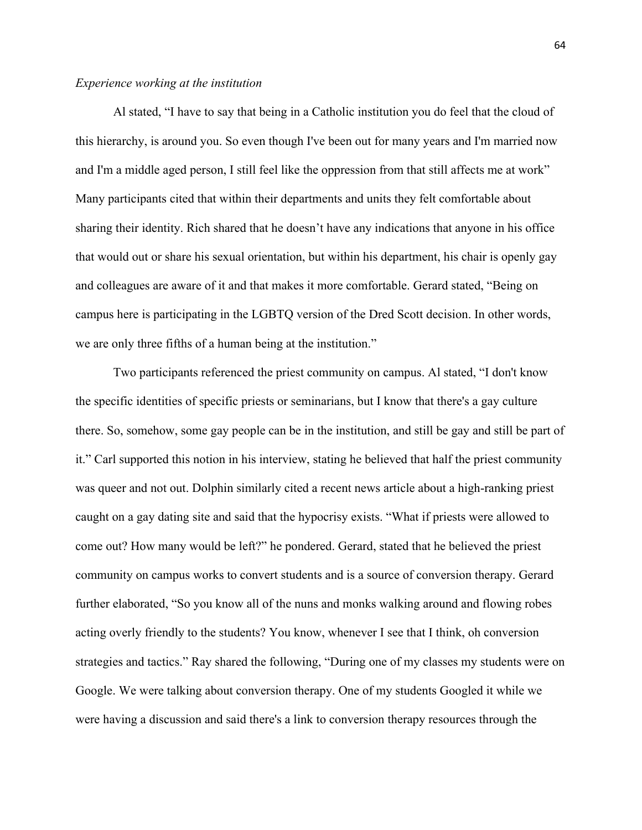## *Experience working at the institution*

Al stated, "I have to say that being in a Catholic institution you do feel that the cloud of this hierarchy, is around you. So even though I've been out for many years and I'm married now and I'm a middle aged person, I still feel like the oppression from that still affects me at work" Many participants cited that within their departments and units they felt comfortable about sharing their identity. Rich shared that he doesn't have any indications that anyone in his office that would out or share his sexual orientation, but within his department, his chair is openly gay and colleagues are aware of it and that makes it more comfortable. Gerard stated, "Being on campus here is participating in the LGBTQ version of the Dred Scott decision. In other words, we are only three fifths of a human being at the institution."

Two participants referenced the priest community on campus. Al stated, "I don't know the specific identities of specific priests or seminarians, but I know that there's a gay culture there. So, somehow, some gay people can be in the institution, and still be gay and still be part of it." Carl supported this notion in his interview, stating he believed that half the priest community was queer and not out. Dolphin similarly cited a recent news article about a high-ranking priest caught on a gay dating site and said that the hypocrisy exists. "What if priests were allowed to come out? How many would be left?" he pondered. Gerard, stated that he believed the priest community on campus works to convert students and is a source of conversion therapy. Gerard further elaborated, "So you know all of the nuns and monks walking around and flowing robes acting overly friendly to the students? You know, whenever I see that I think, oh conversion strategies and tactics." Ray shared the following, "During one of my classes my students were on Google. We were talking about conversion therapy. One of my students Googled it while we were having a discussion and said there's a link to conversion therapy resources through the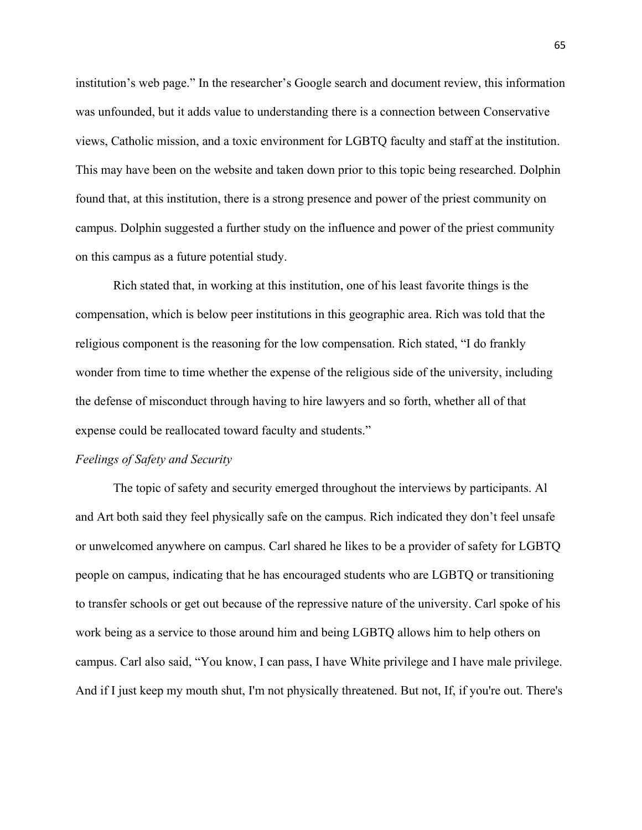institution's web page." In the researcher's Google search and document review, this information was unfounded, but it adds value to understanding there is a connection between Conservative views, Catholic mission, and a toxic environment for LGBTQ faculty and staff at the institution. This may have been on the website and taken down prior to this topic being researched. Dolphin found that, at this institution, there is a strong presence and power of the priest community on campus. Dolphin suggested a further study on the influence and power of the priest community on this campus as a future potential study.

Rich stated that, in working at this institution, one of his least favorite things is the compensation, which is below peer institutions in this geographic area. Rich was told that the religious component is the reasoning for the low compensation. Rich stated, "I do frankly wonder from time to time whether the expense of the religious side of the university, including the defense of misconduct through having to hire lawyers and so forth, whether all of that expense could be reallocated toward faculty and students."

### *Feelings of Safety and Security*

The topic of safety and security emerged throughout the interviews by participants. Al and Art both said they feel physically safe on the campus. Rich indicated they don't feel unsafe or unwelcomed anywhere on campus. Carl shared he likes to be a provider of safety for LGBTQ people on campus, indicating that he has encouraged students who are LGBTQ or transitioning to transfer schools or get out because of the repressive nature of the university. Carl spoke of his work being as a service to those around him and being LGBTQ allows him to help others on campus. Carl also said, "You know, I can pass, I have White privilege and I have male privilege. And if I just keep my mouth shut, I'm not physically threatened. But not, If, if you're out. There's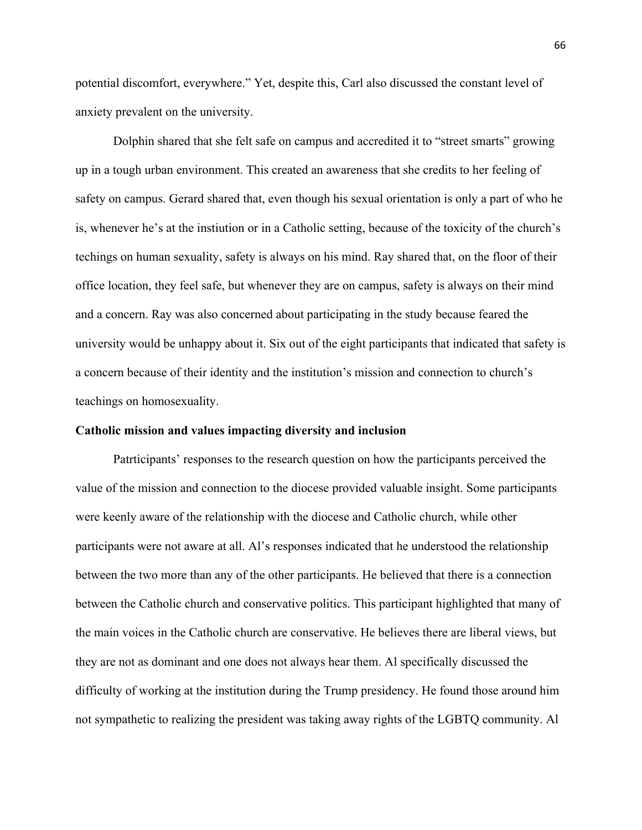potential discomfort, everywhere." Yet, despite this, Carl also discussed the constant level of anxiety prevalent on the university.

Dolphin shared that she felt safe on campus and accredited it to "street smarts" growing up in a tough urban environment. This created an awareness that she credits to her feeling of safety on campus. Gerard shared that, even though his sexual orientation is only a part of who he is, whenever he's at the instiution or in a Catholic setting, because of the toxicity of the church's techings on human sexuality, safety is always on his mind. Ray shared that, on the floor of their office location, they feel safe, but whenever they are on campus, safety is always on their mind and a concern. Ray was also concerned about participating in the study because feared the university would be unhappy about it. Six out of the eight participants that indicated that safety is a concern because of their identity and the institution's mission and connection to church's teachings on homosexuality.

## **Catholic mission and values impacting diversity and inclusion**

Patrticipants' responses to the research question on how the participants perceived the value of the mission and connection to the diocese provided valuable insight. Some participants were keenly aware of the relationship with the diocese and Catholic church, while other participants were not aware at all. Al's responses indicated that he understood the relationship between the two more than any of the other participants. He believed that there is a connection between the Catholic church and conservative politics. This participant highlighted that many of the main voices in the Catholic church are conservative. He believes there are liberal views, but they are not as dominant and one does not always hear them. Al specifically discussed the difficulty of working at the institution during the Trump presidency. He found those around him not sympathetic to realizing the president was taking away rights of the LGBTQ community. Al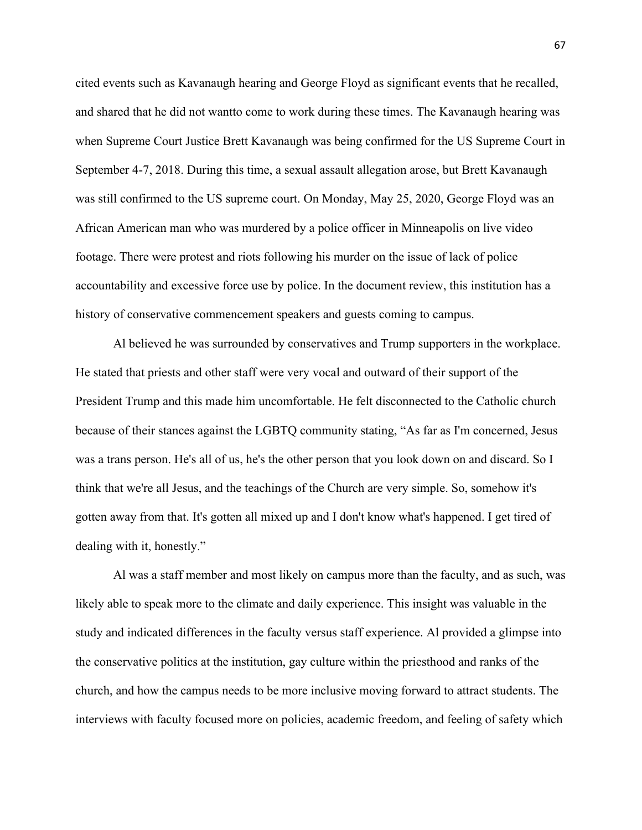cited events such as Kavanaugh hearing and George Floyd as significant events that he recalled, and shared that he did not wantto come to work during these times. The Kavanaugh hearing was when Supreme Court Justice Brett Kavanaugh was being confirmed for the US Supreme Court in September 4-7, 2018. During this time, a sexual assault allegation arose, but Brett Kavanaugh was still confirmed to the US supreme court. On Monday, May 25, 2020, George Floyd was an African American man who was murdered by a police officer in Minneapolis on live video footage. There were protest and riots following his murder on the issue of lack of police accountability and excessive force use by police. In the document review, this institution has a history of conservative commencement speakers and guests coming to campus.

Al believed he was surrounded by conservatives and Trump supporters in the workplace. He stated that priests and other staff were very vocal and outward of their support of the President Trump and this made him uncomfortable. He felt disconnected to the Catholic church because of their stances against the LGBTQ community stating, "As far as I'm concerned, Jesus was a trans person. He's all of us, he's the other person that you look down on and discard. So I think that we're all Jesus, and the teachings of the Church are very simple. So, somehow it's gotten away from that. It's gotten all mixed up and I don't know what's happened. I get tired of dealing with it, honestly."

Al was a staff member and most likely on campus more than the faculty, and as such, was likely able to speak more to the climate and daily experience. This insight was valuable in the study and indicated differences in the faculty versus staff experience. Al provided a glimpse into the conservative politics at the institution, gay culture within the priesthood and ranks of the church, and how the campus needs to be more inclusive moving forward to attract students. The interviews with faculty focused more on policies, academic freedom, and feeling of safety which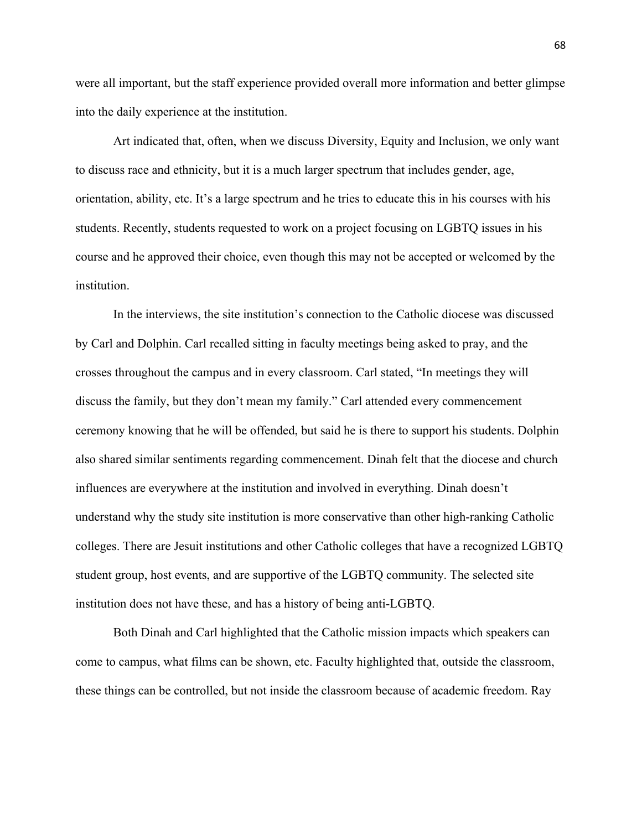were all important, but the staff experience provided overall more information and better glimpse into the daily experience at the institution.

Art indicated that, often, when we discuss Diversity, Equity and Inclusion, we only want to discuss race and ethnicity, but it is a much larger spectrum that includes gender, age, orientation, ability, etc. It's a large spectrum and he tries to educate this in his courses with his students. Recently, students requested to work on a project focusing on LGBTQ issues in his course and he approved their choice, even though this may not be accepted or welcomed by the institution.

In the interviews, the site institution's connection to the Catholic diocese was discussed by Carl and Dolphin. Carl recalled sitting in faculty meetings being asked to pray, and the crosses throughout the campus and in every classroom. Carl stated, "In meetings they will discuss the family, but they don't mean my family." Carl attended every commencement ceremony knowing that he will be offended, but said he is there to support his students. Dolphin also shared similar sentiments regarding commencement. Dinah felt that the diocese and church influences are everywhere at the institution and involved in everything. Dinah doesn't understand why the study site institution is more conservative than other high-ranking Catholic colleges. There are Jesuit institutions and other Catholic colleges that have a recognized LGBTQ student group, host events, and are supportive of the LGBTQ community. The selected site institution does not have these, and has a history of being anti-LGBTQ.

Both Dinah and Carl highlighted that the Catholic mission impacts which speakers can come to campus, what films can be shown, etc. Faculty highlighted that, outside the classroom, these things can be controlled, but not inside the classroom because of academic freedom. Ray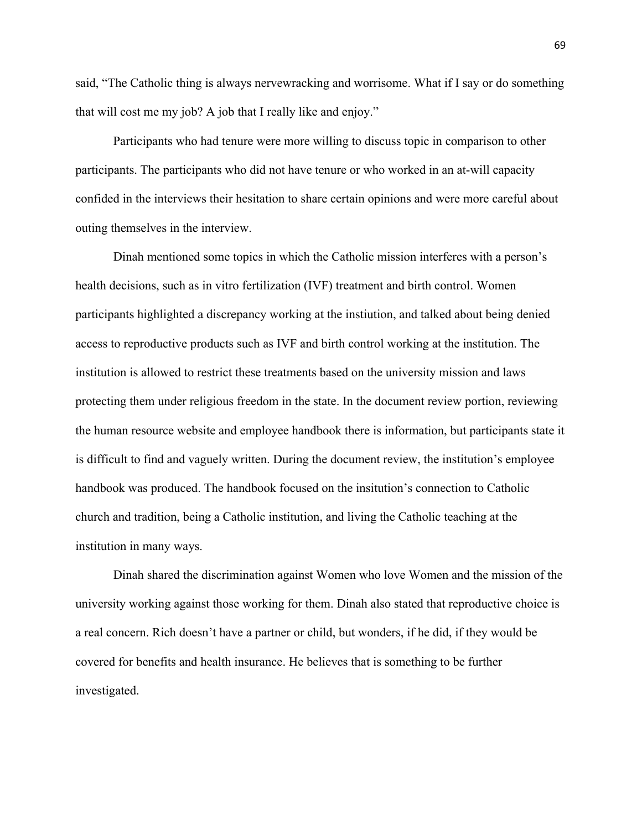said, "The Catholic thing is always nervewracking and worrisome. What if I say or do something that will cost me my job? A job that I really like and enjoy."

Participants who had tenure were more willing to discuss topic in comparison to other participants. The participants who did not have tenure or who worked in an at-will capacity confided in the interviews their hesitation to share certain opinions and were more careful about outing themselves in the interview.

Dinah mentioned some topics in which the Catholic mission interferes with a person's health decisions, such as in vitro fertilization (IVF) treatment and birth control. Women participants highlighted a discrepancy working at the instiution, and talked about being denied access to reproductive products such as IVF and birth control working at the institution. The institution is allowed to restrict these treatments based on the university mission and laws protecting them under religious freedom in the state. In the document review portion, reviewing the human resource website and employee handbook there is information, but participants state it is difficult to find and vaguely written. During the document review, the institution's employee handbook was produced. The handbook focused on the insitution's connection to Catholic church and tradition, being a Catholic institution, and living the Catholic teaching at the institution in many ways.

Dinah shared the discrimination against Women who love Women and the mission of the university working against those working for them. Dinah also stated that reproductive choice is a real concern. Rich doesn't have a partner or child, but wonders, if he did, if they would be covered for benefits and health insurance. He believes that is something to be further investigated.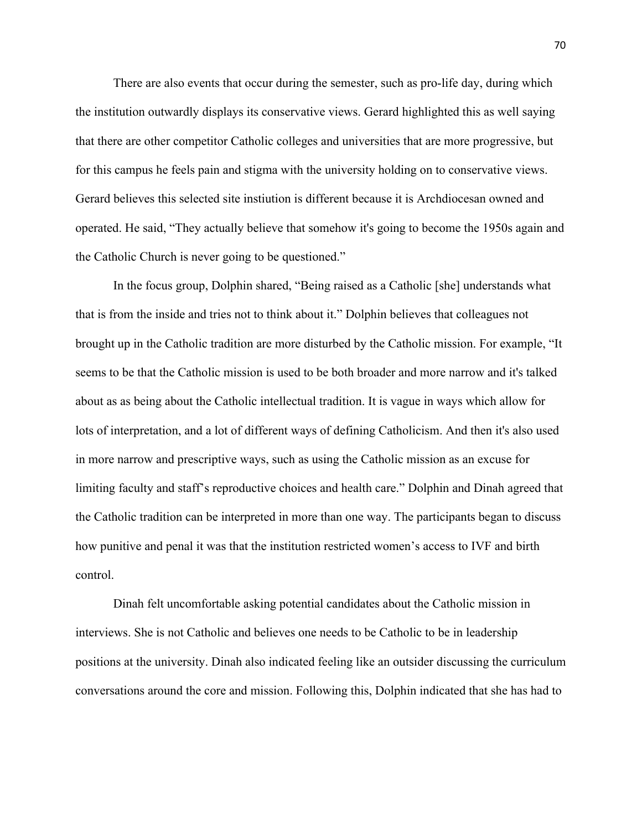There are also events that occur during the semester, such as pro-life day, during which the institution outwardly displays its conservative views. Gerard highlighted this as well saying that there are other competitor Catholic colleges and universities that are more progressive, but for this campus he feels pain and stigma with the university holding on to conservative views. Gerard believes this selected site instiution is different because it is Archdiocesan owned and operated. He said, "They actually believe that somehow it's going to become the 1950s again and the Catholic Church is never going to be questioned."

In the focus group, Dolphin shared, "Being raised as a Catholic [she] understands what that is from the inside and tries not to think about it." Dolphin believes that colleagues not brought up in the Catholic tradition are more disturbed by the Catholic mission. For example, "It seems to be that the Catholic mission is used to be both broader and more narrow and it's talked about as as being about the Catholic intellectual tradition. It is vague in ways which allow for lots of interpretation, and a lot of different ways of defining Catholicism. And then it's also used in more narrow and prescriptive ways, such as using the Catholic mission as an excuse for limiting faculty and staff's reproductive choices and health care." Dolphin and Dinah agreed that the Catholic tradition can be interpreted in more than one way. The participants began to discuss how punitive and penal it was that the institution restricted women's access to IVF and birth control.

Dinah felt uncomfortable asking potential candidates about the Catholic mission in interviews. She is not Catholic and believes one needs to be Catholic to be in leadership positions at the university. Dinah also indicated feeling like an outsider discussing the curriculum conversations around the core and mission. Following this, Dolphin indicated that she has had to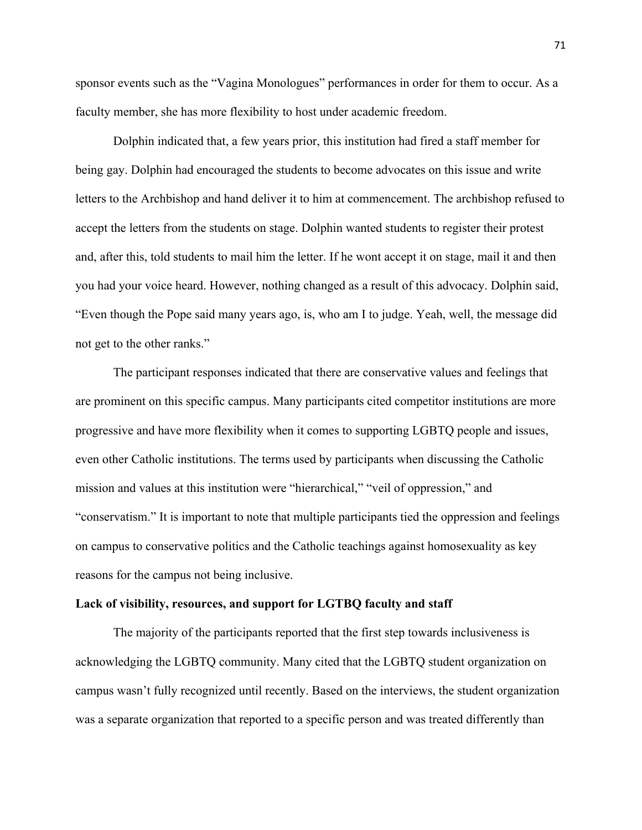sponsor events such as the "Vagina Monologues" performances in order for them to occur. As a faculty member, she has more flexibility to host under academic freedom.

Dolphin indicated that, a few years prior, this institution had fired a staff member for being gay. Dolphin had encouraged the students to become advocates on this issue and write letters to the Archbishop and hand deliver it to him at commencement. The archbishop refused to accept the letters from the students on stage. Dolphin wanted students to register their protest and, after this, told students to mail him the letter. If he wont accept it on stage, mail it and then you had your voice heard. However, nothing changed as a result of this advocacy. Dolphin said, "Even though the Pope said many years ago, is, who am I to judge. Yeah, well, the message did not get to the other ranks."

The participant responses indicated that there are conservative values and feelings that are prominent on this specific campus. Many participants cited competitor institutions are more progressive and have more flexibility when it comes to supporting LGBTQ people and issues, even other Catholic institutions. The terms used by participants when discussing the Catholic mission and values at this institution were "hierarchical," "veil of oppression," and "conservatism." It is important to note that multiple participants tied the oppression and feelings on campus to conservative politics and the Catholic teachings against homosexuality as key reasons for the campus not being inclusive.

#### **Lack of visibility, resources, and support for LGTBQ faculty and staff**

The majority of the participants reported that the first step towards inclusiveness is acknowledging the LGBTQ community. Many cited that the LGBTQ student organization on campus wasn't fully recognized until recently. Based on the interviews, the student organization was a separate organization that reported to a specific person and was treated differently than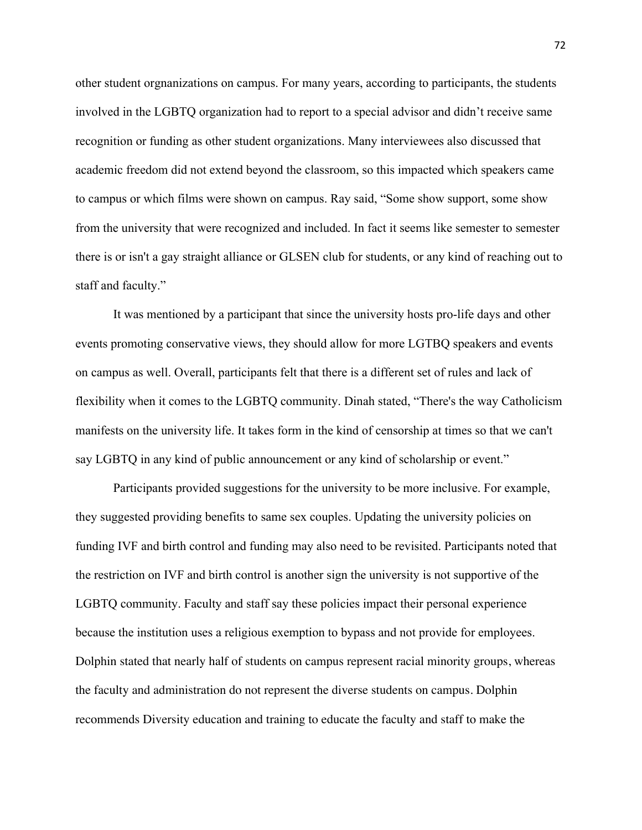other student orgnanizations on campus. For many years, according to participants, the students involved in the LGBTQ organization had to report to a special advisor and didn't receive same recognition or funding as other student organizations. Many interviewees also discussed that academic freedom did not extend beyond the classroom, so this impacted which speakers came to campus or which films were shown on campus. Ray said, "Some show support, some show from the university that were recognized and included. In fact it seems like semester to semester there is or isn't a gay straight alliance or GLSEN club for students, or any kind of reaching out to staff and faculty."

It was mentioned by a participant that since the university hosts pro-life days and other events promoting conservative views, they should allow for more LGTBQ speakers and events on campus as well. Overall, participants felt that there is a different set of rules and lack of flexibility when it comes to the LGBTQ community. Dinah stated, "There's the way Catholicism manifests on the university life. It takes form in the kind of censorship at times so that we can't say LGBTQ in any kind of public announcement or any kind of scholarship or event."

Participants provided suggestions for the university to be more inclusive. For example, they suggested providing benefits to same sex couples. Updating the university policies on funding IVF and birth control and funding may also need to be revisited. Participants noted that the restriction on IVF and birth control is another sign the university is not supportive of the LGBTQ community. Faculty and staff say these policies impact their personal experience because the institution uses a religious exemption to bypass and not provide for employees. Dolphin stated that nearly half of students on campus represent racial minority groups, whereas the faculty and administration do not represent the diverse students on campus. Dolphin recommends Diversity education and training to educate the faculty and staff to make the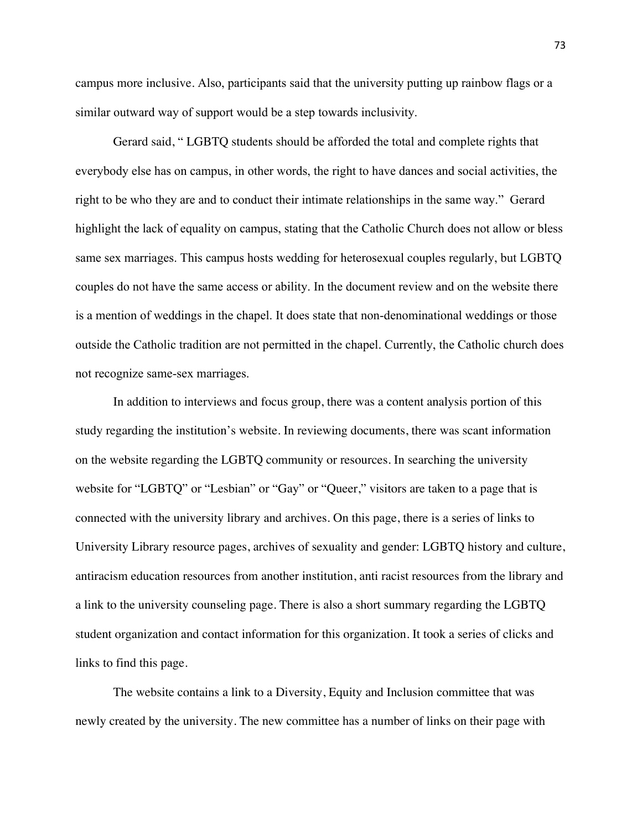campus more inclusive. Also, participants said that the university putting up rainbow flags or a similar outward way of support would be a step towards inclusivity.

Gerard said, " LGBTQ students should be afforded the total and complete rights that everybody else has on campus, in other words, the right to have dances and social activities, the right to be who they are and to conduct their intimate relationships in the same way." Gerard highlight the lack of equality on campus, stating that the Catholic Church does not allow or bless same sex marriages. This campus hosts wedding for heterosexual couples regularly, but LGBTQ couples do not have the same access or ability. In the document review and on the website there is a mention of weddings in the chapel. It does state that non-denominational weddings or those outside the Catholic tradition are not permitted in the chapel. Currently, the Catholic church does not recognize same-sex marriages.

In addition to interviews and focus group, there was a content analysis portion of this study regarding the institution's website. In reviewing documents, there was scant information on the website regarding the LGBTQ community or resources. In searching the university website for "LGBTQ" or "Lesbian" or "Gay" or "Queer," visitors are taken to a page that is connected with the university library and archives. On this page, there is a series of links to University Library resource pages, archives of sexuality and gender: LGBTQ history and culture, antiracism education resources from another institution, anti racist resources from the library and a link to the university counseling page. There is also a short summary regarding the LGBTQ student organization and contact information for this organization. It took a series of clicks and links to find this page.

The website contains a link to a Diversity, Equity and Inclusion committee that was newly created by the university. The new committee has a number of links on their page with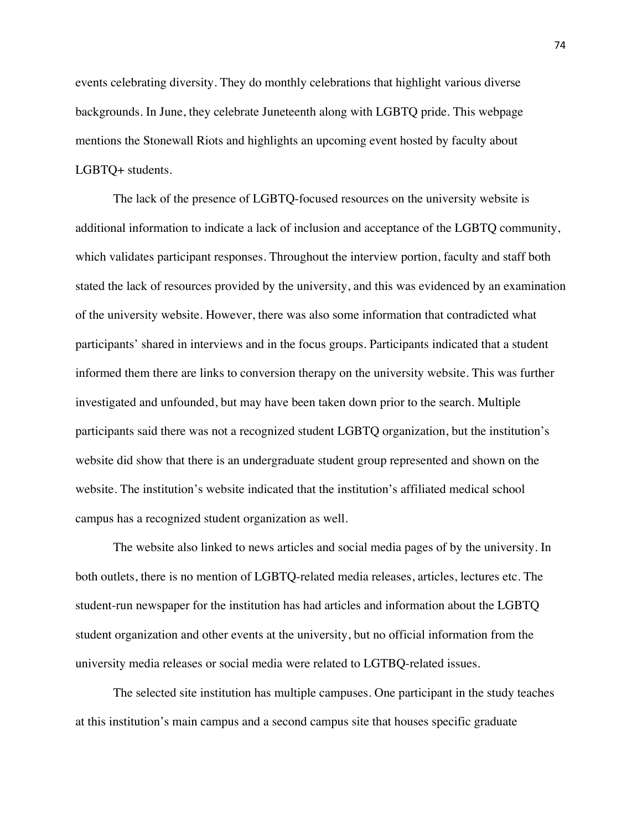events celebrating diversity. They do monthly celebrations that highlight various diverse backgrounds. In June, they celebrate Juneteenth along with LGBTQ pride. This webpage mentions the Stonewall Riots and highlights an upcoming event hosted by faculty about LGBTQ+ students.

The lack of the presence of LGBTQ-focused resources on the university website is additional information to indicate a lack of inclusion and acceptance of the LGBTQ community, which validates participant responses. Throughout the interview portion, faculty and staff both stated the lack of resources provided by the university, and this was evidenced by an examination of the university website. However, there was also some information that contradicted what participants' shared in interviews and in the focus groups. Participants indicated that a student informed them there are links to conversion therapy on the university website. This was further investigated and unfounded, but may have been taken down prior to the search. Multiple participants said there was not a recognized student LGBTQ organization, but the institution's website did show that there is an undergraduate student group represented and shown on the website. The institution's website indicated that the institution's affiliated medical school campus has a recognized student organization as well.

The website also linked to news articles and social media pages of by the university. In both outlets, there is no mention of LGBTQ-related media releases, articles, lectures etc. The student-run newspaper for the institution has had articles and information about the LGBTQ student organization and other events at the university, but no official information from the university media releases or social media were related to LGTBQ-related issues.

The selected site institution has multiple campuses. One participant in the study teaches at this institution's main campus and a second campus site that houses specific graduate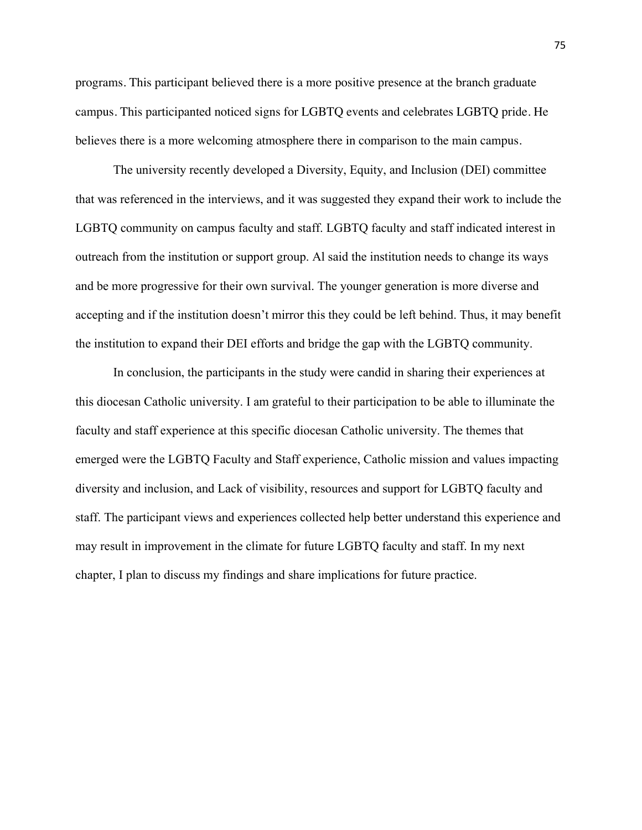programs. This participant believed there is a more positive presence at the branch graduate campus. This participanted noticed signs for LGBTQ events and celebrates LGBTQ pride. He believes there is a more welcoming atmosphere there in comparison to the main campus.

The university recently developed a Diversity, Equity, and Inclusion (DEI) committee that was referenced in the interviews, and it was suggested they expand their work to include the LGBTQ community on campus faculty and staff. LGBTQ faculty and staff indicated interest in outreach from the institution or support group. Al said the institution needs to change its ways and be more progressive for their own survival. The younger generation is more diverse and accepting and if the institution doesn't mirror this they could be left behind. Thus, it may benefit the institution to expand their DEI efforts and bridge the gap with the LGBTQ community.

In conclusion, the participants in the study were candid in sharing their experiences at this diocesan Catholic university. I am grateful to their participation to be able to illuminate the faculty and staff experience at this specific diocesan Catholic university. The themes that emerged were the LGBTQ Faculty and Staff experience, Catholic mission and values impacting diversity and inclusion, and Lack of visibility, resources and support for LGBTQ faculty and staff. The participant views and experiences collected help better understand this experience and may result in improvement in the climate for future LGBTQ faculty and staff. In my next chapter, I plan to discuss my findings and share implications for future practice.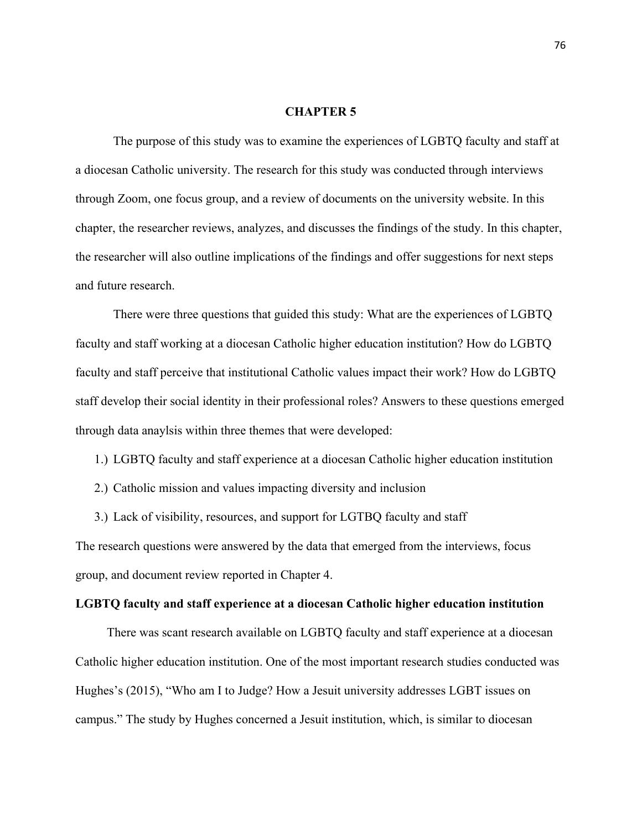# **CHAPTER 5**

The purpose of this study was to examine the experiences of LGBTQ faculty and staff at a diocesan Catholic university. The research for this study was conducted through interviews through Zoom, one focus group, and a review of documents on the university website. In this chapter, the researcher reviews, analyzes, and discusses the findings of the study. In this chapter, the researcher will also outline implications of the findings and offer suggestions for next steps and future research.

There were three questions that guided this study: What are the experiences of LGBTQ faculty and staff working at a diocesan Catholic higher education institution? How do LGBTQ faculty and staff perceive that institutional Catholic values impact their work? How do LGBTQ staff develop their social identity in their professional roles? Answers to these questions emerged through data anaylsis within three themes that were developed:

- 1.) LGBTQ faculty and staff experience at a diocesan Catholic higher education institution
- 2.) Catholic mission and values impacting diversity and inclusion

3.) Lack of visibility, resources, and support for LGTBQ faculty and staff

The research questions were answered by the data that emerged from the interviews, focus group, and document review reported in Chapter 4.

## **LGBTQ faculty and staff experience at a diocesan Catholic higher education institution**

There was scant research available on LGBTQ faculty and staff experience at a diocesan Catholic higher education institution. One of the most important research studies conducted was Hughes's (2015), "Who am I to Judge? How a Jesuit university addresses LGBT issues on campus." The study by Hughes concerned a Jesuit institution, which, is similar to diocesan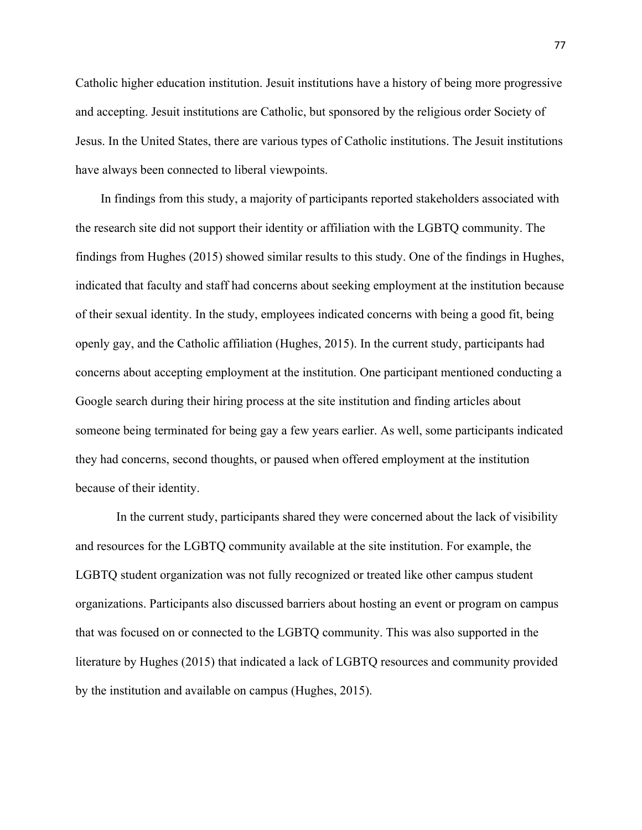Catholic higher education institution. Jesuit institutions have a history of being more progressive and accepting. Jesuit institutions are Catholic, but sponsored by the religious order Society of Jesus. In the United States, there are various types of Catholic institutions. The Jesuit institutions have always been connected to liberal viewpoints.

 In findings from this study, a majority of participants reported stakeholders associated with the research site did not support their identity or affiliation with the LGBTQ community. The findings from Hughes (2015) showed similar results to this study. One of the findings in Hughes, indicated that faculty and staff had concerns about seeking employment at the institution because of their sexual identity. In the study, employees indicated concerns with being a good fit, being openly gay, and the Catholic affiliation (Hughes, 2015). In the current study, participants had concerns about accepting employment at the institution. One participant mentioned conducting a Google search during their hiring process at the site institution and finding articles about someone being terminated for being gay a few years earlier. As well, some participants indicated they had concerns, second thoughts, or paused when offered employment at the institution because of their identity.

 In the current study, participants shared they were concerned about the lack of visibility and resources for the LGBTQ community available at the site institution. For example, the LGBTQ student organization was not fully recognized or treated like other campus student organizations. Participants also discussed barriers about hosting an event or program on campus that was focused on or connected to the LGBTQ community. This was also supported in the literature by Hughes (2015) that indicated a lack of LGBTQ resources and community provided by the institution and available on campus (Hughes, 2015).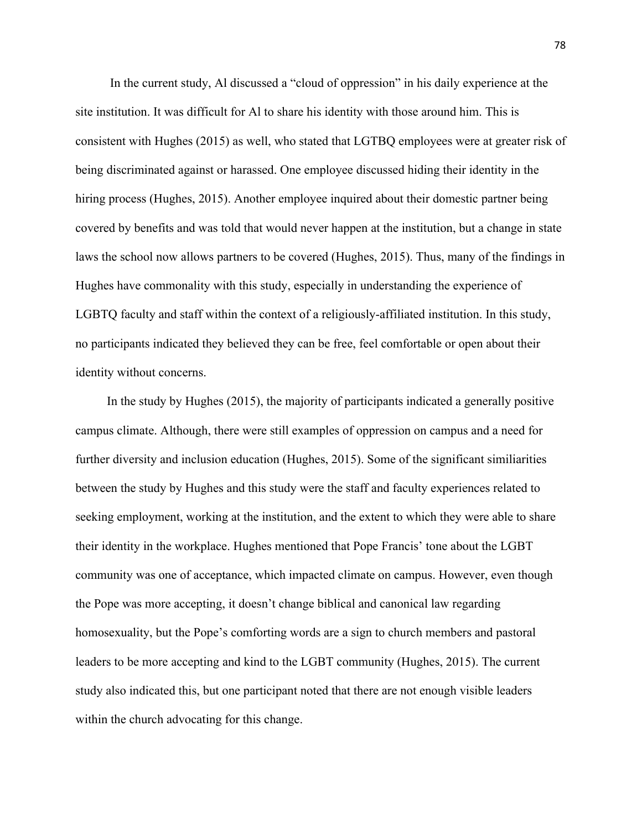In the current study, Al discussed a "cloud of oppression" in his daily experience at the site institution. It was difficult for Al to share his identity with those around him. This is consistent with Hughes (2015) as well, who stated that LGTBQ employees were at greater risk of being discriminated against or harassed. One employee discussed hiding their identity in the hiring process (Hughes, 2015). Another employee inquired about their domestic partner being covered by benefits and was told that would never happen at the institution, but a change in state laws the school now allows partners to be covered (Hughes, 2015). Thus, many of the findings in Hughes have commonality with this study, especially in understanding the experience of LGBTQ faculty and staff within the context of a religiously-affiliated institution. In this study, no participants indicated they believed they can be free, feel comfortable or open about their identity without concerns.

 In the study by Hughes (2015), the majority of participants indicated a generally positive campus climate. Although, there were still examples of oppression on campus and a need for further diversity and inclusion education (Hughes, 2015). Some of the significant similiarities between the study by Hughes and this study were the staff and faculty experiences related to seeking employment, working at the institution, and the extent to which they were able to share their identity in the workplace. Hughes mentioned that Pope Francis' tone about the LGBT community was one of acceptance, which impacted climate on campus. However, even though the Pope was more accepting, it doesn't change biblical and canonical law regarding homosexuality, but the Pope's comforting words are a sign to church members and pastoral leaders to be more accepting and kind to the LGBT community (Hughes, 2015). The current study also indicated this, but one participant noted that there are not enough visible leaders within the church advocating for this change.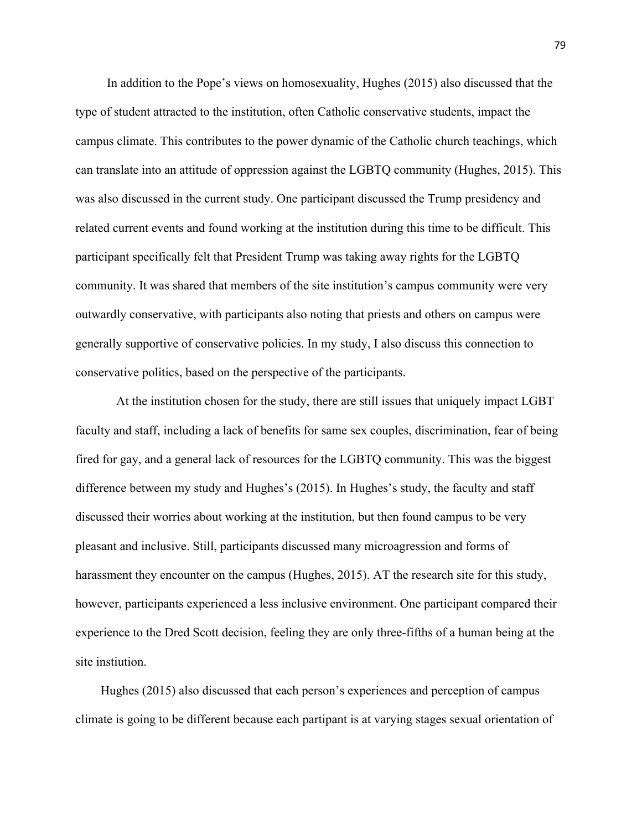In addition to the Pope's views on homosexuality, Hughes (2015) also discussed that the type of student attracted to the institution, often Catholic conservative students, impact the campus climate. This contributes to the power dynamic of the Catholic church teachings, which can translate into an attitude of oppression against the LGBTQ community (Hughes, 2015). This was also discussed in the current study. One participant discussed the Trump presidency and related current events and found working at the institution during this time to be difficult. This participant specifically felt that President Trump was taking away rights for the LGBTQ community. It was shared that members of the site institution's campus community were very outwardly conservative, with participants also noting that priests and others on campus were generally supportive of conservative policies. In my study, I also discuss this connection to conservative politics, based on the perspective of the participants.

 At the institution chosen for the study, there are still issues that uniquely impact LGBT faculty and staff, including a lack of benefits for same sex couples, discrimination, fear of being fired for gay, and a general lack of resources for the LGBTQ community. This was the biggest difference between my study and Hughes's (2015). In Hughes's study, the faculty and staff discussed their worries about working at the institution, but then found campus to be very pleasant and inclusive. Still, participants discussed many microagression and forms of harassment they encounter on the campus (Hughes, 2015). AT the research site for this study, however, participants experienced a less inclusive environment. One participant compared their experience to the Dred Scott decision, feeling they are only three-fifths of a human being at the site instiution.

 Hughes (2015) also discussed that each person's experiences and perception of campus climate is going to be different because each partipant is at varying stages sexual orientation of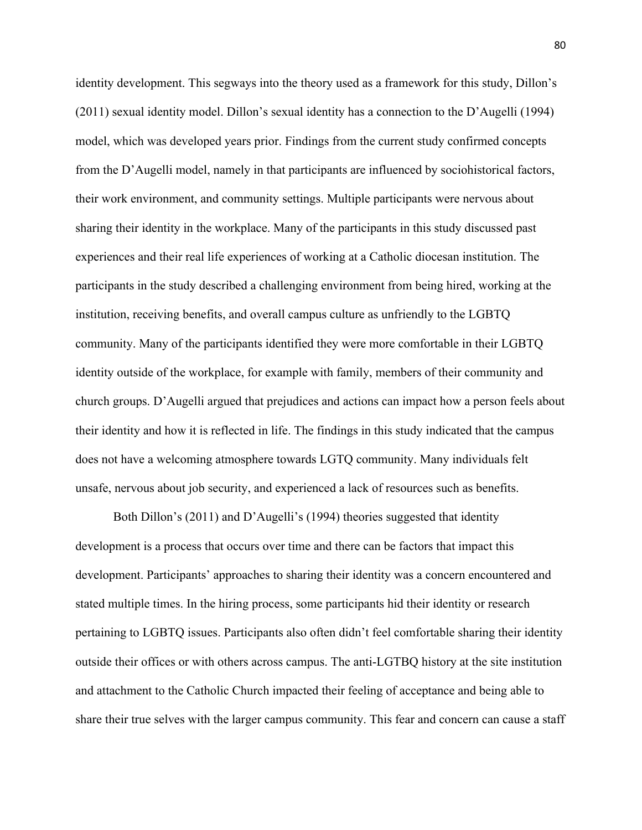identity development. This segways into the theory used as a framework for this study, Dillon's (2011) sexual identity model. Dillon's sexual identity has a connection to the D'Augelli (1994) model, which was developed years prior. Findings from the current study confirmed concepts from the D'Augelli model, namely in that participants are influenced by sociohistorical factors, their work environment, and community settings. Multiple participants were nervous about sharing their identity in the workplace. Many of the participants in this study discussed past experiences and their real life experiences of working at a Catholic diocesan institution. The participants in the study described a challenging environment from being hired, working at the institution, receiving benefits, and overall campus culture as unfriendly to the LGBTQ community. Many of the participants identified they were more comfortable in their LGBTQ identity outside of the workplace, for example with family, members of their community and church groups. D'Augelli argued that prejudices and actions can impact how a person feels about their identity and how it is reflected in life. The findings in this study indicated that the campus does not have a welcoming atmosphere towards LGTQ community. Many individuals felt unsafe, nervous about job security, and experienced a lack of resources such as benefits.

Both Dillon's (2011) and D'Augelli's (1994) theories suggested that identity development is a process that occurs over time and there can be factors that impact this development. Participants' approaches to sharing their identity was a concern encountered and stated multiple times. In the hiring process, some participants hid their identity or research pertaining to LGBTQ issues. Participants also often didn't feel comfortable sharing their identity outside their offices or with others across campus. The anti-LGTBQ history at the site institution and attachment to the Catholic Church impacted their feeling of acceptance and being able to share their true selves with the larger campus community. This fear and concern can cause a staff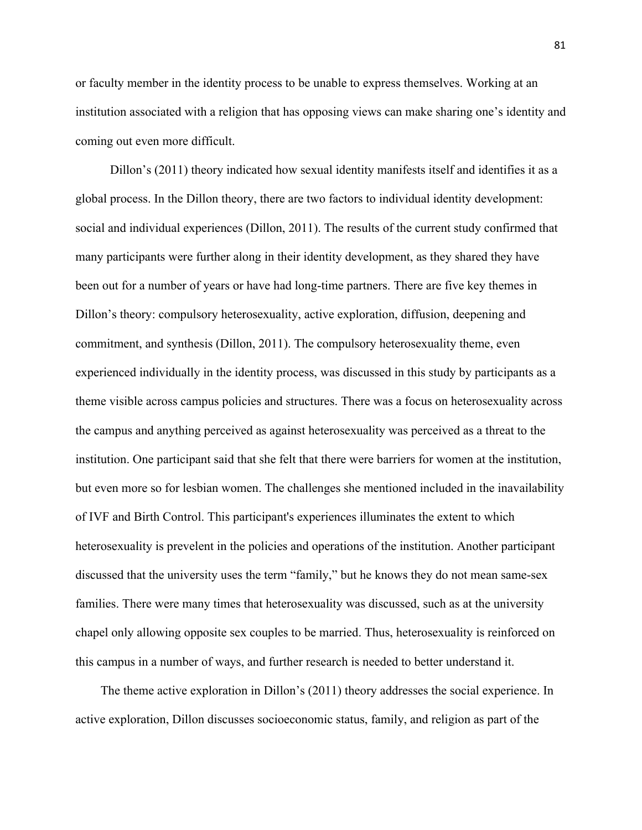or faculty member in the identity process to be unable to express themselves. Working at an institution associated with a religion that has opposing views can make sharing one's identity and coming out even more difficult.

 Dillon's (2011) theory indicated how sexual identity manifests itself and identifies it as a global process. In the Dillon theory, there are two factors to individual identity development: social and individual experiences (Dillon, 2011). The results of the current study confirmed that many participants were further along in their identity development, as they shared they have been out for a number of years or have had long-time partners. There are five key themes in Dillon's theory: compulsory heterosexuality, active exploration, diffusion, deepening and commitment, and synthesis (Dillon, 2011). The compulsory heterosexuality theme, even experienced individually in the identity process, was discussed in this study by participants as a theme visible across campus policies and structures. There was a focus on heterosexuality across the campus and anything perceived as against heterosexuality was perceived as a threat to the institution. One participant said that she felt that there were barriers for women at the institution, but even more so for lesbian women. The challenges she mentioned included in the inavailability of IVF and Birth Control. This participant's experiences illuminates the extent to which heterosexuality is prevelent in the policies and operations of the institution. Another participant discussed that the university uses the term "family," but he knows they do not mean same-sex families. There were many times that heterosexuality was discussed, such as at the university chapel only allowing opposite sex couples to be married. Thus, heterosexuality is reinforced on this campus in a number of ways, and further research is needed to better understand it.

 The theme active exploration in Dillon's (2011) theory addresses the social experience. In active exploration, Dillon discusses socioeconomic status, family, and religion as part of the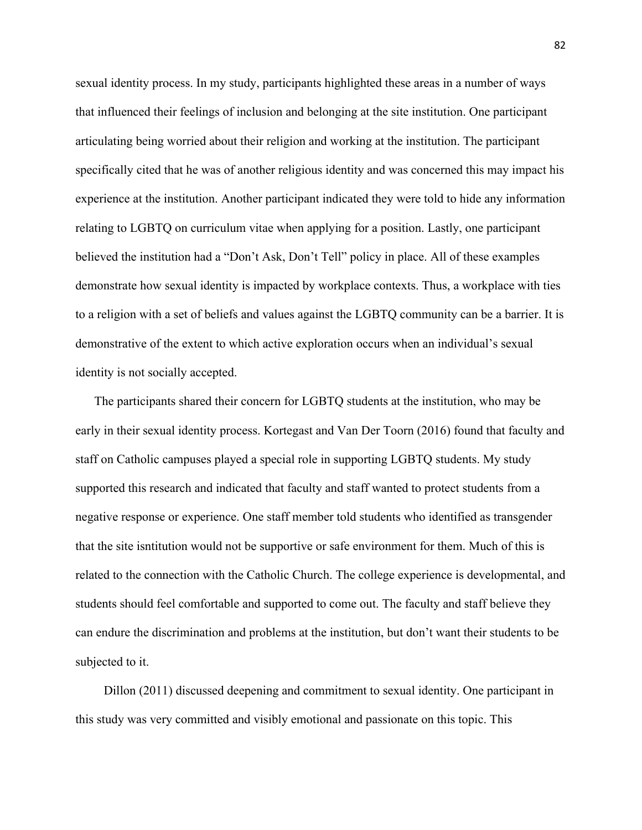sexual identity process. In my study, participants highlighted these areas in a number of ways that influenced their feelings of inclusion and belonging at the site institution. One participant articulating being worried about their religion and working at the institution. The participant specifically cited that he was of another religious identity and was concerned this may impact his experience at the institution. Another participant indicated they were told to hide any information relating to LGBTQ on curriculum vitae when applying for a position. Lastly, one participant believed the institution had a "Don't Ask, Don't Tell" policy in place. All of these examples demonstrate how sexual identity is impacted by workplace contexts. Thus, a workplace with ties to a religion with a set of beliefs and values against the LGBTQ community can be a barrier. It is demonstrative of the extent to which active exploration occurs when an individual's sexual identity is not socially accepted.

 The participants shared their concern for LGBTQ students at the institution, who may be early in their sexual identity process. Kortegast and Van Der Toorn (2016) found that faculty and staff on Catholic campuses played a special role in supporting LGBTQ students. My study supported this research and indicated that faculty and staff wanted to protect students from a negative response or experience. One staff member told students who identified as transgender that the site isntitution would not be supportive or safe environment for them. Much of this is related to the connection with the Catholic Church. The college experience is developmental, and students should feel comfortable and supported to come out. The faculty and staff believe they can endure the discrimination and problems at the institution, but don't want their students to be subjected to it.

 Dillon (2011) discussed deepening and commitment to sexual identity. One participant in this study was very committed and visibly emotional and passionate on this topic. This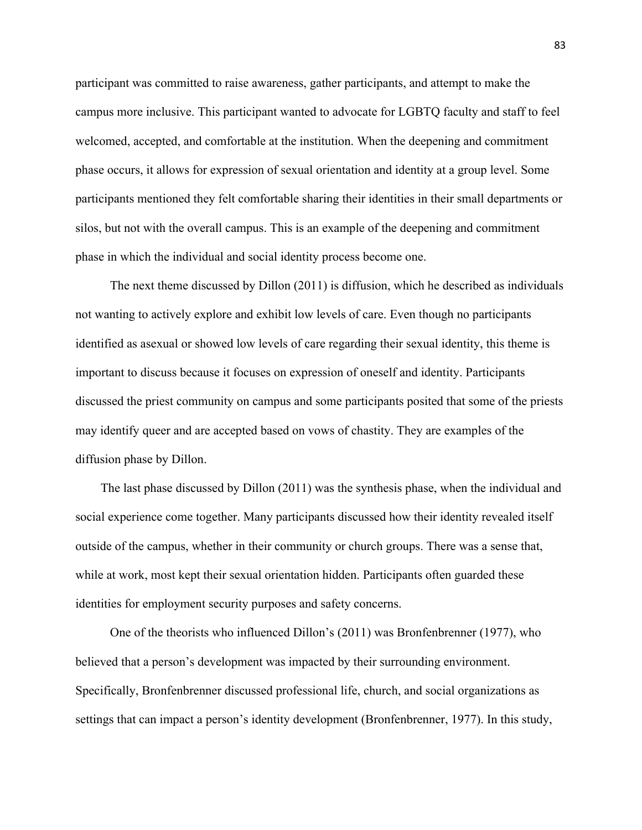participant was committed to raise awareness, gather participants, and attempt to make the campus more inclusive. This participant wanted to advocate for LGBTQ faculty and staff to feel welcomed, accepted, and comfortable at the institution. When the deepening and commitment phase occurs, it allows for expression of sexual orientation and identity at a group level. Some participants mentioned they felt comfortable sharing their identities in their small departments or silos, but not with the overall campus. This is an example of the deepening and commitment phase in which the individual and social identity process become one.

 The next theme discussed by Dillon (2011) is diffusion, which he described as individuals not wanting to actively explore and exhibit low levels of care. Even though no participants identified as asexual or showed low levels of care regarding their sexual identity, this theme is important to discuss because it focuses on expression of oneself and identity. Participants discussed the priest community on campus and some participants posited that some of the priests may identify queer and are accepted based on vows of chastity. They are examples of the diffusion phase by Dillon.

 The last phase discussed by Dillon (2011) was the synthesis phase, when the individual and social experience come together. Many participants discussed how their identity revealed itself outside of the campus, whether in their community or church groups. There was a sense that, while at work, most kept their sexual orientation hidden. Participants often guarded these identities for employment security purposes and safety concerns.

 One of the theorists who influenced Dillon's (2011) was Bronfenbrenner (1977), who believed that a person's development was impacted by their surrounding environment. Specifically, Bronfenbrenner discussed professional life, church, and social organizations as settings that can impact a person's identity development (Bronfenbrenner, 1977). In this study,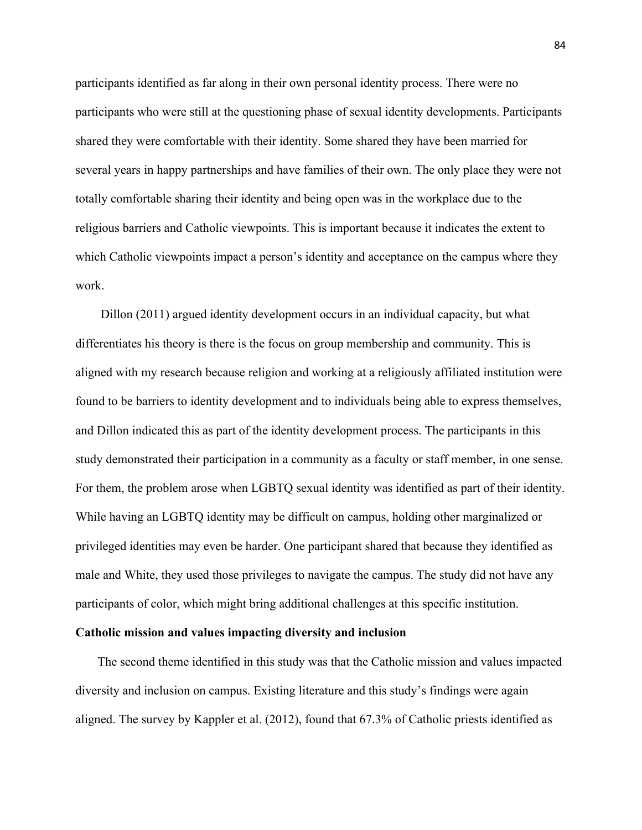participants identified as far along in their own personal identity process. There were no participants who were still at the questioning phase of sexual identity developments. Participants shared they were comfortable with their identity. Some shared they have been married for several years in happy partnerships and have families of their own. The only place they were not totally comfortable sharing their identity and being open was in the workplace due to the religious barriers and Catholic viewpoints. This is important because it indicates the extent to which Catholic viewpoints impact a person's identity and acceptance on the campus where they work.

 Dillon (2011) argued identity development occurs in an individual capacity, but what differentiates his theory is there is the focus on group membership and community. This is aligned with my research because religion and working at a religiously affiliated institution were found to be barriers to identity development and to individuals being able to express themselves, and Dillon indicated this as part of the identity development process. The participants in this study demonstrated their participation in a community as a faculty or staff member, in one sense. For them, the problem arose when LGBTQ sexual identity was identified as part of their identity. While having an LGBTQ identity may be difficult on campus, holding other marginalized or privileged identities may even be harder. One participant shared that because they identified as male and White, they used those privileges to navigate the campus. The study did not have any participants of color, which might bring additional challenges at this specific institution.

## **Catholic mission and values impacting diversity and inclusion**

 The second theme identified in this study was that the Catholic mission and values impacted diversity and inclusion on campus. Existing literature and this study's findings were again aligned. The survey by Kappler et al. (2012), found that 67.3% of Catholic priests identified as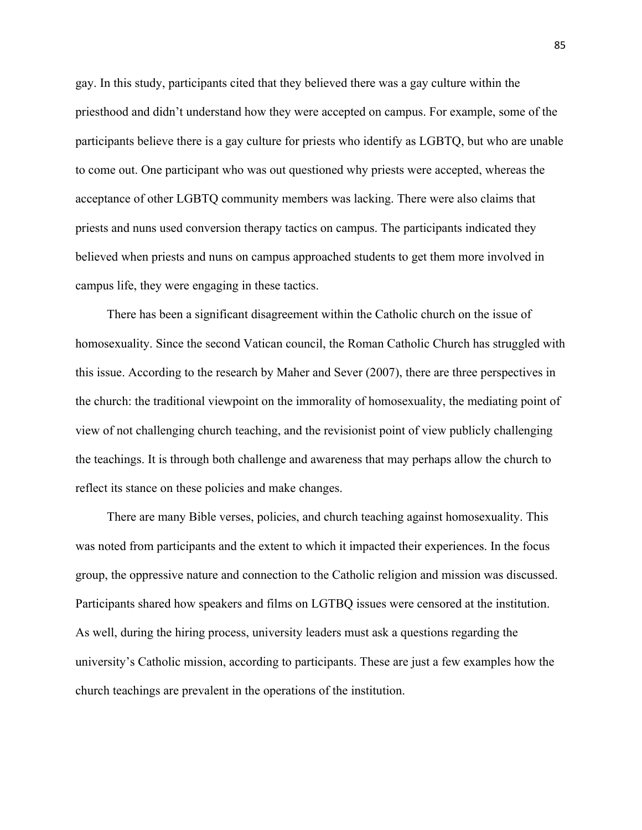gay. In this study, participants cited that they believed there was a gay culture within the priesthood and didn't understand how they were accepted on campus. For example, some of the participants believe there is a gay culture for priests who identify as LGBTQ, but who are unable to come out. One participant who was out questioned why priests were accepted, whereas the acceptance of other LGBTQ community members was lacking. There were also claims that priests and nuns used conversion therapy tactics on campus. The participants indicated they believed when priests and nuns on campus approached students to get them more involved in campus life, they were engaging in these tactics.

 There has been a significant disagreement within the Catholic church on the issue of homosexuality. Since the second Vatican council, the Roman Catholic Church has struggled with this issue. According to the research by Maher and Sever (2007), there are three perspectives in the church: the traditional viewpoint on the immorality of homosexuality, the mediating point of view of not challenging church teaching, and the revisionist point of view publicly challenging the teachings. It is through both challenge and awareness that may perhaps allow the church to reflect its stance on these policies and make changes.

 There are many Bible verses, policies, and church teaching against homosexuality. This was noted from participants and the extent to which it impacted their experiences. In the focus group, the oppressive nature and connection to the Catholic religion and mission was discussed. Participants shared how speakers and films on LGTBQ issues were censored at the institution. As well, during the hiring process, university leaders must ask a questions regarding the university's Catholic mission, according to participants. These are just a few examples how the church teachings are prevalent in the operations of the institution.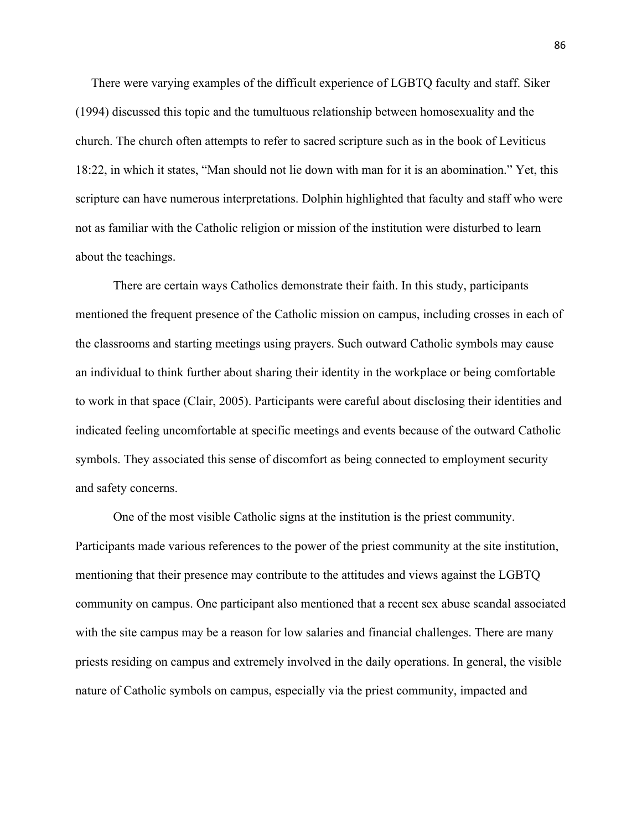There were varying examples of the difficult experience of LGBTQ faculty and staff. Siker (1994) discussed this topic and the tumultuous relationship between homosexuality and the church. The church often attempts to refer to sacred scripture such as in the book of Leviticus 18:22, in which it states, "Man should not lie down with man for it is an abomination." Yet, this scripture can have numerous interpretations. Dolphin highlighted that faculty and staff who were not as familiar with the Catholic religion or mission of the institution were disturbed to learn about the teachings.

There are certain ways Catholics demonstrate their faith. In this study, participants mentioned the frequent presence of the Catholic mission on campus, including crosses in each of the classrooms and starting meetings using prayers. Such outward Catholic symbols may cause an individual to think further about sharing their identity in the workplace or being comfortable to work in that space (Clair, 2005). Participants were careful about disclosing their identities and indicated feeling uncomfortable at specific meetings and events because of the outward Catholic symbols. They associated this sense of discomfort as being connected to employment security and safety concerns.

One of the most visible Catholic signs at the institution is the priest community. Participants made various references to the power of the priest community at the site institution, mentioning that their presence may contribute to the attitudes and views against the LGBTQ community on campus. One participant also mentioned that a recent sex abuse scandal associated with the site campus may be a reason for low salaries and financial challenges. There are many priests residing on campus and extremely involved in the daily operations. In general, the visible nature of Catholic symbols on campus, especially via the priest community, impacted and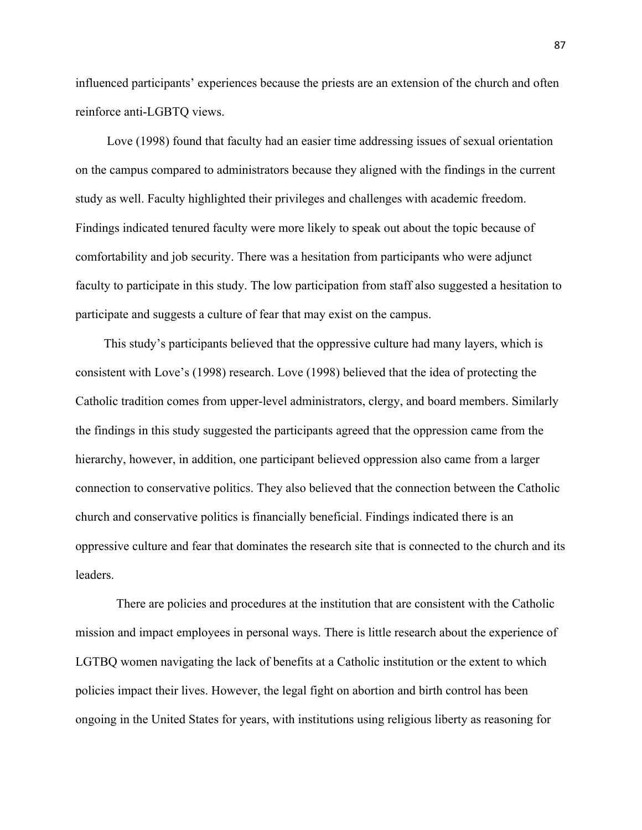influenced participants' experiences because the priests are an extension of the church and often reinforce anti-LGBTQ views.

 Love (1998) found that faculty had an easier time addressing issues of sexual orientation on the campus compared to administrators because they aligned with the findings in the current study as well. Faculty highlighted their privileges and challenges with academic freedom. Findings indicated tenured faculty were more likely to speak out about the topic because of comfortability and job security. There was a hesitation from participants who were adjunct faculty to participate in this study. The low participation from staff also suggested a hesitation to participate and suggests a culture of fear that may exist on the campus.

 This study's participants believed that the oppressive culture had many layers, which is consistent with Love's (1998) research. Love (1998) believed that the idea of protecting the Catholic tradition comes from upper-level administrators, clergy, and board members. Similarly the findings in this study suggested the participants agreed that the oppression came from the hierarchy, however, in addition, one participant believed oppression also came from a larger connection to conservative politics. They also believed that the connection between the Catholic church and conservative politics is financially beneficial. Findings indicated there is an oppressive culture and fear that dominates the research site that is connected to the church and its leaders.

 There are policies and procedures at the institution that are consistent with the Catholic mission and impact employees in personal ways. There is little research about the experience of LGTBQ women navigating the lack of benefits at a Catholic institution or the extent to which policies impact their lives. However, the legal fight on abortion and birth control has been ongoing in the United States for years, with institutions using religious liberty as reasoning for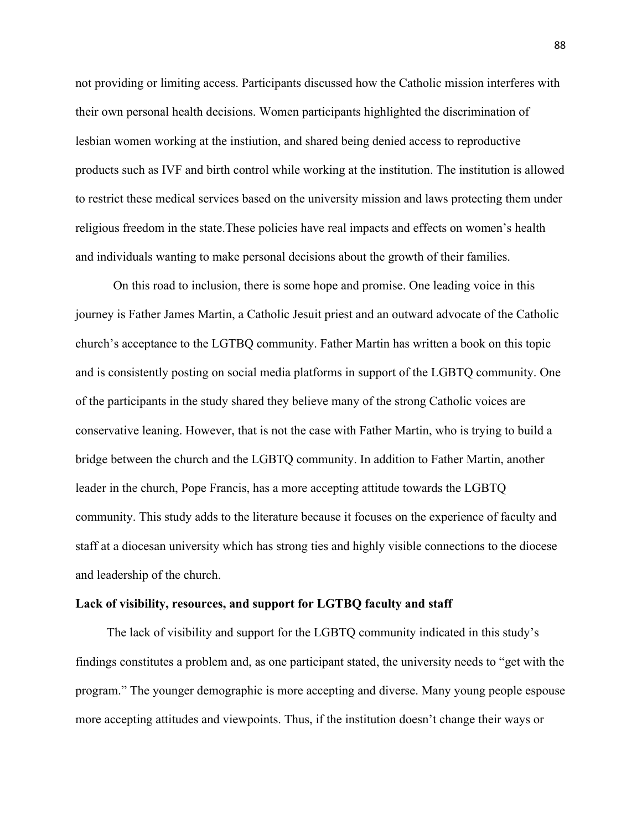not providing or limiting access. Participants discussed how the Catholic mission interferes with their own personal health decisions. Women participants highlighted the discrimination of lesbian women working at the instiution, and shared being denied access to reproductive products such as IVF and birth control while working at the institution. The institution is allowed to restrict these medical services based on the university mission and laws protecting them under religious freedom in the state.These policies have real impacts and effects on women's health and individuals wanting to make personal decisions about the growth of their families.

On this road to inclusion, there is some hope and promise. One leading voice in this journey is Father James Martin, a Catholic Jesuit priest and an outward advocate of the Catholic church's acceptance to the LGTBQ community. Father Martin has written a book on this topic and is consistently posting on social media platforms in support of the LGBTQ community. One of the participants in the study shared they believe many of the strong Catholic voices are conservative leaning. However, that is not the case with Father Martin, who is trying to build a bridge between the church and the LGBTQ community. In addition to Father Martin, another leader in the church, Pope Francis, has a more accepting attitude towards the LGBTQ community. This study adds to the literature because it focuses on the experience of faculty and staff at a diocesan university which has strong ties and highly visible connections to the diocese and leadership of the church.

#### **Lack of visibility, resources, and support for LGTBQ faculty and staff**

The lack of visibility and support for the LGBTQ community indicated in this study's findings constitutes a problem and, as one participant stated, the university needs to "get with the program." The younger demographic is more accepting and diverse. Many young people espouse more accepting attitudes and viewpoints. Thus, if the institution doesn't change their ways or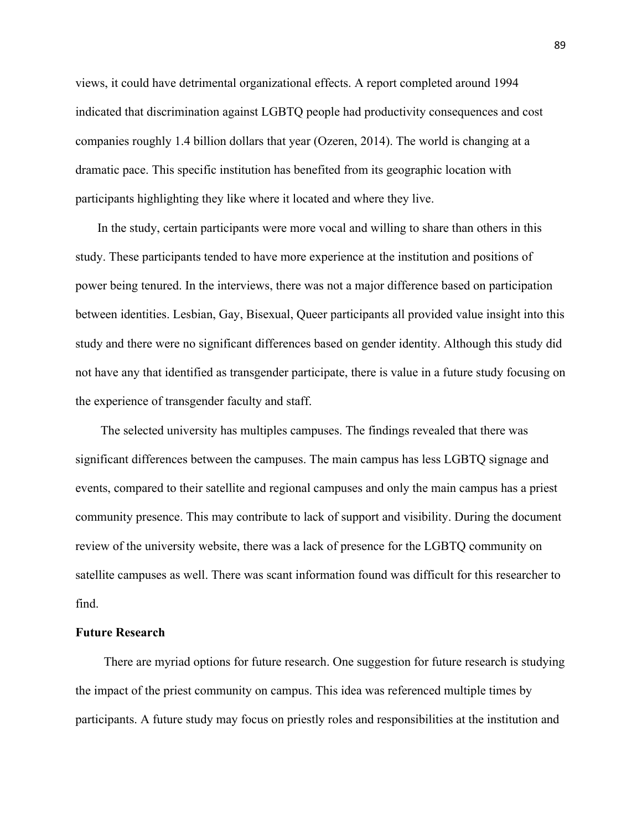views, it could have detrimental organizational effects. A report completed around 1994 indicated that discrimination against LGBTQ people had productivity consequences and cost companies roughly 1.4 billion dollars that year (Ozeren, 2014). The world is changing at a dramatic pace. This specific institution has benefited from its geographic location with participants highlighting they like where it located and where they live.

 In the study, certain participants were more vocal and willing to share than others in this study. These participants tended to have more experience at the institution and positions of power being tenured. In the interviews, there was not a major difference based on participation between identities. Lesbian, Gay, Bisexual, Queer participants all provided value insight into this study and there were no significant differences based on gender identity. Although this study did not have any that identified as transgender participate, there is value in a future study focusing on the experience of transgender faculty and staff.

 The selected university has multiples campuses. The findings revealed that there was significant differences between the campuses. The main campus has less LGBTQ signage and events, compared to their satellite and regional campuses and only the main campus has a priest community presence. This may contribute to lack of support and visibility. During the document review of the university website, there was a lack of presence for the LGBTQ community on satellite campuses as well. There was scant information found was difficult for this researcher to find.

#### **Future Research**

There are myriad options for future research. One suggestion for future research is studying the impact of the priest community on campus. This idea was referenced multiple times by participants. A future study may focus on priestly roles and responsibilities at the institution and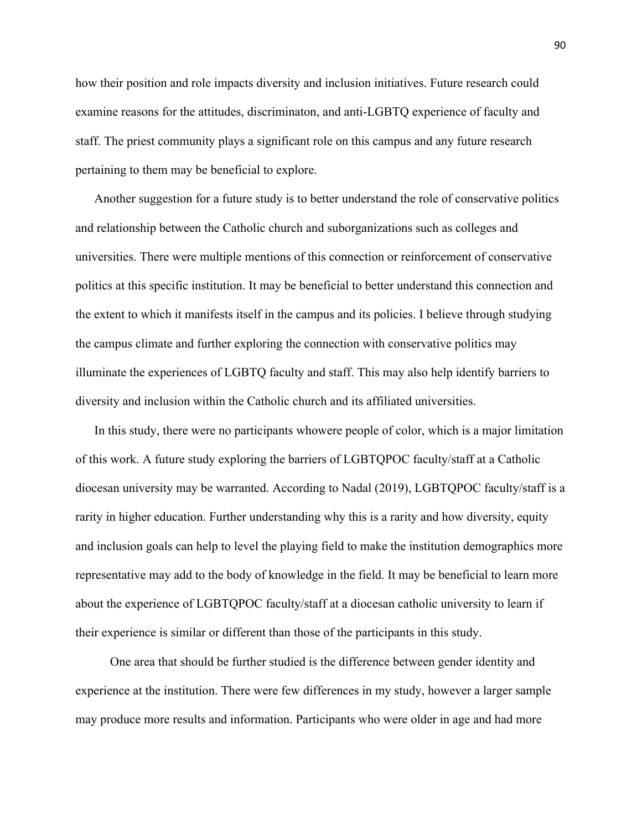how their position and role impacts diversity and inclusion initiatives. Future research could examine reasons for the attitudes, discriminaton, and anti-LGBTQ experience of faculty and staff. The priest community plays a significant role on this campus and any future research pertaining to them may be beneficial to explore.

 Another suggestion for a future study is to better understand the role of conservative politics and relationship between the Catholic church and suborganizations such as colleges and universities. There were multiple mentions of this connection or reinforcement of conservative politics at this specific institution. It may be beneficial to better understand this connection and the extent to which it manifests itself in the campus and its policies. I believe through studying the campus climate and further exploring the connection with conservative politics may illuminate the experiences of LGBTQ faculty and staff. This may also help identify barriers to diversity and inclusion within the Catholic church and its affiliated universities.

 In this study, there were no participants whowere people of color, which is a major limitation of this work. A future study exploring the barriers of LGBTQPOC faculty/staff at a Catholic diocesan university may be warranted. According to Nadal (2019), LGBTQPOC faculty/staff is a rarity in higher education. Further understanding why this is a rarity and how diversity, equity and inclusion goals can help to level the playing field to make the institution demographics more representative may add to the body of knowledge in the field. It may be beneficial to learn more about the experience of LGBTQPOC faculty/staff at a diocesan catholic university to learn if their experience is similar or different than those of the participants in this study.

 One area that should be further studied is the difference between gender identity and experience at the institution. There were few differences in my study, however a larger sample may produce more results and information. Participants who were older in age and had more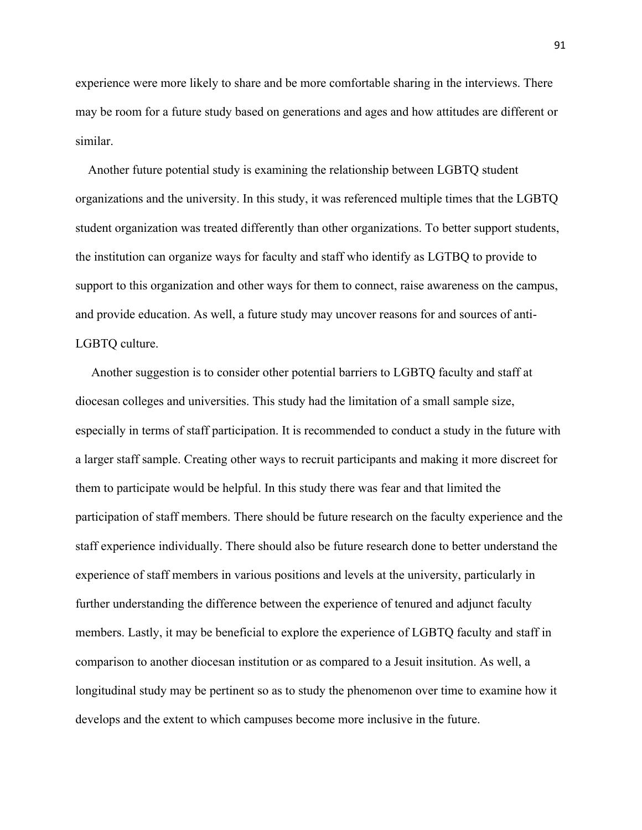experience were more likely to share and be more comfortable sharing in the interviews. There may be room for a future study based on generations and ages and how attitudes are different or similar.

 Another future potential study is examining the relationship between LGBTQ student organizations and the university. In this study, it was referenced multiple times that the LGBTQ student organization was treated differently than other organizations. To better support students, the institution can organize ways for faculty and staff who identify as LGTBQ to provide to support to this organization and other ways for them to connect, raise awareness on the campus, and provide education. As well, a future study may uncover reasons for and sources of anti-LGBTQ culture.

 Another suggestion is to consider other potential barriers to LGBTQ faculty and staff at diocesan colleges and universities. This study had the limitation of a small sample size, especially in terms of staff participation. It is recommended to conduct a study in the future with a larger staff sample. Creating other ways to recruit participants and making it more discreet for them to participate would be helpful. In this study there was fear and that limited the participation of staff members. There should be future research on the faculty experience and the staff experience individually. There should also be future research done to better understand the experience of staff members in various positions and levels at the university, particularly in further understanding the difference between the experience of tenured and adjunct faculty members. Lastly, it may be beneficial to explore the experience of LGBTQ faculty and staff in comparison to another diocesan institution or as compared to a Jesuit insitution. As well, a longitudinal study may be pertinent so as to study the phenomenon over time to examine how it develops and the extent to which campuses become more inclusive in the future.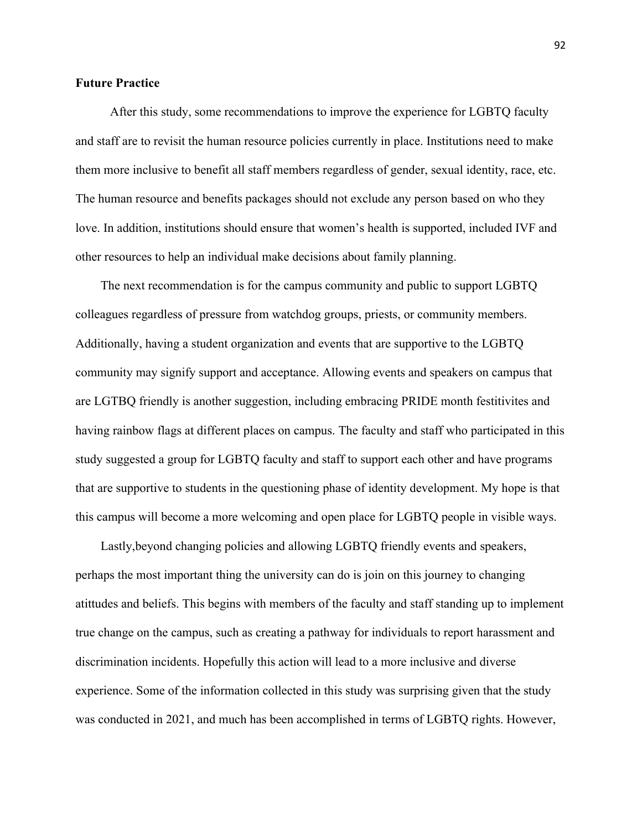# **Future Practice**

After this study, some recommendations to improve the experience for LGBTQ faculty and staff are to revisit the human resource policies currently in place. Institutions need to make them more inclusive to benefit all staff members regardless of gender, sexual identity, race, etc. The human resource and benefits packages should not exclude any person based on who they love. In addition, institutions should ensure that women's health is supported, included IVF and other resources to help an individual make decisions about family planning.

 The next recommendation is for the campus community and public to support LGBTQ colleagues regardless of pressure from watchdog groups, priests, or community members. Additionally, having a student organization and events that are supportive to the LGBTQ community may signify support and acceptance. Allowing events and speakers on campus that are LGTBQ friendly is another suggestion, including embracing PRIDE month festitivites and having rainbow flags at different places on campus. The faculty and staff who participated in this study suggested a group for LGBTQ faculty and staff to support each other and have programs that are supportive to students in the questioning phase of identity development. My hope is that this campus will become a more welcoming and open place for LGBTQ people in visible ways.

 Lastly,beyond changing policies and allowing LGBTQ friendly events and speakers, perhaps the most important thing the university can do is join on this journey to changing atittudes and beliefs. This begins with members of the faculty and staff standing up to implement true change on the campus, such as creating a pathway for individuals to report harassment and discrimination incidents. Hopefully this action will lead to a more inclusive and diverse experience. Some of the information collected in this study was surprising given that the study was conducted in 2021, and much has been accomplished in terms of LGBTQ rights. However,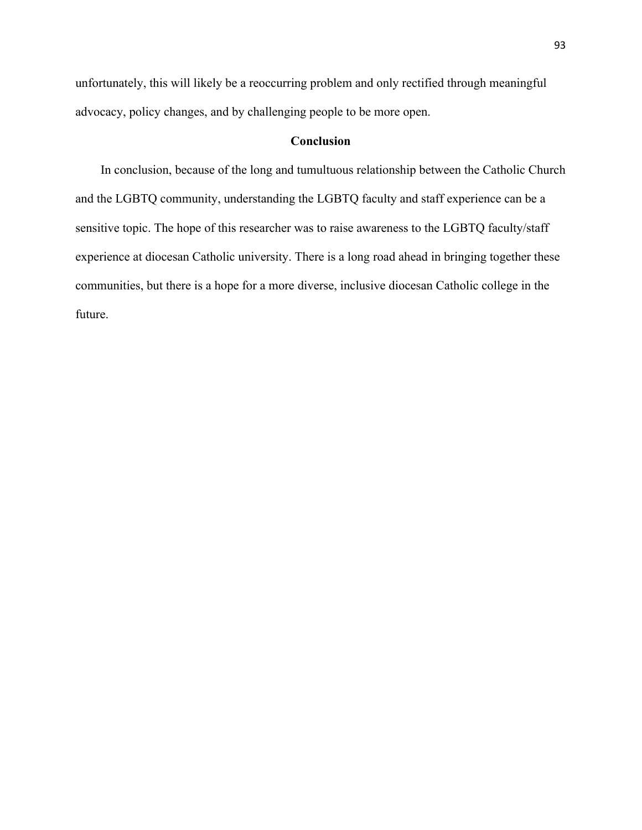unfortunately, this will likely be a reoccurring problem and only rectified through meaningful advocacy, policy changes, and by challenging people to be more open.

# **Conclusion**

In conclusion, because of the long and tumultuous relationship between the Catholic Church and the LGBTQ community, understanding the LGBTQ faculty and staff experience can be a sensitive topic. The hope of this researcher was to raise awareness to the LGBTQ faculty/staff experience at diocesan Catholic university. There is a long road ahead in bringing together these communities, but there is a hope for a more diverse, inclusive diocesan Catholic college in the future.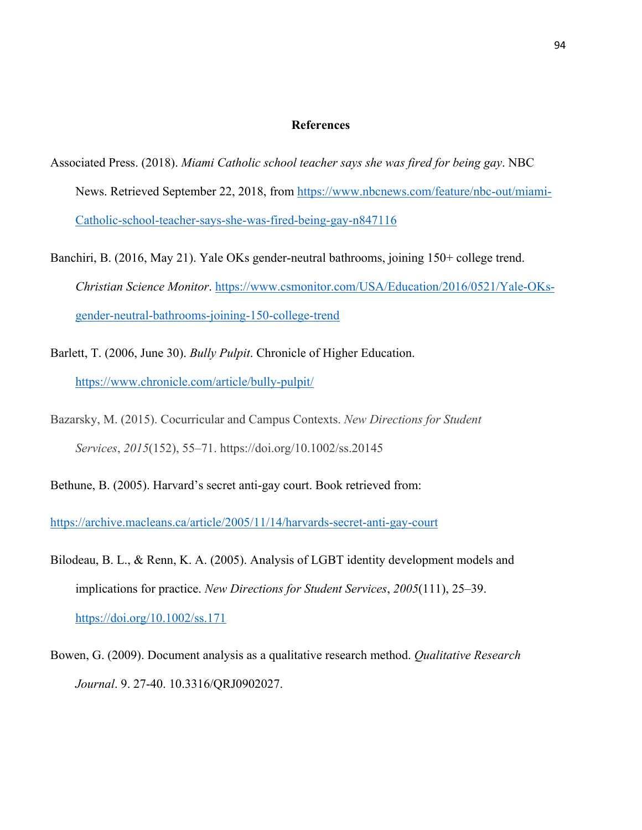# **References**

- Associated Press. (2018). *Miami Catholic school teacher says she was fired for being gay*. NBC News. Retrieved September 22, 2018, from https://www.nbcnews.com/feature/nbc-out/miami-Catholic-school-teacher-says-she-was-fired-being-gay-n847116
- Banchiri, B. (2016, May 21). Yale OKs gender-neutral bathrooms, joining 150+ college trend. *Christian Science Monitor*. https://www.csmonitor.com/USA/Education/2016/0521/Yale-OKsgender-neutral-bathrooms-joining-150-college-trend
- Barlett, T. (2006, June 30). *Bully Pulpit*. Chronicle of Higher Education. https://www.chronicle.com/article/bully-pulpit/
- Bazarsky, M. (2015). Cocurricular and Campus Contexts. *New Directions for Student Services*, *2015*(152), 55–71. https://doi.org/10.1002/ss.20145
- Bethune, B. (2005). Harvard's secret anti-gay court. Book retrieved from:

https://archive.macleans.ca/article/2005/11/14/harvards-secret-anti-gay-court

- Bilodeau, B. L., & Renn, K. A. (2005). Analysis of LGBT identity development models and implications for practice. *New Directions for Student Services*, *2005*(111), 25–39. https://doi.org/10.1002/ss.171
- Bowen, G. (2009). Document analysis as a qualitative research method. *Qualitative Research Journal*. 9. 27-40. 10.3316/QRJ0902027.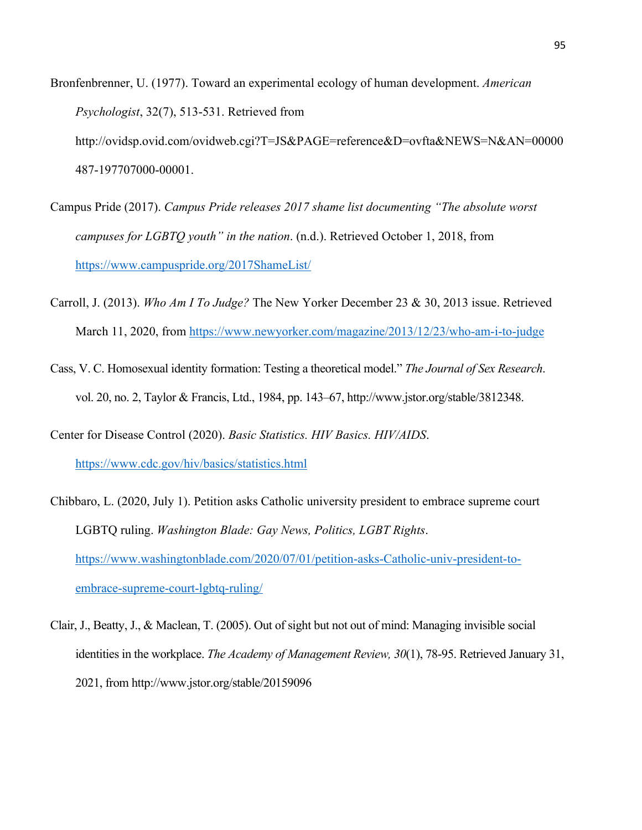- Bronfenbrenner, U. (1977). Toward an experimental ecology of human development. *American Psychologist*, 32(7), 513-531. Retrieved from http://ovidsp.ovid.com/ovidweb.cgi?T=JS&PAGE=reference&D=ovfta&NEWS=N&AN=00000 487-197707000-00001.
- Campus Pride (2017). *Campus Pride releases 2017 shame list documenting "The absolute worst campuses for LGBTQ youth" in the nation*. (n.d.). Retrieved October 1, 2018, from https://www.campuspride.org/2017ShameList/
- Carroll, J. (2013). *Who Am I To Judge?* The New Yorker December 23 & 30, 2013 issue. Retrieved March 11, 2020, from https://www.newyorker.com/magazine/2013/12/23/who-am-i-to-judge
- Cass, V. C. Homosexual identity formation: Testing a theoretical model." *The Journal of Sex Research*. vol. 20, no. 2, Taylor & Francis, Ltd., 1984, pp. 143–67, http://www.jstor.org/stable/3812348.
- Center for Disease Control (2020). *Basic Statistics. HIV Basics. HIV/AIDS*. https://www.cdc.gov/hiv/basics/statistics.html
- Chibbaro, L. (2020, July 1). Petition asks Catholic university president to embrace supreme court LGBTQ ruling. *Washington Blade: Gay News, Politics, LGBT Rights*. https://www.washingtonblade.com/2020/07/01/petition-asks-Catholic-univ-president-toembrace-supreme-court-lgbtq-ruling/
- Clair, J., Beatty, J., & Maclean, T. (2005). Out of sight but not out of mind: Managing invisible social identities in the workplace. *The Academy of Management Review, 30*(1), 78-95. Retrieved January 31, 2021, from http://www.jstor.org/stable/20159096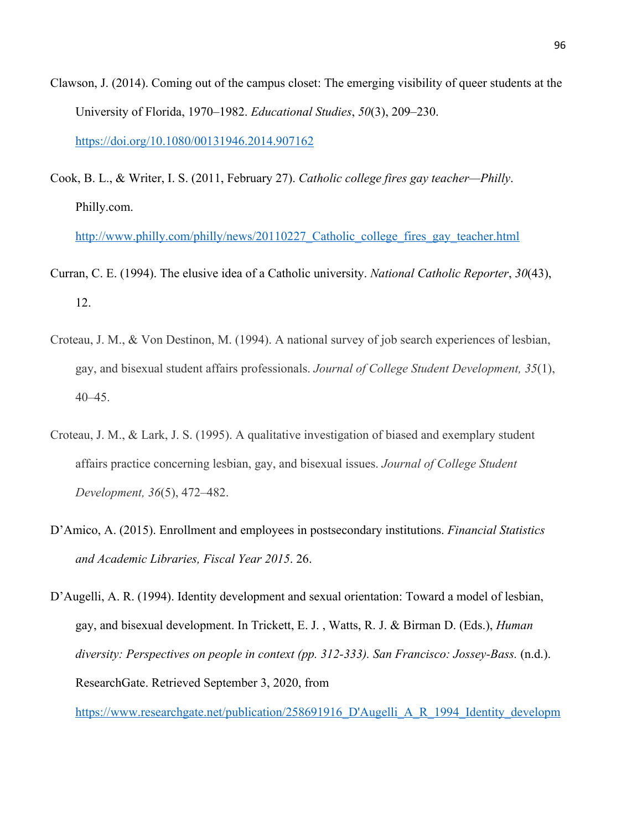- Clawson, J. (2014). Coming out of the campus closet: The emerging visibility of queer students at the University of Florida, 1970–1982. *Educational Studies*, *50*(3), 209–230. https://doi.org/10.1080/00131946.2014.907162
- Cook, B. L., & Writer, I. S. (2011, February 27). *Catholic college fires gay teacher—Philly*. Philly.com.

http://www.philly.com/philly/news/20110227 Catholic college fires gay teacher.html

- Curran, C. E. (1994). The elusive idea of a Catholic university. *National Catholic Reporter*, *30*(43), 12.
- Croteau, J. M., & Von Destinon, M. (1994). A national survey of job search experiences of lesbian, gay, and bisexual student affairs professionals. *Journal of College Student Development, 35*(1), 40–45.
- Croteau, J. M., & Lark, J. S. (1995). A qualitative investigation of biased and exemplary student affairs practice concerning lesbian, gay, and bisexual issues. *Journal of College Student Development, 36*(5), 472–482.
- D'Amico, A. (2015). Enrollment and employees in postsecondary institutions. *Financial Statistics and Academic Libraries, Fiscal Year 2015*. 26.

D'Augelli, A. R. (1994). Identity development and sexual orientation: Toward a model of lesbian, gay, and bisexual development. In Trickett, E. J. , Watts, R. J. & Birman D. (Eds.), *Human diversity: Perspectives on people in context (pp. 312-333). San Francisco: Jossey-Bass.* (n.d.). ResearchGate. Retrieved September 3, 2020, from

https://www.researchgate.net/publication/258691916 D'Augelli A R 1994 Identity developm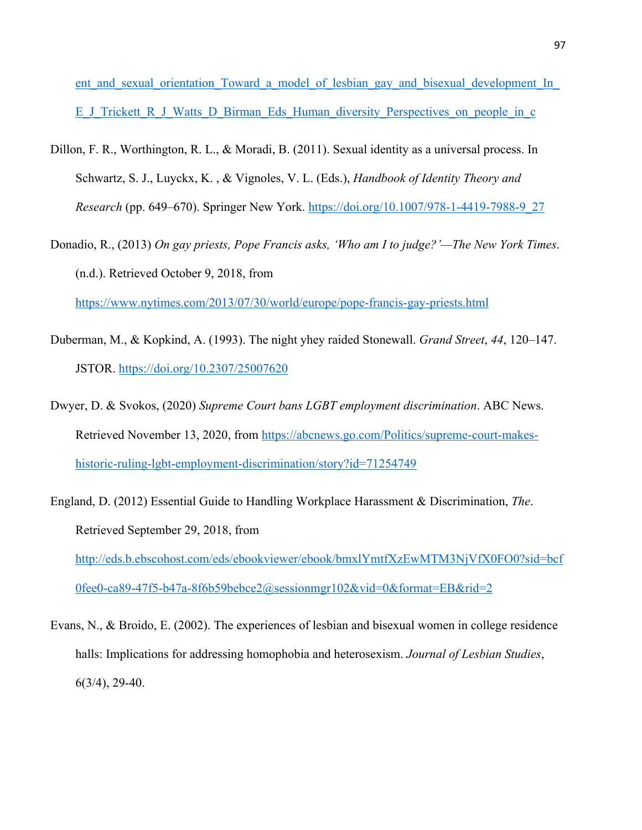ent and sexual orientation Toward a model of lesbian gay and bisexual development In E\_J\_Trickett\_R\_J\_Watts\_D\_Birman\_Eds\_Human\_diversity\_Perspectives\_on\_people\_in\_c

- Dillon, F. R., Worthington, R. L., & Moradi, B. (2011). Sexual identity as a universal process. In Schwartz, S. J., Luyckx, K. , & Vignoles, V. L. (Eds.), *Handbook of Identity Theory and Research* (pp. 649–670). Springer New York. https://doi.org/10.1007/978-1-4419-7988-9\_27
- Donadio, R., (2013) *On gay priests, Pope Francis asks, 'Who am I to judge?'—The New York Times*. (n.d.). Retrieved October 9, 2018, from

https://www.nytimes.com/2013/07/30/world/europe/pope-francis-gay-priests.html

- Duberman, M., & Kopkind, A. (1993). The night yhey raided Stonewall. *Grand Street*, *44*, 120–147. JSTOR. https://doi.org/10.2307/25007620
- Dwyer, D. & Svokos, (2020) *Supreme Court bans LGBT employment discrimination*. ABC News. Retrieved November 13, 2020, from https://abcnews.go.com/Politics/supreme-court-makeshistoric-ruling-lgbt-employment-discrimination/story?id=71254749
- England, D. (2012) Essential Guide to Handling Workplace Harassment & Discrimination, *The*. Retrieved September 29, 2018, from http://eds.b.ebscohost.com/eds/ebookviewer/ebook/bmxlYmtfXzEwMTM3NjVfX0FO0?sid=bcf 0fee0-ca89-47f5-b47a-8f6b59bebce2@sessionmgr102&vid=0&format=EB&rid=2
- Evans, N., & Broido, E. (2002). The experiences of lesbian and bisexual women in college residence halls: Implications for addressing homophobia and heterosexism. *Journal of Lesbian Studies*, 6(3/4), 29-40.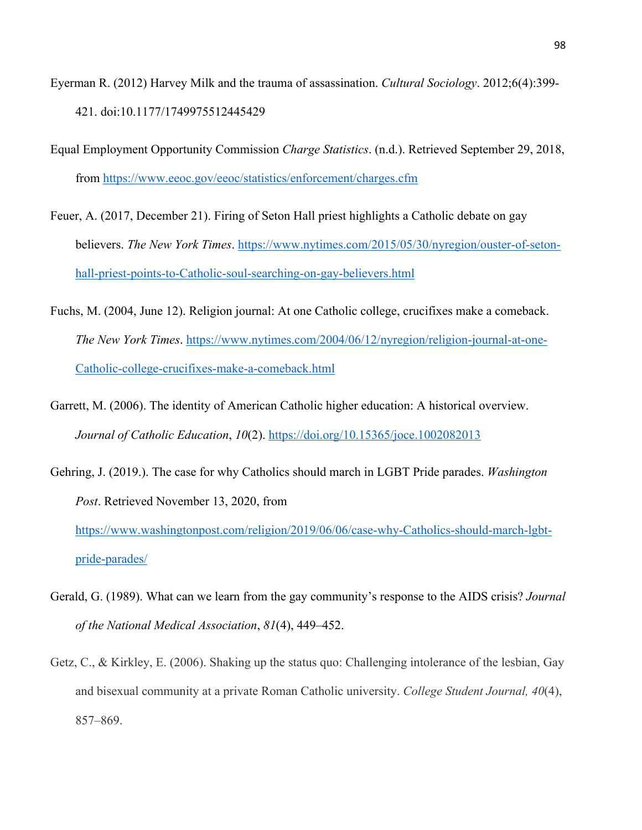- Eyerman R. (2012) Harvey Milk and the trauma of assassination. *Cultural Sociology*. 2012;6(4):399- 421. doi:10.1177/1749975512445429
- Equal Employment Opportunity Commission *Charge Statistics*. (n.d.). Retrieved September 29, 2018, from https://www.eeoc.gov/eeoc/statistics/enforcement/charges.cfm
- Feuer, A. (2017, December 21). Firing of Seton Hall priest highlights a Catholic debate on gay believers. *The New York Times*. https://www.nytimes.com/2015/05/30/nyregion/ouster-of-setonhall-priest-points-to-Catholic-soul-searching-on-gay-believers.html
- Fuchs, M. (2004, June 12). Religion journal: At one Catholic college, crucifixes make a comeback. *The New York Times*. https://www.nytimes.com/2004/06/12/nyregion/religion-journal-at-one-Catholic-college-crucifixes-make-a-comeback.html
- Garrett, M. (2006). The identity of American Catholic higher education: A historical overview. *Journal of Catholic Education*, *10*(2). https://doi.org/10.15365/joce.1002082013
- Gehring, J. (2019.). The case for why Catholics should march in LGBT Pride parades. *Washington Post*. Retrieved November 13, 2020, from https://www.washingtonpost.com/religion/2019/06/06/case-why-Catholics-should-march-lgbtpride-parades/
- Gerald, G. (1989). What can we learn from the gay community's response to the AIDS crisis? *Journal of the National Medical Association*, *81*(4), 449–452.
- Getz, C., & Kirkley, E. (2006). Shaking up the status quo: Challenging intolerance of the lesbian, Gay and bisexual community at a private Roman Catholic university. *College Student Journal, 40*(4), 857–869.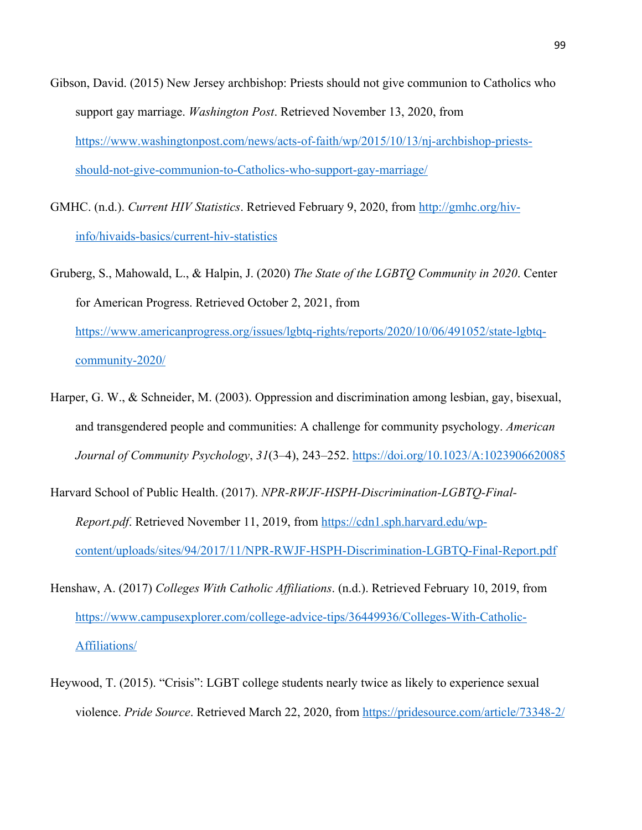- Gibson, David. (2015) New Jersey archbishop: Priests should not give communion to Catholics who support gay marriage. *Washington Post*. Retrieved November 13, 2020, from https://www.washingtonpost.com/news/acts-of-faith/wp/2015/10/13/nj-archbishop-priestsshould-not-give-communion-to-Catholics-who-support-gay-marriage/
- GMHC. (n.d.). *Current HIV Statistics*. Retrieved February 9, 2020, from http://gmhc.org/hivinfo/hivaids-basics/current-hiv-statistics
- Gruberg, S., Mahowald, L., & Halpin, J. (2020) *The State of the LGBTQ Community in 2020*. Center for American Progress. Retrieved October 2, 2021, from https://www.americanprogress.org/issues/lgbtq-rights/reports/2020/10/06/491052/state-lgbtqcommunity-2020/
- Harper, G. W., & Schneider, M. (2003). Oppression and discrimination among lesbian, gay, bisexual, and transgendered people and communities: A challenge for community psychology. *American Journal of Community Psychology*, *31*(3–4), 243–252. https://doi.org/10.1023/A:1023906620085
- Harvard School of Public Health. (2017). *NPR-RWJF-HSPH-Discrimination-LGBTQ-Final-Report.pdf*. Retrieved November 11, 2019, from https://cdn1.sph.harvard.edu/wpcontent/uploads/sites/94/2017/11/NPR-RWJF-HSPH-Discrimination-LGBTQ-Final-Report.pdf
- Henshaw, A. (2017) *Colleges With Catholic Affiliations*. (n.d.). Retrieved February 10, 2019, from https://www.campusexplorer.com/college-advice-tips/36449936/Colleges-With-Catholic-Affiliations/
- Heywood, T. (2015). "Crisis": LGBT college students nearly twice as likely to experience sexual violence. *Pride Source*. Retrieved March 22, 2020, from https://pridesource.com/article/73348-2/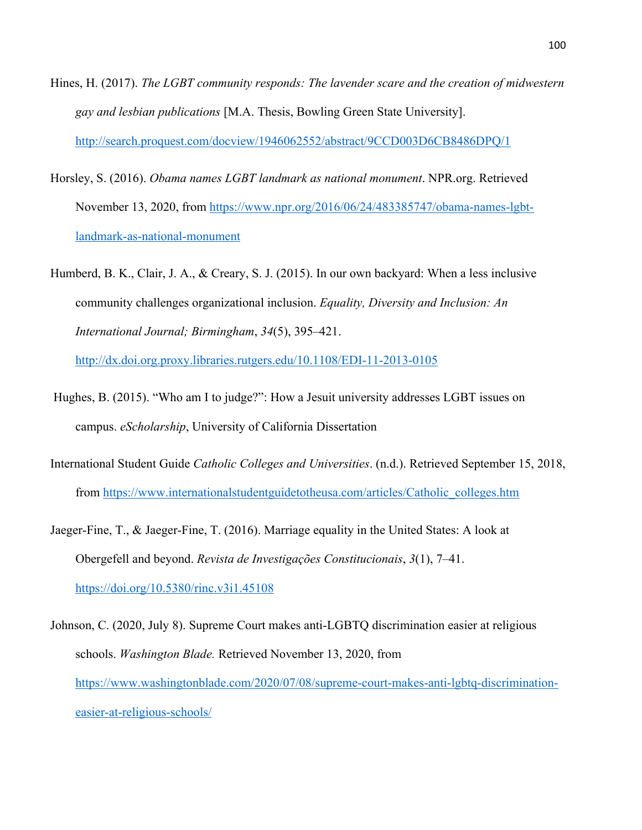- Hines, H. (2017). *The LGBT community responds: The lavender scare and the creation of midwestern gay and lesbian publications* [M.A. Thesis, Bowling Green State University]. http://search.proquest.com/docview/1946062552/abstract/9CCD003D6CB8486DPQ/1
- Horsley, S. (2016). *Obama names LGBT landmark as national monument*. NPR.org. Retrieved November 13, 2020, from https://www.npr.org/2016/06/24/483385747/obama-names-lgbtlandmark-as-national-monument
- Humberd, B. K., Clair, J. A., & Creary, S. J. (2015). In our own backyard: When a less inclusive community challenges organizational inclusion. *Equality, Diversity and Inclusion: An International Journal; Birmingham*, *34*(5), 395–421.

http://dx.doi.org.proxy.libraries.rutgers.edu/10.1108/EDI-11-2013-0105

- Hughes, B. (2015). "Who am I to judge?": How a Jesuit university addresses LGBT issues on campus. *eScholarship*, University of California Dissertation
- International Student Guide *Catholic Colleges and Universities*. (n.d.). Retrieved September 15, 2018, from https://www.internationalstudentguidetotheusa.com/articles/Catholic\_colleges.htm
- Jaeger-Fine, T., & Jaeger-Fine, T. (2016). Marriage equality in the United States: A look at Obergefell and beyond. *Revista de Investigações Constitucionais*, *3*(1), 7–41. https://doi.org/10.5380/rinc.v3i1.45108
- Johnson, C. (2020, July 8). Supreme Court makes anti-LGBTQ discrimination easier at religious schools. *Washington Blade.* Retrieved November 13, 2020, from https://www.washingtonblade.com/2020/07/08/supreme-court-makes-anti-lgbtq-discriminationeasier-at-religious-schools/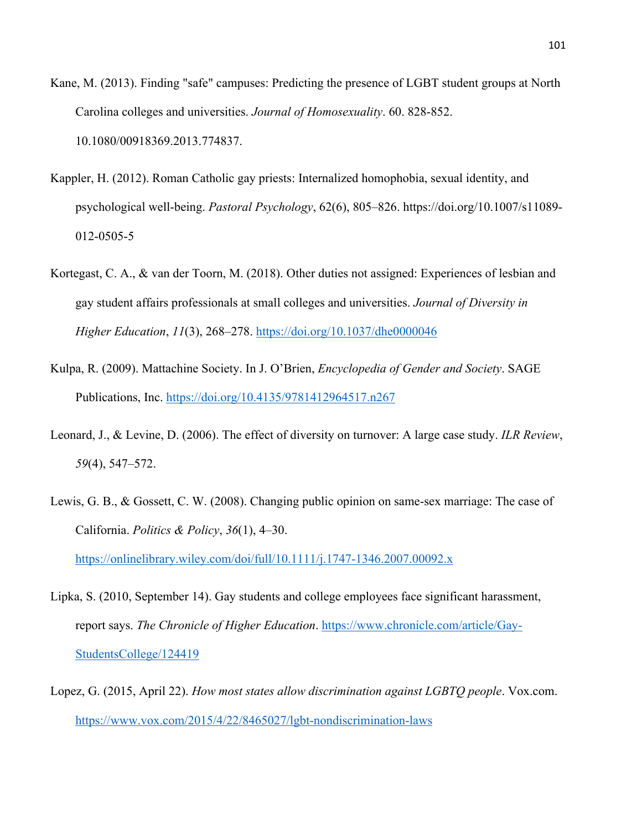- Kane, M. (2013). Finding "safe" campuses: Predicting the presence of LGBT student groups at North Carolina colleges and universities. *Journal of Homosexuality*. 60. 828-852. 10.1080/00918369.2013.774837.
- Kappler, H. (2012). Roman Catholic gay priests: Internalized homophobia, sexual identity, and psychological well-being. *Pastoral Psychology*, 62(6), 805–826. https://doi.org/10.1007/s11089- 012-0505-5
- Kortegast, C. A., & van der Toorn, M. (2018). Other duties not assigned: Experiences of lesbian and gay student affairs professionals at small colleges and universities. *Journal of Diversity in Higher Education*, *11*(3), 268–278. https://doi.org/10.1037/dhe0000046
- Kulpa, R. (2009). Mattachine Society. In J. O'Brien, *Encyclopedia of Gender and Society*. SAGE Publications, Inc. https://doi.org/10.4135/9781412964517.n267
- Leonard, J., & Levine, D. (2006). The effect of diversity on turnover: A large case study. *ILR Review*, *59*(4), 547–572.
- Lewis, G. B., & Gossett, C. W. (2008). Changing public opinion on same-sex marriage: The case of California. *Politics & Policy*, *36*(1), 4–30.

https://onlinelibrary.wiley.com/doi/full/10.1111/j.1747-1346.2007.00092.x

- Lipka, S. (2010, September 14). Gay students and college employees face significant harassment, report says. *The Chronicle of Higher Education*. https://www.chronicle.com/article/Gay-StudentsCollege/124419
- Lopez, G. (2015, April 22). *How most states allow discrimination against LGBTQ people*. Vox.com. https://www.vox.com/2015/4/22/8465027/lgbt-nondiscrimination-laws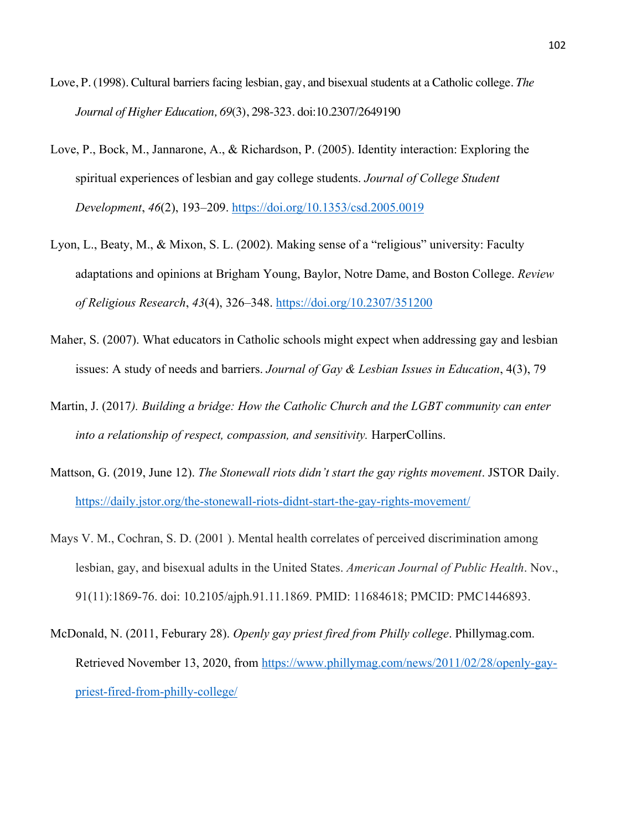- Love, P. (1998). Cultural barriers facing lesbian, gay, and bisexual students at a Catholic college. *The Journal of Higher Education, 69*(3), 298-323. doi:10.2307/2649190
- Love, P., Bock, M., Jannarone, A., & Richardson, P. (2005). Identity interaction: Exploring the spiritual experiences of lesbian and gay college students. *Journal of College Student Development*, *46*(2), 193–209. https://doi.org/10.1353/csd.2005.0019
- Lyon, L., Beaty, M., & Mixon, S. L. (2002). Making sense of a "religious" university: Faculty adaptations and opinions at Brigham Young, Baylor, Notre Dame, and Boston College. *Review of Religious Research*, *43*(4), 326–348. https://doi.org/10.2307/351200
- Maher, S. (2007). What educators in Catholic schools might expect when addressing gay and lesbian issues: A study of needs and barriers. *Journal of Gay & Lesbian Issues in Education*, 4(3), 79
- Martin, J. (2017*). Building a bridge: How the Catholic Church and the LGBT community can enter into a relationship of respect, compassion, and sensitivity.* HarperCollins.
- Mattson, G. (2019, June 12). *The Stonewall riots didn't start the gay rights movement*. JSTOR Daily. https://daily.jstor.org/the-stonewall-riots-didnt-start-the-gay-rights-movement/
- Mays V. M., Cochran, S. D. (2001 ). Mental health correlates of perceived discrimination among lesbian, gay, and bisexual adults in the United States. *American Journal of Public Health*. Nov., 91(11):1869-76. doi: 10.2105/ajph.91.11.1869. PMID: 11684618; PMCID: PMC1446893.
- McDonald, N. (2011, Feburary 28). *Openly gay priest fired from Philly college*. Phillymag.com. Retrieved November 13, 2020, from https://www.phillymag.com/news/2011/02/28/openly-gaypriest-fired-from-philly-college/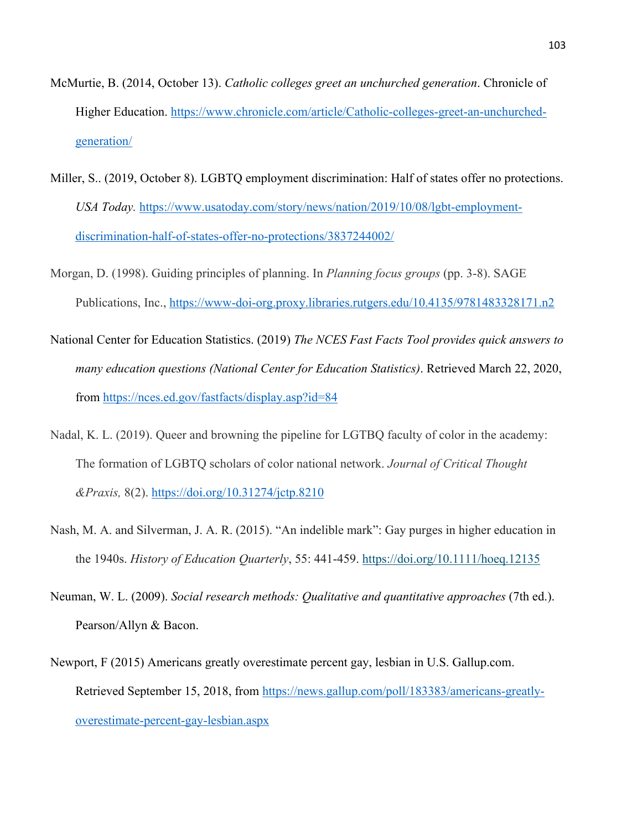- McMurtie, B. (2014, October 13). *Catholic colleges greet an unchurched generation*. Chronicle of Higher Education. https://www.chronicle.com/article/Catholic-colleges-greet-an-unchurchedgeneration/
- Miller, S.. (2019, October 8). LGBTQ employment discrimination: Half of states offer no protections. *USA Today.* https://www.usatoday.com/story/news/nation/2019/10/08/lgbt-employmentdiscrimination-half-of-states-offer-no-protections/3837244002/
- Morgan, D. (1998). Guiding principles of planning. In *Planning focus groups* (pp. 3-8). SAGE Publications, Inc., https://www-doi-org.proxy.libraries.rutgers.edu/10.4135/9781483328171.n2
- National Center for Education Statistics. (2019) *The NCES Fast Facts Tool provides quick answers to many education questions (National Center for Education Statistics)*. Retrieved March 22, 2020, from https://nces.ed.gov/fastfacts/display.asp?id=84
- Nadal, K. L. (2019). Queer and browning the pipeline for LGTBQ faculty of color in the academy: The formation of LGBTQ scholars of color national network. *Journal of Critical Thought &Praxis,* 8(2). https://doi.org/10.31274/jctp.8210
- Nash, M. A. and Silverman, J. A. R. (2015). "An indelible mark": Gay purges in higher education in the 1940s. *History of Education Quarterly*, 55: 441-459. https://doi.org/10.1111/hoeq.12135
- Neuman, W. L. (2009). *Social research methods: Qualitative and quantitative approaches* (7th ed.). Pearson/Allyn & Bacon.
- Newport, F (2015) Americans greatly overestimate percent gay, lesbian in U.S. Gallup.com. Retrieved September 15, 2018, from https://news.gallup.com/poll/183383/americans-greatlyoverestimate-percent-gay-lesbian.aspx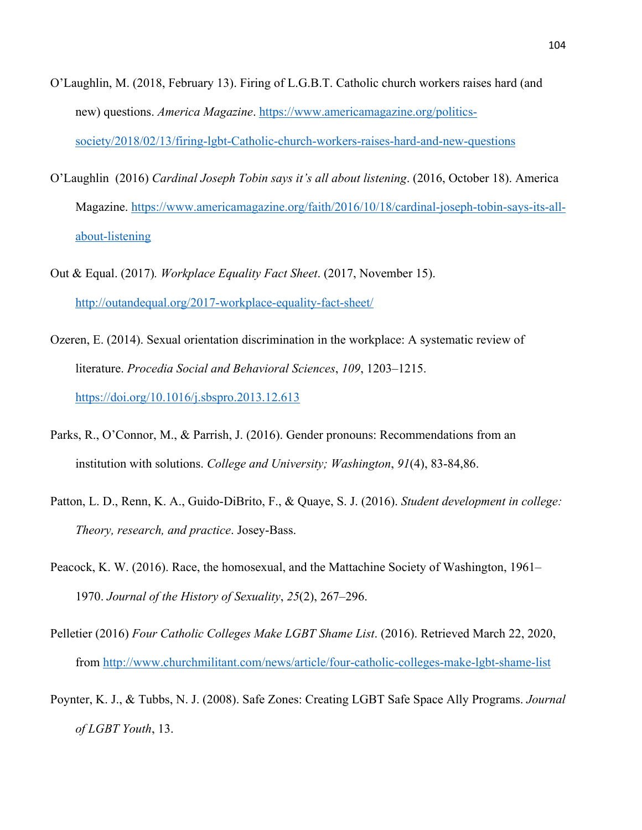- O'Laughlin, M. (2018, February 13). Firing of L.G.B.T. Catholic church workers raises hard (and new) questions. *America Magazine*. https://www.americamagazine.org/politicssociety/2018/02/13/firing-lgbt-Catholic-church-workers-raises-hard-and-new-questions
- O'Laughlin (2016) *Cardinal Joseph Tobin says it's all about listening*. (2016, October 18). America Magazine. https://www.americamagazine.org/faith/2016/10/18/cardinal-joseph-tobin-says-its-allabout-listening
- Out & Equal. (2017)*. Workplace Equality Fact Sheet*. (2017, November 15). http://outandequal.org/2017-workplace-equality-fact-sheet/
- Ozeren, E. (2014). Sexual orientation discrimination in the workplace: A systematic review of literature. *Procedia Social and Behavioral Sciences*, *109*, 1203–1215. https://doi.org/10.1016/j.sbspro.2013.12.613
- Parks, R., O'Connor, M., & Parrish, J. (2016). Gender pronouns: Recommendations from an institution with solutions. *College and University; Washington*, *91*(4), 83-84,86.
- Patton, L. D., Renn, K. A., Guido-DiBrito, F., & Quaye, S. J. (2016). *Student development in college: Theory, research, and practice*. Josey-Bass.
- Peacock, K. W. (2016). Race, the homosexual, and the Mattachine Society of Washington, 1961– 1970. *Journal of the History of Sexuality*, *25*(2), 267–296.
- Pelletier (2016) *Four Catholic Colleges Make LGBT Shame List*. (2016). Retrieved March 22, 2020, from http://www.churchmilitant.com/news/article/four-catholic-colleges-make-lgbt-shame-list
- Poynter, K. J., & Tubbs, N. J. (2008). Safe Zones: Creating LGBT Safe Space Ally Programs. *Journal of LGBT Youth*, 13.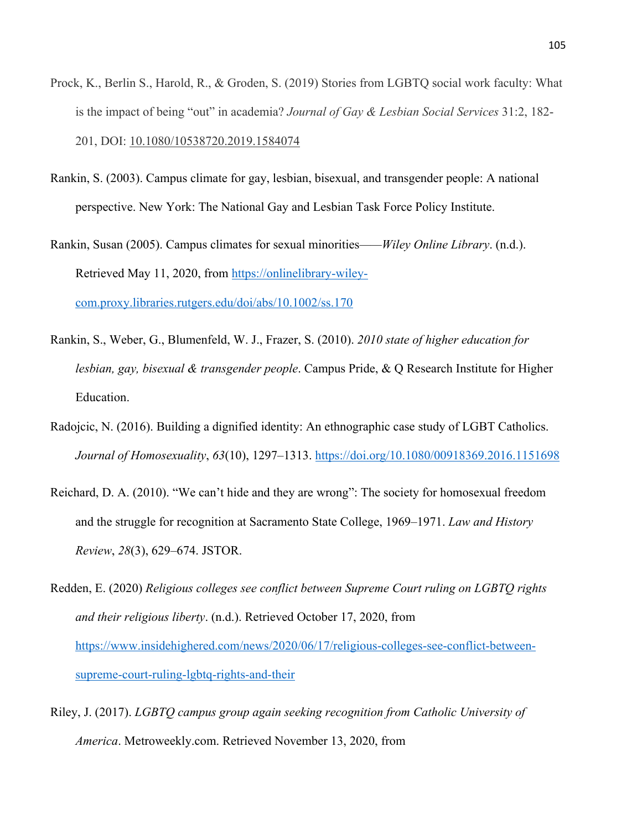- Prock, K., Berlin S., Harold, R., & Groden, S. (2019) Stories from LGBTQ social work faculty: What is the impact of being "out" in academia? *Journal of Gay & Lesbian Social Services* 31:2, 182- 201, DOI: 10.1080/10538720.2019.1584074
- Rankin, S. (2003). Campus climate for gay, lesbian, bisexual, and transgender people: A national perspective. New York: The National Gay and Lesbian Task Force Policy Institute.
- Rankin, Susan (2005). Campus climates for sexual minorities*——Wiley Online Library*. (n.d.). Retrieved May 11, 2020, from https://onlinelibrary-wileycom.proxy.libraries.rutgers.edu/doi/abs/10.1002/ss.170
- Rankin, S., Weber, G., Blumenfeld, W. J., Frazer, S. (2010). *2010 state of higher education for lesbian, gay, bisexual & transgender people*. Campus Pride, & Q Research Institute for Higher Education.
- Radojcic, N. (2016). Building a dignified identity: An ethnographic case study of LGBT Catholics. *Journal of Homosexuality*, *63*(10), 1297–1313. https://doi.org/10.1080/00918369.2016.1151698
- Reichard, D. A. (2010). "We can't hide and they are wrong": The society for homosexual freedom and the struggle for recognition at Sacramento State College, 1969–1971. *Law and History Review*, *28*(3), 629–674. JSTOR.
- Redden, E. (2020) *Religious colleges see conflict between Supreme Court ruling on LGBTQ rights and their religious liberty*. (n.d.). Retrieved October 17, 2020, from https://www.insidehighered.com/news/2020/06/17/religious-colleges-see-conflict-betweensupreme-court-ruling-lgbtq-rights-and-their
- Riley, J. (2017). *LGBTQ campus group again seeking recognition from Catholic University of America*. Metroweekly.com. Retrieved November 13, 2020, from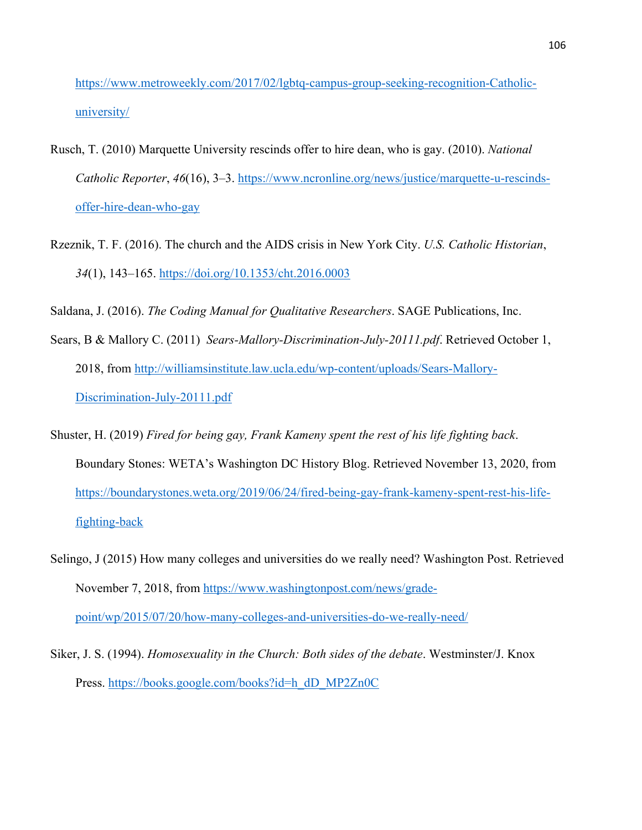https://www.metroweekly.com/2017/02/lgbtq-campus-group-seeking-recognition-Catholicuniversity/

- Rusch, T. (2010) Marquette University rescinds offer to hire dean, who is gay. (2010). *National Catholic Reporter*, *46*(16), 3–3. https://www.ncronline.org/news/justice/marquette-u-rescindsoffer-hire-dean-who-gay
- Rzeznik, T. F. (2016). The church and the AIDS crisis in New York City. *U.S. Catholic Historian*, *34*(1), 143–165. https://doi.org/10.1353/cht.2016.0003

Saldana, J. (2016). *The Coding Manual for Qualitative Researchers*. SAGE Publications, Inc.

- Sears, B & Mallory C. (2011) *Sears-Mallory-Discrimination-July-20111.pdf*. Retrieved October 1, 2018, from http://williamsinstitute.law.ucla.edu/wp-content/uploads/Sears-Mallory-Discrimination-July-20111.pdf
- Shuster, H. (2019) *Fired for being gay, Frank Kameny spent the rest of his life fighting back*. Boundary Stones: WETA's Washington DC History Blog. Retrieved November 13, 2020, from https://boundarystones.weta.org/2019/06/24/fired-being-gay-frank-kameny-spent-rest-his-lifefighting-back
- Selingo, J (2015) How many colleges and universities do we really need? Washington Post. Retrieved November 7, 2018, from https://www.washingtonpost.com/news/gradepoint/wp/2015/07/20/how-many-colleges-and-universities-do-we-really-need/
- Siker, J. S. (1994). *Homosexuality in the Church: Both sides of the debate*. Westminster/J. Knox Press. https://books.google.com/books?id=h\_dD\_MP2Zn0C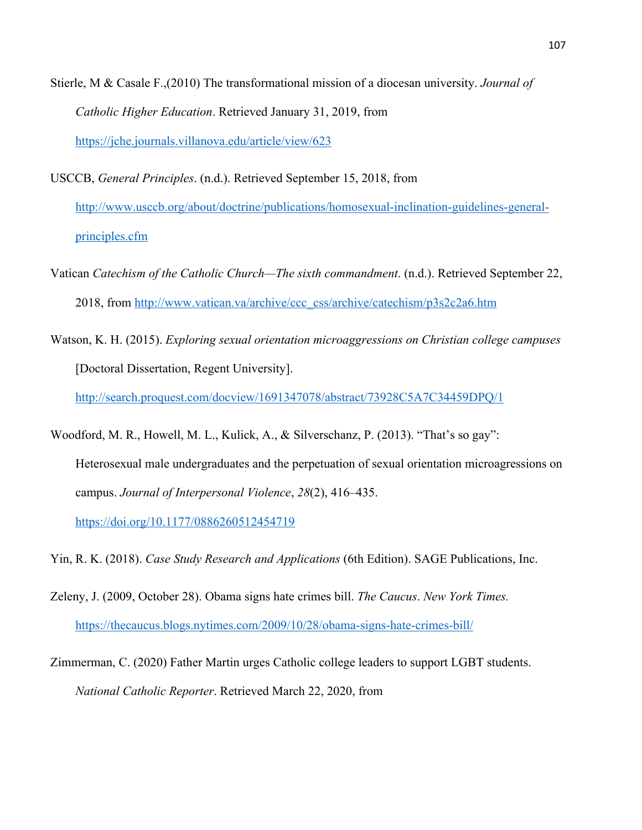Stierle, M & Casale F.,(2010) The transformational mission of a diocesan university. *Journal of Catholic Higher Education*. Retrieved January 31, 2019, from https://jche.journals.villanova.edu/article/view/623

USCCB, *General Principles*. (n.d.). Retrieved September 15, 2018, from http://www.usccb.org/about/doctrine/publications/homosexual-inclination-guidelines-generalprinciples.cfm

Vatican *Catechism of the Catholic Church—The sixth commandment*. (n.d.). Retrieved September 22, 2018, from http://www.vatican.va/archive/ccc\_css/archive/catechism/p3s2c2a6.htm

Watson, K. H. (2015). *Exploring sexual orientation microaggressions on Christian college campuses* [Doctoral Dissertation, Regent University].

http://search.proquest.com/docview/1691347078/abstract/73928C5A7C34459DPQ/1

Woodford, M. R., Howell, M. L., Kulick, A., & Silverschanz, P. (2013). "That's so gay": Heterosexual male undergraduates and the perpetuation of sexual orientation microagressions on campus. *Journal of Interpersonal Violence*, *28*(2), 416–435.

https://doi.org/10.1177/0886260512454719

Yin, R. K. (2018). *Case Study Research and Applications* (6th Edition). SAGE Publications, Inc.

- Zeleny, J. (2009, October 28). Obama signs hate crimes bill. *The Caucus*. *New York Times.*  https://thecaucus.blogs.nytimes.com/2009/10/28/obama-signs-hate-crimes-bill/
- Zimmerman, C. (2020) Father Martin urges Catholic college leaders to support LGBT students. *National Catholic Reporter*. Retrieved March 22, 2020, from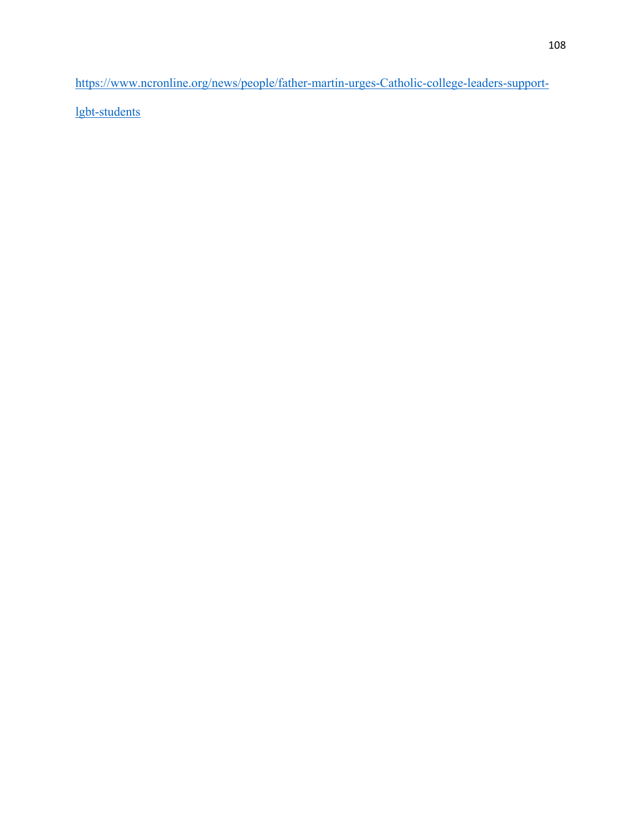https://www.ncronline.org/news/people/father-martin-urges-Catholic-college-leaders-support-

lgbt-students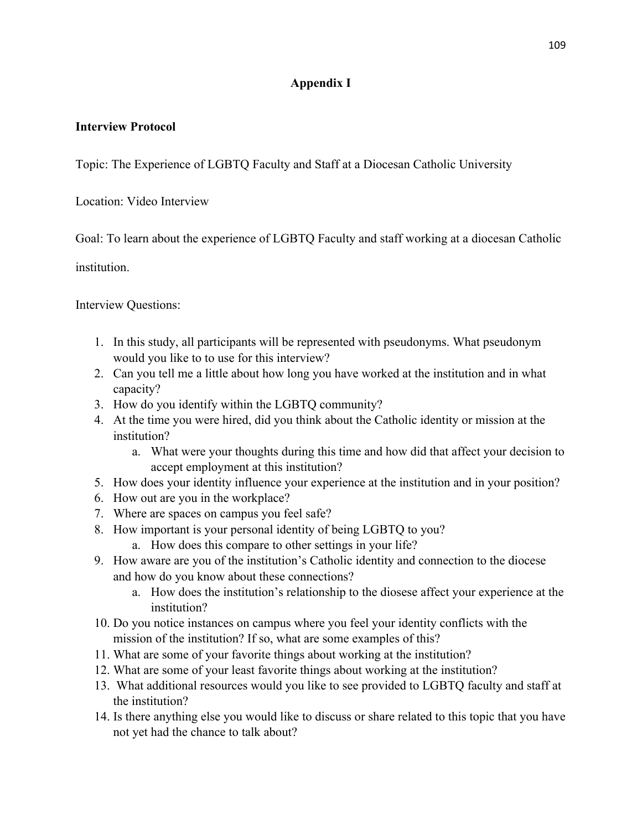## **Appendix I**

## **Interview Protocol**

Topic: The Experience of LGBTQ Faculty and Staff at a Diocesan Catholic University

Location: Video Interview

Goal: To learn about the experience of LGBTQ Faculty and staff working at a diocesan Catholic

institution.

Interview Questions:

- 1. In this study, all participants will be represented with pseudonyms. What pseudonym would you like to to use for this interview?
- 2. Can you tell me a little about how long you have worked at the institution and in what capacity?
- 3. How do you identify within the LGBTQ community?
- 4. At the time you were hired, did you think about the Catholic identity or mission at the institution?
	- a. What were your thoughts during this time and how did that affect your decision to accept employment at this institution?
- 5. How does your identity influence your experience at the institution and in your position?
- 6. How out are you in the workplace?
- 7. Where are spaces on campus you feel safe?
- 8. How important is your personal identity of being LGBTQ to you?
	- a. How does this compare to other settings in your life?
- 9. How aware are you of the institution's Catholic identity and connection to the diocese and how do you know about these connections?
	- a. How does the institution's relationship to the diosese affect your experience at the institution?
- 10. Do you notice instances on campus where you feel your identity conflicts with the mission of the institution? If so, what are some examples of this?
- 11. What are some of your favorite things about working at the institution?
- 12. What are some of your least favorite things about working at the institution?
- 13. What additional resources would you like to see provided to LGBTQ faculty and staff at the institution?
- 14. Is there anything else you would like to discuss or share related to this topic that you have not yet had the chance to talk about?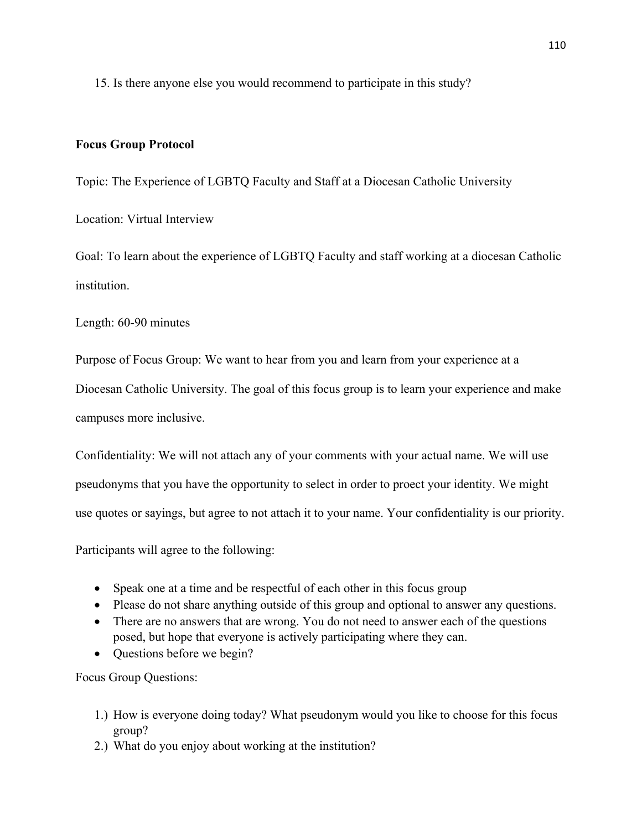15. Is there anyone else you would recommend to participate in this study?

## **Focus Group Protocol**

Topic: The Experience of LGBTQ Faculty and Staff at a Diocesan Catholic University

Location: Virtual Interview

Goal: To learn about the experience of LGBTQ Faculty and staff working at a diocesan Catholic institution.

Length: 60-90 minutes

Purpose of Focus Group: We want to hear from you and learn from your experience at a

Diocesan Catholic University. The goal of this focus group is to learn your experience and make campuses more inclusive.

Confidentiality: We will not attach any of your comments with your actual name. We will use pseudonyms that you have the opportunity to select in order to proect your identity. We might use quotes or sayings, but agree to not attach it to your name. Your confidentiality is our priority.

Participants will agree to the following:

- Speak one at a time and be respectful of each other in this focus group
- Please do not share anything outside of this group and optional to answer any questions.
- There are no answers that are wrong. You do not need to answer each of the questions posed, but hope that everyone is actively participating where they can.
- Ouestions before we begin?

Focus Group Questions:

- 1.) How is everyone doing today? What pseudonym would you like to choose for this focus group?
- 2.) What do you enjoy about working at the institution?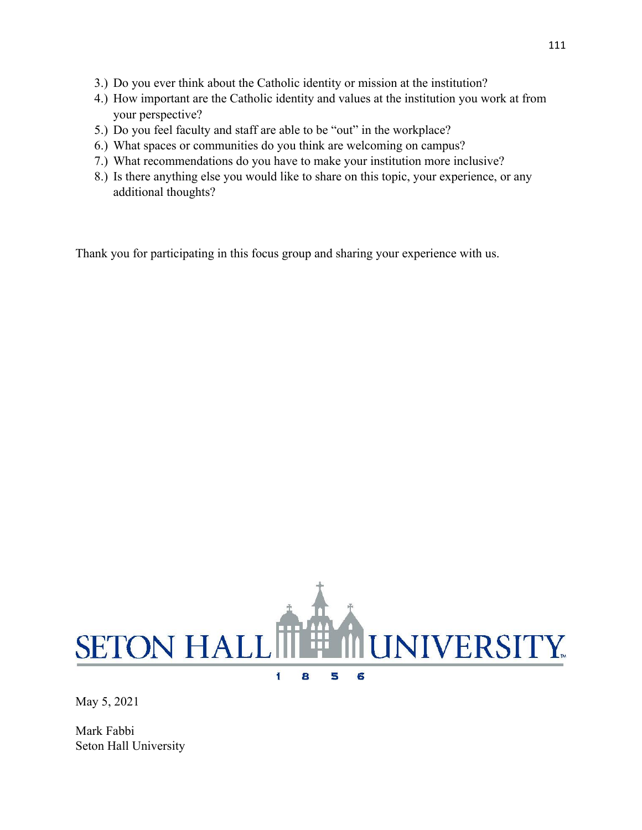- 3.) Do you ever think about the Catholic identity or mission at the institution?
- 4.) How important are the Catholic identity and values at the institution you work at from your perspective?
- 5.) Do you feel faculty and staff are able to be "out" in the workplace?
- 6.) What spaces or communities do you think are welcoming on campus?
- 7.) What recommendations do you have to make your institution more inclusive?
- 8.) Is there anything else you would like to share on this topic, your experience, or any additional thoughts?

Thank you for participating in this focus group and sharing your experience with us.



 $\blacksquare$ 8 5 6

May 5, 2021

Mark Fabbi Seton Hall University